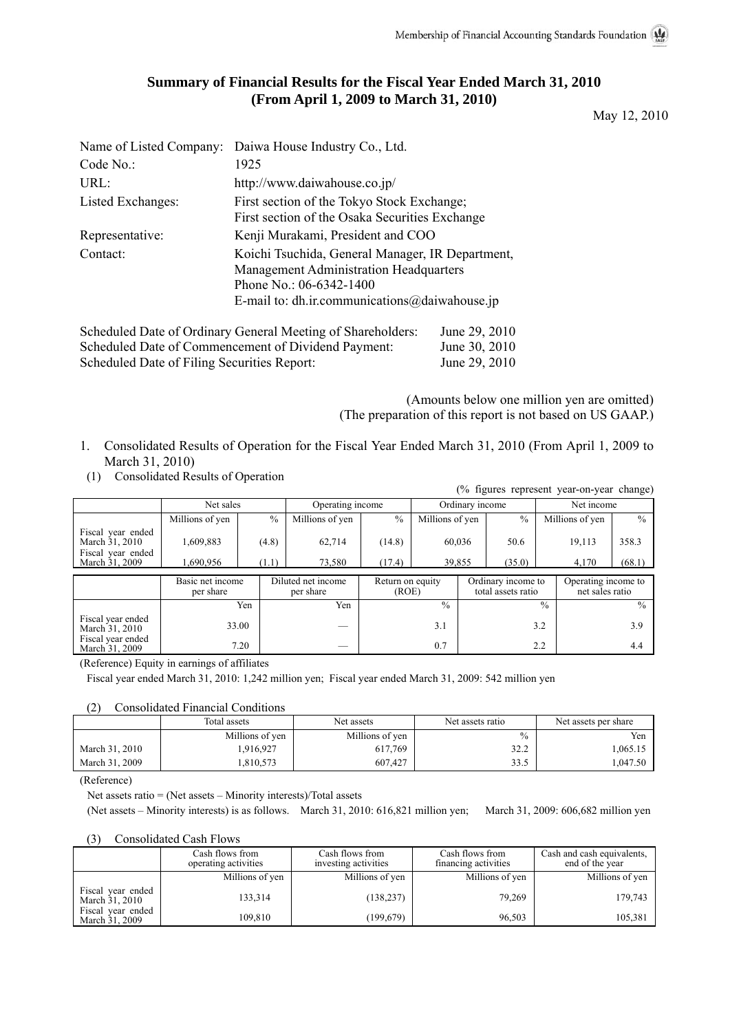# **Summary of Financial Results for the Fiscal Year Ended March 31, 2010 (From April 1, 2009 to March 31, 2010)**

May 12, 2010

|                   | Name of Listed Company: Daiwa House Industry Co., Ltd.                                                                                                                 |
|-------------------|------------------------------------------------------------------------------------------------------------------------------------------------------------------------|
| Code No.          | 1925                                                                                                                                                                   |
| URL:              | http://www.daiwahouse.co.jp/                                                                                                                                           |
| Listed Exchanges: | First section of the Tokyo Stock Exchange;<br>First section of the Osaka Securities Exchange                                                                           |
| Representative:   | Kenji Murakami, President and COO                                                                                                                                      |
| Contact:          | Koichi Tsuchida, General Manager, IR Department,<br>Management Administration Headquarters<br>Phone No.: 06-6342-1400<br>E-mail to: dh.ir.communications@daiwahouse.jp |

| Scheduled Date of Ordinary General Meeting of Shareholders: | June 29, 2010 |
|-------------------------------------------------------------|---------------|
| Scheduled Date of Commencement of Dividend Payment:         | June 30, 2010 |
| Scheduled Date of Filing Securities Report:                 | June 29, 2010 |

(Amounts below one million yen are omitted) (The preparation of this report is not based on US GAAP.)

- 1. Consolidated Results of Operation for the Fiscal Year Ended March 31, 2010 (From April 1, 2009 to March 31, 2010)
- (1) Consolidated Results of Operation

|                                                                            |                               |                |                                 |                           |                  |  |                                          | (% figures represent year-on-year change) |                 |
|----------------------------------------------------------------------------|-------------------------------|----------------|---------------------------------|---------------------------|------------------|--|------------------------------------------|-------------------------------------------|-----------------|
|                                                                            | Net sales                     |                | Operating income                |                           | Ordinary income  |  |                                          | Net income                                |                 |
|                                                                            | Millions of yen               | $\frac{0}{0}$  | Millions of yen                 | $\frac{0}{0}$             | Millions of yen  |  | $\frac{0}{0}$                            | Millions of yen                           | $\frac{0}{0}$   |
| Fiscal year ended<br>March 31, 2010<br>Fiscal year ended<br>March 31, 2009 | 1,609,883<br>1,690,956        | (4.8)<br>(1.1) | 62,714<br>73,580                | (14.8)<br>(17.4)          | 60,036<br>39,855 |  | 50.6<br>(35.0)                           | 19,113<br>4,170                           | 358.3<br>(68.1) |
|                                                                            |                               |                |                                 |                           |                  |  |                                          |                                           |                 |
|                                                                            | Basic net income<br>per share |                | Diluted net income<br>per share | Return on equity<br>(ROE) |                  |  | Ordinary income to<br>total assets ratio | Operating income to<br>net sales ratio    |                 |
|                                                                            |                               | Yen            | Yen                             |                           | $\frac{0}{0}$    |  |                                          | $\frac{0}{0}$                             | $\frac{0}{0}$   |
| Fiscal year ended<br>March 31, 2010                                        | 33.00                         |                |                                 |                           | 3.1              |  |                                          | 3.2                                       | 3.9             |
| Fiscal year ended<br>March 31, 2009                                        | 7.20                          |                |                                 |                           | 0.7              |  |                                          | 2.2                                       | 4.4             |

(Reference) Equity in earnings of affiliates

Fiscal year ended March 31, 2010: 1,242 million yen; Fiscal year ended March 31, 2009: 542 million yen

(2) Consolidated Financial Conditions

|                | Total assets    | Net assets      | Net assets ratio | Net assets per share |  |
|----------------|-----------------|-----------------|------------------|----------------------|--|
|                | Millions of yen | Millions of yen | $\frac{0}{0}$    | Yen                  |  |
| March 31, 2010 | .916,927        | 617.769         | 32.2             | .065.15              |  |
| March 31, 2009 | .810.573        | 607,427         | 33.5             | .047.50              |  |

(Reference)

Net assets ratio = (Net assets – Minority interests)/Total assets

(Net assets – Minority interests) is as follows. March 31, 2010: 616,821 million yen; March 31, 2009: 606,682 million yen

#### (3) Consolidated Cash Flows

|                                     | Cash flows from<br>operating activities | Cash flows from<br>investing activities | Cash flows from<br>financing activities | Cash and cash equivalents,<br>end of the year |  |
|-------------------------------------|-----------------------------------------|-----------------------------------------|-----------------------------------------|-----------------------------------------------|--|
|                                     | Millions of yen                         | Millions of yen                         | Millions of yen                         | Millions of yen                               |  |
| Fiscal year ended<br>March 31, 2010 | 133.314                                 | (138, 237)                              | 79.269                                  | 179,743                                       |  |
| Fiscal year ended<br>March 31, 2009 | 109,810                                 | (199, 679)                              | 96,503                                  | 105,381                                       |  |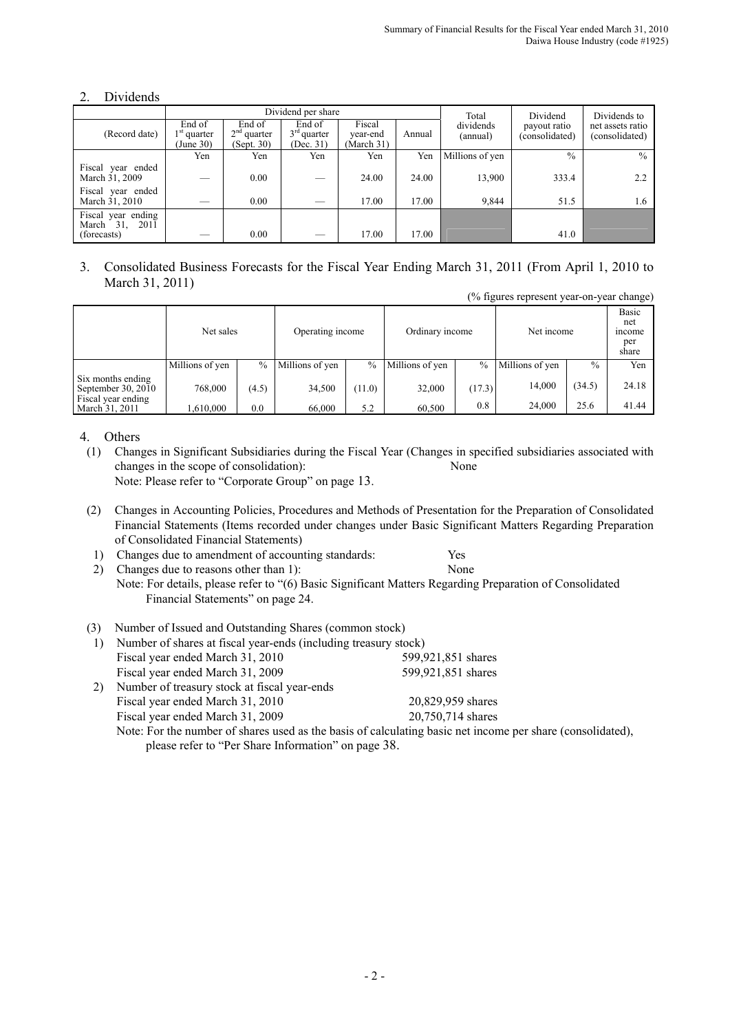# 2. Dividends

|                                                     |                                      |                                       | Dividend per share                   | Total                            | Dividend | Dividends to          |                                |                                    |
|-----------------------------------------------------|--------------------------------------|---------------------------------------|--------------------------------------|----------------------------------|----------|-----------------------|--------------------------------|------------------------------------|
| (Record date)                                       | End of<br>$1st$ quarter<br>(June 30) | End of<br>$2nd$ quarter<br>(Sept. 30) | End of<br>$3rd$ quarter<br>(Dec. 31) | Fiscal<br>year-end<br>(March 31) | Annual   | dividends<br>(annual) | payout ratio<br>(consolidated) | net assets ratio<br>(consolidated) |
|                                                     | Yen                                  | Yen                                   | Yen                                  | Yen                              | Yen      | Millions of yen       | $\frac{0}{0}$                  | $\frac{0}{0}$                      |
| Fiscal year ended<br>March 31, 2009                 |                                      | 0.00                                  |                                      | 24.00                            | 24.00    | 13,900                | 333.4                          | 2.2                                |
| Fiscal year ended<br>March 31, 2010                 |                                      | 0.00                                  | —                                    | 17.00                            | 17.00    | 9,844                 | 51.5                           | 1.6                                |
| Fiscal year ending<br>March 31, 2011<br>(forecasts) |                                      | 0.00                                  |                                      | 17.00                            | 17.00    |                       | 41.0                           |                                    |

#### 3. Consolidated Business Forecasts for the Fiscal Year Ending March 31, 2011 (From April 1, 2010 to March 31, 2011) (% figures represent year-on-year change)

|                                         | Net sales       |          | Operating income |        | Ordinary income |               | Net income      |        | Basic<br>net<br>income<br>per<br>share |
|-----------------------------------------|-----------------|----------|------------------|--------|-----------------|---------------|-----------------|--------|----------------------------------------|
|                                         | Millions of yen | $\%$     | Millions of yen  | $\%$   | Millions of yen | $\frac{0}{0}$ | Millions of yen | $\%$   | Yen                                    |
| Six months ending<br>September 30, 2010 | 768,000         | (4.5)    | 34.500           | (11.0) | 32,000          | (17.3)        | 14.000          | (34.5) | 24.18                                  |
| Fiscal year ending<br>March 31, 2011    | ,610,000        | $_{0.0}$ | 66,000           | 5.2    | 60,500          | 0.8           | 24,000          | 25.6   | 41.44                                  |

### 4. Others

- (1) Changes in Significant Subsidiaries during the Fiscal Year (Changes in specified subsidiaries associated with changes in the scope of consolidation): None Note: Please refer to "Corporate Group" on page 13.
- (2) Changes in Accounting Policies, Procedures and Methods of Presentation for the Preparation of Consolidated Financial Statements (Items recorded under changes under Basic Significant Matters Regarding Preparation of Consolidated Financial Statements)
- 1) Changes due to amendment of accounting standards: Yes
- 2) Changes due to reasons other than 1): None Note: For details, please refer to "(6) Basic Significant Matters Regarding Preparation of Consolidated Financial Statements" on page 24.

## (3) Number of Issued and Outstanding Shares (common stock)

|    | Number of shares at fiscal year-ends (including treasury stock)                    |                    |
|----|------------------------------------------------------------------------------------|--------------------|
|    | Fiscal year ended March 31, 2010                                                   | 599,921,851 shares |
|    | Fiscal year ended March 31, 2009                                                   | 599,921,851 shares |
| 2) | Number of treasury stock at fiscal year-ends                                       |                    |
|    | Fiscal year ended March 31, 2010                                                   | 20,829,959 shares  |
|    | Fiscal year ended March 31, 2009                                                   | 20,750,714 shares  |
|    | Note: For the number of shares used as the basis of calculating basic net income i |                    |

Note: For the number of shares used as the basis of calculating basic net income per share (consolidated), please refer to "Per Share Information" on page 38.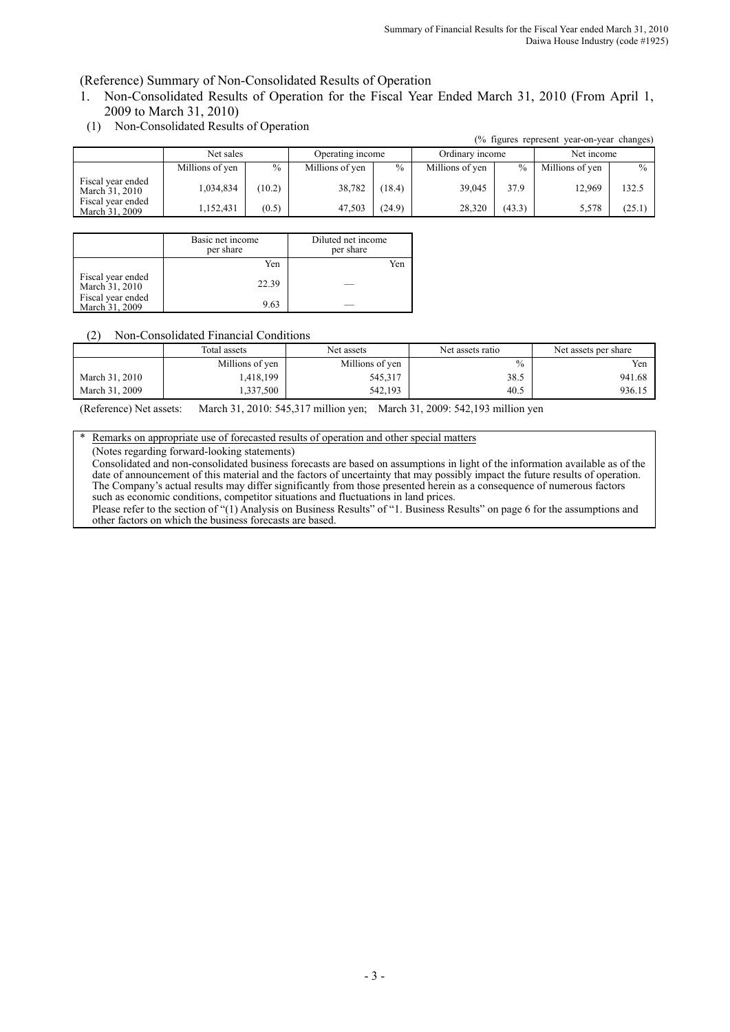(Reference) Summary of Non-Consolidated Results of Operation

1. Non-Consolidated Results of Operation for the Fiscal Year Ended March 31, 2010 (From April 1, 2009 to March 31, 2010)

| (% figures represent year-on-year changes) |                 |        |                  |               |                 |               |                 |               |  |
|--------------------------------------------|-----------------|--------|------------------|---------------|-----------------|---------------|-----------------|---------------|--|
|                                            | Net sales       |        | Operating income |               | Ordinary income |               | Net income      |               |  |
|                                            | Millions of yen | $\%$   | Millions of yen  | $\frac{0}{0}$ | Millions of yen | $\frac{0}{0}$ | Millions of yen | $\frac{0}{0}$ |  |
| Fiscal year ended<br>March 31, 2010        | 1,034,834       | (10.2) | 38,782           | (18.4)        | 39,045          | 37.9          | 12.969          | 132.5         |  |
| Fiscal year ended<br>March 31, 2009        | 1,152,431       | (0.5)  | 47,503           | (24.9)        | 28.320          | (43.3)        | 5,578           | 25.1          |  |

(1) Non-Consolidated Results of Operation

|                                     | Basic net income<br>per share | Diluted net income<br>per share |
|-------------------------------------|-------------------------------|---------------------------------|
|                                     | Yen                           | Yen                             |
| Fiscal year ended<br>March 31, 2010 | 22.39                         |                                 |
| Fiscal year ended<br>March 31, 2009 | 9.63                          |                                 |

#### (2) Non-Consolidated Financial Conditions

|                | Total assets    | Net assets      | Net assets ratio | Net assets per share |  |
|----------------|-----------------|-----------------|------------------|----------------------|--|
|                | Millions of yen | Millions of yen | $\frac{0}{0}$    | Yen                  |  |
| March 31, 2010 | .418,199        | 545,317         | 38.5             | 941.68               |  |
| March 31, 2009 | .337,500        | 542,193         | 40.5             | 936.15               |  |

(Reference) Net assets: March 31, 2010: 545,317 million yen; March 31, 2009: 542,193 million yen

Remarks on appropriate use of forecasted results of operation and other special matters

(Notes regarding forward-looking statements)

Consolidated and non-consolidated business forecasts are based on assumptions in light of the information available as of the date of announcement of this material and the factors of uncertainty that may possibly impact the future results of operation. The Company's actual results may differ significantly from those presented herein as a consequence of numerous factors such as economic conditions, competitor situations and fluctuations in land prices.

Please refer to the section of "(1) Analysis on Business Results" of "1. Business Results" on page 6 for the assumptions and other factors on which the business forecasts are based.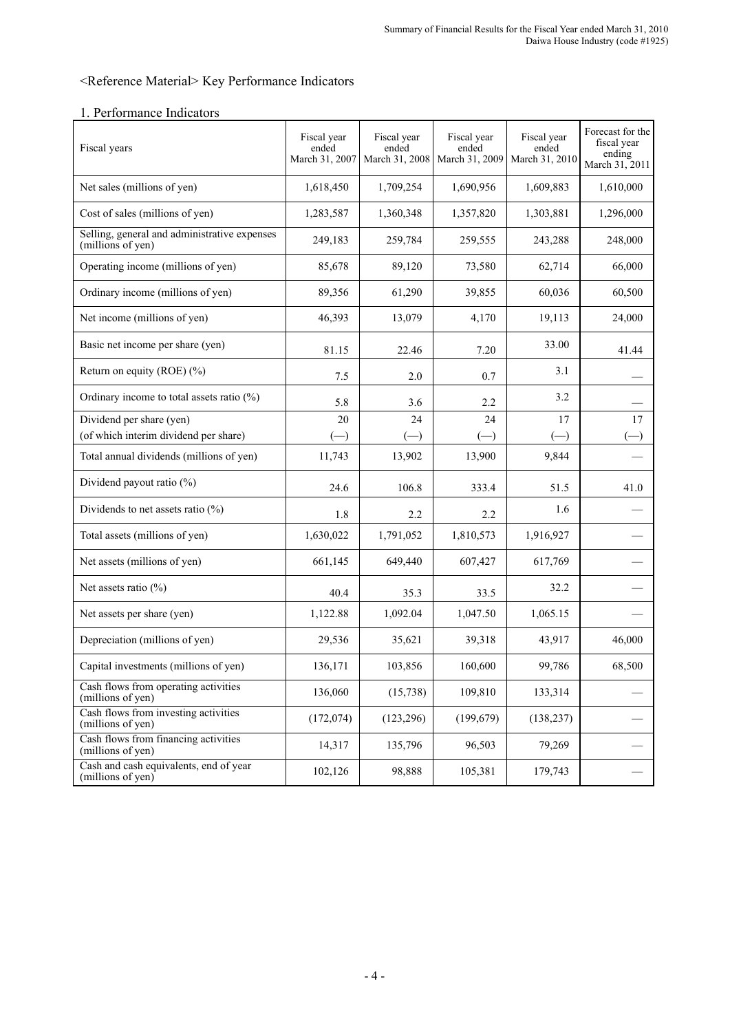# <Reference Material> Key Performance Indicators

| Fiscal years                                                      | Fiscal year<br>ended<br>March 31, 2007 | Fiscal year<br>ended<br>March 31, 2008 | Fiscal year<br>ended<br>March 31, 2009 | Fiscal year<br>ended<br>March 31, 2010 | Forecast for the<br>fiscal year<br>ending<br>March 31, 2011 |
|-------------------------------------------------------------------|----------------------------------------|----------------------------------------|----------------------------------------|----------------------------------------|-------------------------------------------------------------|
| Net sales (millions of yen)                                       | 1,618,450                              | 1,709,254                              | 1,690,956                              | 1,609,883                              | 1,610,000                                                   |
| Cost of sales (millions of yen)                                   | 1,283,587                              | 1,360,348                              | 1,357,820                              | 1,303,881                              | 1,296,000                                                   |
| Selling, general and administrative expenses<br>(millions of yen) | 249,183                                | 259,784                                | 259,555                                | 243,288                                | 248,000                                                     |
| Operating income (millions of yen)                                | 85,678                                 | 89,120                                 | 73,580                                 | 62,714                                 | 66,000                                                      |
| Ordinary income (millions of yen)                                 | 89,356                                 | 61,290                                 | 39,855                                 | 60,036                                 | 60,500                                                      |
| Net income (millions of yen)                                      | 46,393                                 | 13,079                                 | 4,170                                  | 19,113                                 | 24,000                                                      |
| Basic net income per share (yen)                                  | 81.15                                  | 22.46                                  | 7.20                                   | 33.00                                  | 41.44                                                       |
| Return on equity (ROE) $(\%)$                                     | 7.5                                    | 2.0                                    | 0.7                                    | 3.1                                    |                                                             |
| Ordinary income to total assets ratio $(\%)$                      | 5.8                                    | 3.6                                    | 2.2                                    | 3.2                                    |                                                             |
| Dividend per share (yen)                                          | 20                                     | 24                                     | 24                                     | 17                                     | 17                                                          |
| (of which interim dividend per share)                             | $(-)$                                  | $(-)$                                  | $(-)$                                  | $(-)$                                  |                                                             |
| Total annual dividends (millions of yen)                          | 11,743                                 | 13,902                                 | 13,900                                 | 9,844                                  |                                                             |
| Dividend payout ratio (%)                                         | 24.6                                   | 106.8                                  | 333.4                                  | 51.5                                   | 41.0                                                        |
| Dividends to net assets ratio $(\%)$                              | 1.8                                    | 2.2                                    | 2.2                                    | 1.6                                    |                                                             |
| Total assets (millions of yen)                                    | 1,630,022                              | 1,791,052                              | 1,810,573                              | 1,916,927                              |                                                             |
| Net assets (millions of yen)                                      | 661,145                                | 649,440                                | 607,427                                | 617,769                                |                                                             |
| Net assets ratio $(\% )$                                          | 40.4                                   | 35.3                                   | 33.5                                   | 32.2                                   |                                                             |
| Net assets per share (yen)                                        | 1,122.88                               | 1,092.04                               | 1,047.50                               | 1,065.15                               |                                                             |
| Depreciation (millions of yen)                                    | 29,536                                 | 35,621                                 | 39,318                                 | 43,917                                 | 46,000                                                      |
| Capital investments (millions of yen)                             | 136,171                                | 103,856                                | 160,600                                | 99,786                                 | 68,500                                                      |
| Cash flows from operating activities<br>(millions of yen)         | 136,060                                | (15, 738)                              | 109,810                                | 133,314                                |                                                             |
| Cash flows from investing activities<br>(millions of yen)         | (172,074)                              | (123, 296)                             | (199, 679)                             | (138, 237)                             |                                                             |
| Cash flows from financing activities<br>(millions of yen)         | 14,317                                 | 135,796                                | 96,503                                 | 79,269                                 |                                                             |
| Cash and cash equivalents, end of year<br>(millions of yen)       | 102,126                                | 98,888                                 | 105,381                                | 179,743                                |                                                             |

## 1. Performance Indicators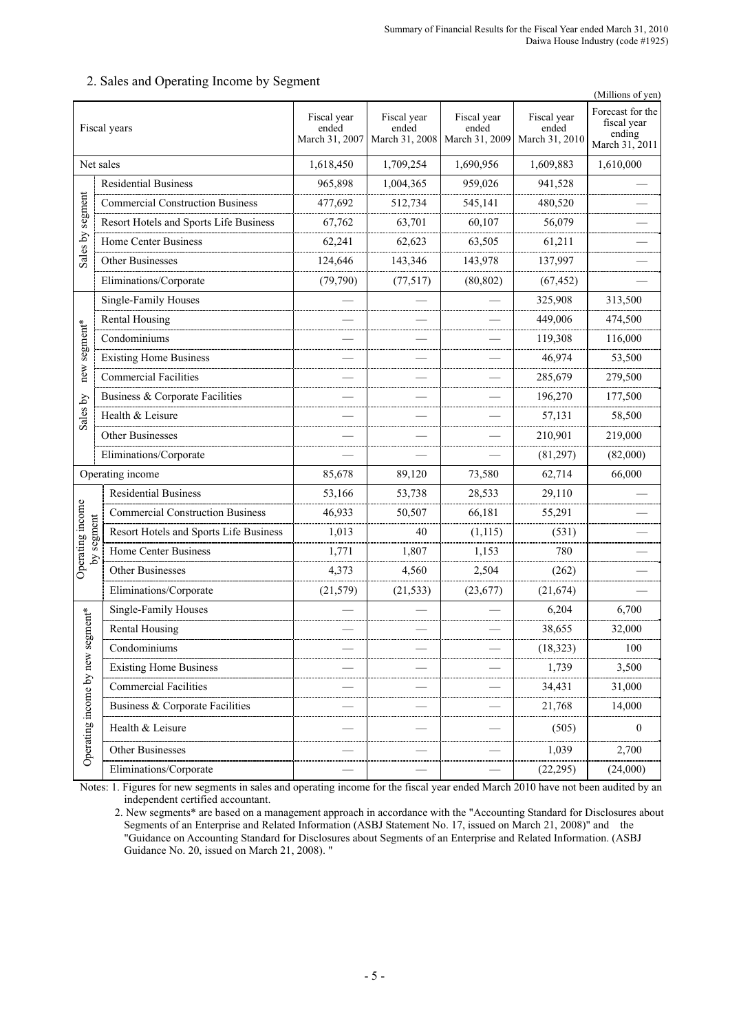|                            |                                         |                                        |                                        |                                        |                                        | (Millions of yen)                                           |
|----------------------------|-----------------------------------------|----------------------------------------|----------------------------------------|----------------------------------------|----------------------------------------|-------------------------------------------------------------|
| Fiscal years               |                                         | Fiscal year<br>ended<br>March 31, 2007 | Fiscal year<br>ended<br>March 31, 2008 | Fiscal year<br>ended<br>March 31, 2009 | Fiscal year<br>ended<br>March 31, 2010 | Forecast for the<br>fiscal year<br>ending<br>March 31, 2011 |
| Net sales                  |                                         | 1,618,450                              | 1,709,254                              | 1,690,956                              | 1,609,883                              | 1,610,000                                                   |
|                            | <b>Residential Business</b>             | 965,898                                | 1,004,365                              | 959,026                                | 941,528                                |                                                             |
| segment                    | <b>Commercial Construction Business</b> | 477,692                                | 512,734                                | 545,141                                | 480,520                                |                                                             |
|                            | Resort Hotels and Sports Life Business  | 67,762                                 | 63,701                                 | 60,107                                 | 56,079                                 |                                                             |
| Sales by                   | Home Center Business                    | 62,241                                 | 62,623                                 | 63,505                                 | 61,211                                 |                                                             |
|                            | Other Businesses                        | 124,646                                | 143,346                                | 143,978                                | 137,997                                |                                                             |
|                            | Eliminations/Corporate                  | (79, 790)                              | (77, 517)                              | (80, 802)                              | (67, 452)                              |                                                             |
|                            | Single-Family Houses                    |                                        |                                        |                                        | 325,908                                | 313,500                                                     |
|                            | Rental Housing                          |                                        |                                        |                                        | 449,006                                | 474,500                                                     |
| segment*                   | Condominiums                            |                                        |                                        |                                        | 119,308                                | 116,000                                                     |
|                            | <b>Existing Home Business</b>           |                                        |                                        |                                        | 46,974                                 | 53,500                                                      |
| new                        | <b>Commercial Facilities</b>            |                                        |                                        |                                        | 285,679                                | 279,500                                                     |
|                            | Business & Corporate Facilities         |                                        |                                        |                                        | 196,270                                | 177,500                                                     |
| Sales by                   | Health & Leisure                        |                                        |                                        |                                        | 57,131                                 | 58,500                                                      |
|                            | Other Businesses                        |                                        |                                        |                                        | 210,901                                | 219,000                                                     |
|                            | Eliminations/Corporate                  |                                        |                                        |                                        | (81, 297)                              | (82,000)                                                    |
|                            | Operating income                        | 85,678                                 | 89,120                                 | 73,580                                 | 62,714                                 | 66,000                                                      |
|                            | <b>Residential Business</b>             | 53,166                                 | 53,738                                 | 28,533                                 | 29,110                                 |                                                             |
| Operating income           | <b>Commercial Construction Business</b> | 46,933                                 | 50,507                                 | 66,181                                 | 55,291                                 |                                                             |
| by segment                 | Resort Hotels and Sports Life Business  | 1,013                                  | 40                                     | (1, 115)                               | (531)                                  |                                                             |
|                            | <b>Home Center Business</b>             | 1,771                                  | 1,807                                  | 1,153                                  | 780                                    |                                                             |
|                            | Other Businesses                        | 4,373                                  | 4,560                                  | 2,504                                  | (262)                                  |                                                             |
|                            | Eliminations/Corporate                  | (21, 579)                              | (21, 533)                              | (23, 677)                              | (21, 674)                              |                                                             |
|                            | Single-Family Houses                    |                                        |                                        |                                        | 6,204                                  | 6,700                                                       |
| gment*                     | <b>Rental Housing</b>                   |                                        |                                        |                                        | 38,655                                 | 32,000                                                      |
|                            | Condominiums                            |                                        |                                        |                                        | (18, 323)                              | 100                                                         |
|                            | <b>Existing Home Business</b>           |                                        |                                        |                                        | 1,739                                  | 3,500                                                       |
|                            | <b>Commercial Facilities</b>            |                                        |                                        |                                        | 34,431                                 | 31,000                                                      |
|                            | Business & Corporate Facilities         |                                        |                                        |                                        | 21,768                                 | 14,000                                                      |
| Operating income by new se | Health & Leisure                        |                                        |                                        |                                        | (505)                                  | $\boldsymbol{0}$                                            |
|                            | Other Businesses                        |                                        |                                        |                                        | 1,039                                  | 2,700                                                       |
|                            | Eliminations/Corporate                  |                                        |                                        |                                        | (22, 295)                              | (24,000)                                                    |
|                            |                                         |                                        |                                        |                                        |                                        |                                                             |

## 2. Sales and Operating Income by Segment

Notes: 1. Figures for new segments in sales and operating income for the fiscal year ended March 2010 have not been audited by an independent certified accountant.

 <sup>2.</sup> New segments\* are based on a management approach in accordance with the "Accounting Standard for Disclosures about Segments of an Enterprise and Related Information (ASBJ Statement No. 17, issued on March 21, 2008)" and the "Guidance on Accounting Standard for Disclosures about Segments of an Enterprise and Related Information. (ASBJ Guidance No. 20, issued on March 21, 2008). "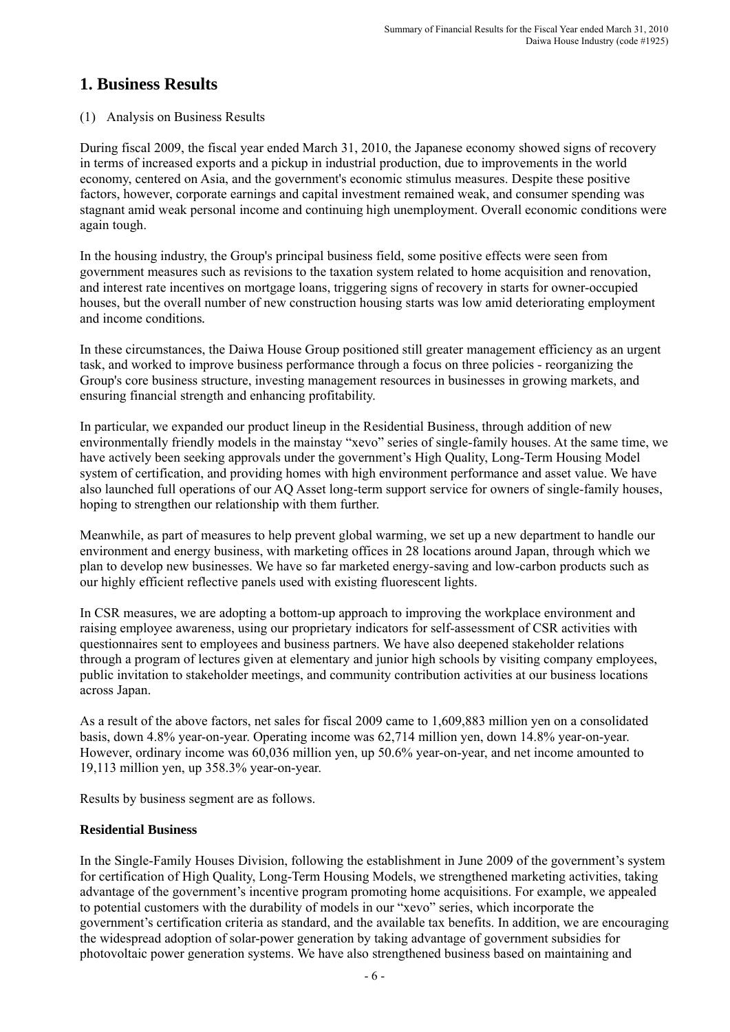# **1. Business Results**

# (1) Analysis on Business Results

During fiscal 2009, the fiscal year ended March 31, 2010, the Japanese economy showed signs of recovery in terms of increased exports and a pickup in industrial production, due to improvements in the world economy, centered on Asia, and the government's economic stimulus measures. Despite these positive factors, however, corporate earnings and capital investment remained weak, and consumer spending was stagnant amid weak personal income and continuing high unemployment. Overall economic conditions were again tough.

In the housing industry, the Group's principal business field, some positive effects were seen from government measures such as revisions to the taxation system related to home acquisition and renovation, and interest rate incentives on mortgage loans, triggering signs of recovery in starts for owner-occupied houses, but the overall number of new construction housing starts was low amid deteriorating employment and income conditions*.* 

In these circumstances, the Daiwa House Group positioned still greater management efficiency as an urgent task, and worked to improve business performance through a focus on three policies - reorganizing the Group's core business structure, investing management resources in businesses in growing markets, and ensuring financial strength and enhancing profitability.

In particular, we expanded our product lineup in the Residential Business, through addition of new environmentally friendly models in the mainstay "xevo" series of single-family houses. At the same time, we have actively been seeking approvals under the government's High Quality, Long-Term Housing Model system of certification, and providing homes with high environment performance and asset value. We have also launched full operations of our AQ Asset long-term support service for owners of single-family houses, hoping to strengthen our relationship with them further.

Meanwhile, as part of measures to help prevent global warming, we set up a new department to handle our environment and energy business, with marketing offices in 28 locations around Japan, through which we plan to develop new businesses. We have so far marketed energy-saving and low-carbon products such as our highly efficient reflective panels used with existing fluorescent lights.

In CSR measures, we are adopting a bottom-up approach to improving the workplace environment and raising employee awareness, using our proprietary indicators for self-assessment of CSR activities with questionnaires sent to employees and business partners. We have also deepened stakeholder relations through a program of lectures given at elementary and junior high schools by visiting company employees, public invitation to stakeholder meetings, and community contribution activities at our business locations across Japan.

As a result of the above factors, net sales for fiscal 2009 came to 1,609,883 million yen on a consolidated basis, down 4.8% year-on-year. Operating income was 62,714 million yen, down 14.8% year-on-year. However, ordinary income was 60,036 million yen, up 50.6% year-on-year, and net income amounted to 19,113 million yen, up 358.3% year-on-year.

Results by business segment are as follows.

# **Residential Business**

In the Single-Family Houses Division, following the establishment in June 2009 of the government's system for certification of High Quality, Long-Term Housing Models, we strengthened marketing activities, taking advantage of the government's incentive program promoting home acquisitions. For example, we appealed to potential customers with the durability of models in our "xevo" series, which incorporate the government's certification criteria as standard, and the available tax benefits. In addition, we are encouraging the widespread adoption of solar-power generation by taking advantage of government subsidies for photovoltaic power generation systems. We have also strengthened business based on maintaining and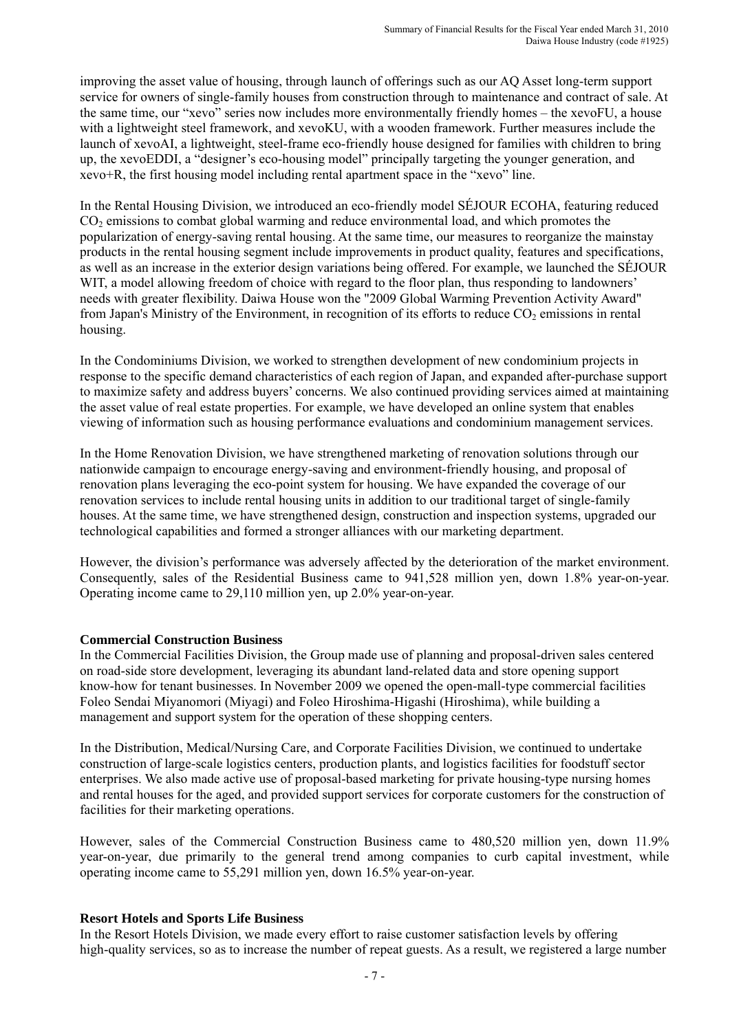improving the asset value of housing, through launch of offerings such as our AQ Asset long-term support service for owners of single-family houses from construction through to maintenance and contract of sale. At the same time, our "xevo" series now includes more environmentally friendly homes – the xevoFU, a house with a lightweight steel framework, and xevoKU, with a wooden framework. Further measures include the launch of xevoAI, a lightweight, steel-frame eco-friendly house designed for families with children to bring up, the xevoEDDI, a "designer's eco-housing model" principally targeting the younger generation, and xevo+R, the first housing model including rental apartment space in the "xevo" line.

In the Rental Housing Division, we introduced an eco-friendly model SÉJOUR ECOHA, featuring reduced  $CO<sub>2</sub>$  emissions to combat global warming and reduce environmental load, and which promotes the popularization of energy-saving rental housing. At the same time, our measures to reorganize the mainstay products in the rental housing segment include improvements in product quality, features and specifications, as well as an increase in the exterior design variations being offered. For example, we launched the SÉJOUR WIT, a model allowing freedom of choice with regard to the floor plan, thus responding to landowners' needs with greater flexibility. Daiwa House won the "2009 Global Warming Prevention Activity Award" from Japan's Ministry of the Environment, in recognition of its efforts to reduce  $CO<sub>2</sub>$  emissions in rental housing.

In the Condominiums Division, we worked to strengthen development of new condominium projects in response to the specific demand characteristics of each region of Japan, and expanded after-purchase support to maximize safety and address buyers' concerns. We also continued providing services aimed at maintaining the asset value of real estate properties. For example, we have developed an online system that enables viewing of information such as housing performance evaluations and condominium management services.

In the Home Renovation Division, we have strengthened marketing of renovation solutions through our nationwide campaign to encourage energy-saving and environment-friendly housing, and proposal of renovation plans leveraging the eco-point system for housing. We have expanded the coverage of our renovation services to include rental housing units in addition to our traditional target of single-family houses. At the same time, we have strengthened design, construction and inspection systems, upgraded our technological capabilities and formed a stronger alliances with our marketing department.

However, the division's performance was adversely affected by the deterioration of the market environment. Consequently, sales of the Residential Business came to 941,528 million yen, down 1.8% year-on-year. Operating income came to 29,110 million yen, up 2.0% year-on-year.

## **Commercial Construction Business**

In the Commercial Facilities Division, the Group made use of planning and proposal-driven sales centered on road-side store development, leveraging its abundant land-related data and store opening support know-how for tenant businesses. In November 2009 we opened the open-mall-type commercial facilities Foleo Sendai Miyanomori (Miyagi) and Foleo Hiroshima-Higashi (Hiroshima), while building a management and support system for the operation of these shopping centers.

In the Distribution, Medical/Nursing Care, and Corporate Facilities Division, we continued to undertake construction of large-scale logistics centers, production plants, and logistics facilities for foodstuff sector enterprises. We also made active use of proposal-based marketing for private housing-type nursing homes and rental houses for the aged, and provided support services for corporate customers for the construction of facilities for their marketing operations.

However, sales of the Commercial Construction Business came to 480,520 million yen, down 11.9% year-on-year, due primarily to the general trend among companies to curb capital investment, while operating income came to 55,291 million yen, down 16.5% year-on-year.

#### **Resort Hotels and Sports Life Business**

In the Resort Hotels Division, we made every effort to raise customer satisfaction levels by offering high-quality services, so as to increase the number of repeat guests. As a result, we registered a large number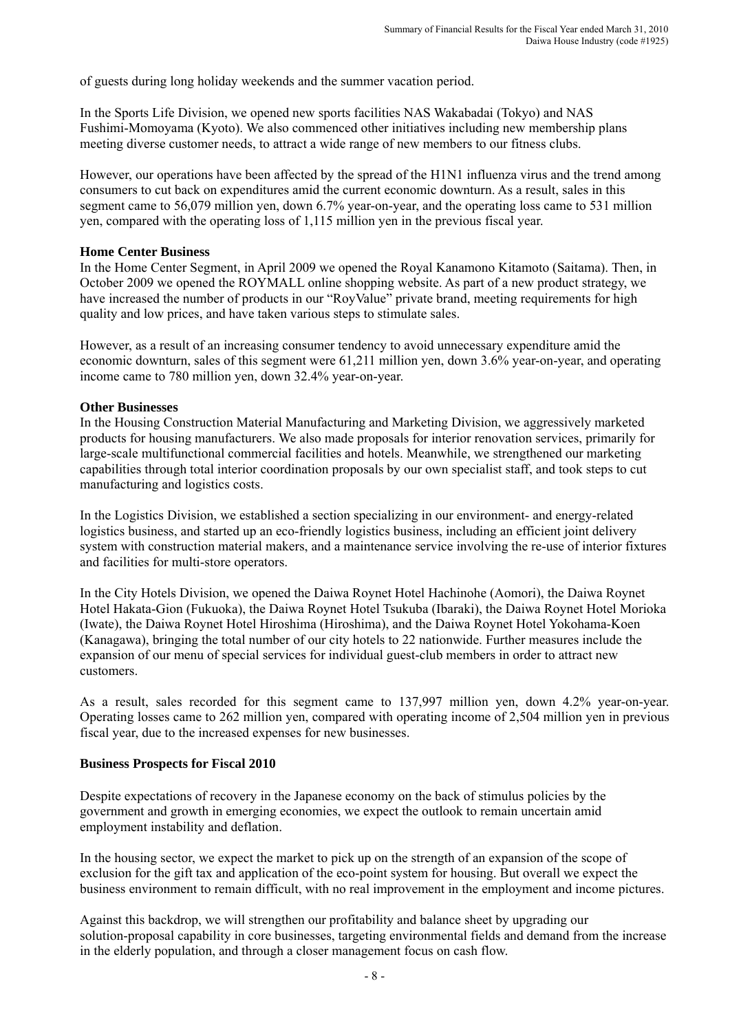of guests during long holiday weekends and the summer vacation period.

In the Sports Life Division, we opened new sports facilities NAS Wakabadai (Tokyo) and NAS Fushimi-Momoyama (Kyoto). We also commenced other initiatives including new membership plans meeting diverse customer needs, to attract a wide range of new members to our fitness clubs.

However, our operations have been affected by the spread of the H1N1 influenza virus and the trend among consumers to cut back on expenditures amid the current economic downturn. As a result, sales in this segment came to 56,079 million yen, down 6.7% year-on-year, and the operating loss came to 531 million yen, compared with the operating loss of 1,115 million yen in the previous fiscal year.

#### **Home Center Business**

In the Home Center Segment, in April 2009 we opened the Royal Kanamono Kitamoto (Saitama). Then, in October 2009 we opened the ROYMALL online shopping website. As part of a new product strategy, we have increased the number of products in our "RoyValue" private brand, meeting requirements for high quality and low prices, and have taken various steps to stimulate sales.

However, as a result of an increasing consumer tendency to avoid unnecessary expenditure amid the economic downturn, sales of this segment were 61,211 million yen, down 3.6% year-on-year, and operating income came to 780 million yen, down 32.4% year-on-year.

## **Other Businesses**

In the Housing Construction Material Manufacturing and Marketing Division, we aggressively marketed products for housing manufacturers. We also made proposals for interior renovation services, primarily for large-scale multifunctional commercial facilities and hotels. Meanwhile, we strengthened our marketing capabilities through total interior coordination proposals by our own specialist staff, and took steps to cut manufacturing and logistics costs.

In the Logistics Division, we established a section specializing in our environment- and energy-related logistics business, and started up an eco-friendly logistics business, including an efficient joint delivery system with construction material makers, and a maintenance service involving the re-use of interior fixtures and facilities for multi-store operators.

In the City Hotels Division, we opened the Daiwa Roynet Hotel Hachinohe (Aomori), the Daiwa Roynet Hotel Hakata-Gion (Fukuoka), the Daiwa Roynet Hotel Tsukuba (Ibaraki), the Daiwa Roynet Hotel Morioka (Iwate), the Daiwa Roynet Hotel Hiroshima (Hiroshima), and the Daiwa Roynet Hotel Yokohama-Koen (Kanagawa), bringing the total number of our city hotels to 22 nationwide. Further measures include the expansion of our menu of special services for individual guest-club members in order to attract new customers.

As a result, sales recorded for this segment came to 137,997 million yen, down 4.2% year-on-year. Operating losses came to 262 million yen, compared with operating income of 2,504 million yen in previous fiscal year, due to the increased expenses for new businesses.

#### **Business Prospects for Fiscal 2010**

Despite expectations of recovery in the Japanese economy on the back of stimulus policies by the government and growth in emerging economies, we expect the outlook to remain uncertain amid employment instability and deflation.

In the housing sector, we expect the market to pick up on the strength of an expansion of the scope of exclusion for the gift tax and application of the eco-point system for housing. But overall we expect the business environment to remain difficult, with no real improvement in the employment and income pictures.

Against this backdrop, we will strengthen our profitability and balance sheet by upgrading our solution-proposal capability in core businesses, targeting environmental fields and demand from the increase in the elderly population, and through a closer management focus on cash flow.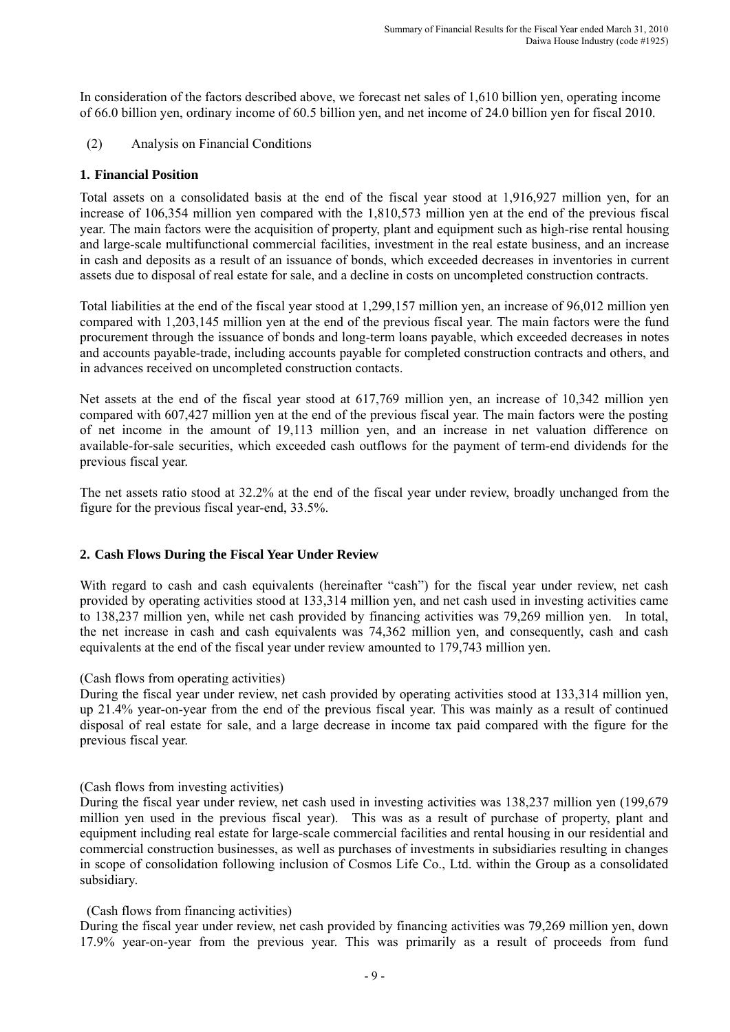In consideration of the factors described above, we forecast net sales of 1,610 billion yen, operating income of 66.0 billion yen, ordinary income of 60.5 billion yen, and net income of 24.0 billion yen for fiscal 2010.

(2) Analysis on Financial Conditions

### **1. Financial Position**

Total assets on a consolidated basis at the end of the fiscal year stood at 1,916,927 million yen, for an increase of 106,354 million yen compared with the 1,810,573 million yen at the end of the previous fiscal year. The main factors were the acquisition of property, plant and equipment such as high-rise rental housing and large-scale multifunctional commercial facilities, investment in the real estate business, and an increase in cash and deposits as a result of an issuance of bonds, which exceeded decreases in inventories in current assets due to disposal of real estate for sale, and a decline in costs on uncompleted construction contracts.

Total liabilities at the end of the fiscal year stood at 1,299,157 million yen, an increase of 96,012 million yen compared with 1,203,145 million yen at the end of the previous fiscal year. The main factors were the fund procurement through the issuance of bonds and long-term loans payable, which exceeded decreases in notes and accounts payable-trade, including accounts payable for completed construction contracts and others, and in advances received on uncompleted construction contacts.

Net assets at the end of the fiscal year stood at 617,769 million yen, an increase of 10,342 million yen compared with 607,427 million yen at the end of the previous fiscal year. The main factors were the posting of net income in the amount of 19,113 million yen, and an increase in net valuation difference on available-for-sale securities, which exceeded cash outflows for the payment of term-end dividends for the previous fiscal year.

The net assets ratio stood at 32.2% at the end of the fiscal year under review, broadly unchanged from the figure for the previous fiscal year-end, 33.5%.

## **2. Cash Flows During the Fiscal Year Under Review**

With regard to cash and cash equivalents (hereinafter "cash") for the fiscal year under review, net cash provided by operating activities stood at 133,314 million yen, and net cash used in investing activities came to 138,237 million yen, while net cash provided by financing activities was 79,269 million yen. In total, the net increase in cash and cash equivalents was 74,362 million yen, and consequently, cash and cash equivalents at the end of the fiscal year under review amounted to 179,743 million yen.

#### (Cash flows from operating activities)

During the fiscal year under review, net cash provided by operating activities stood at 133,314 million yen, up 21.4% year-on-year from the end of the previous fiscal year. This was mainly as a result of continued disposal of real estate for sale, and a large decrease in income tax paid compared with the figure for the previous fiscal year.

#### (Cash flows from investing activities)

During the fiscal year under review, net cash used in investing activities was 138,237 million yen (199,679 million yen used in the previous fiscal year). This was as a result of purchase of property, plant and equipment including real estate for large-scale commercial facilities and rental housing in our residential and commercial construction businesses, as well as purchases of investments in subsidiaries resulting in changes in scope of consolidation following inclusion of Cosmos Life Co., Ltd. within the Group as a consolidated subsidiary.

#### (Cash flows from financing activities)

During the fiscal year under review, net cash provided by financing activities was 79,269 million yen, down 17.9% year-on-year from the previous year. This was primarily as a result of proceeds from fund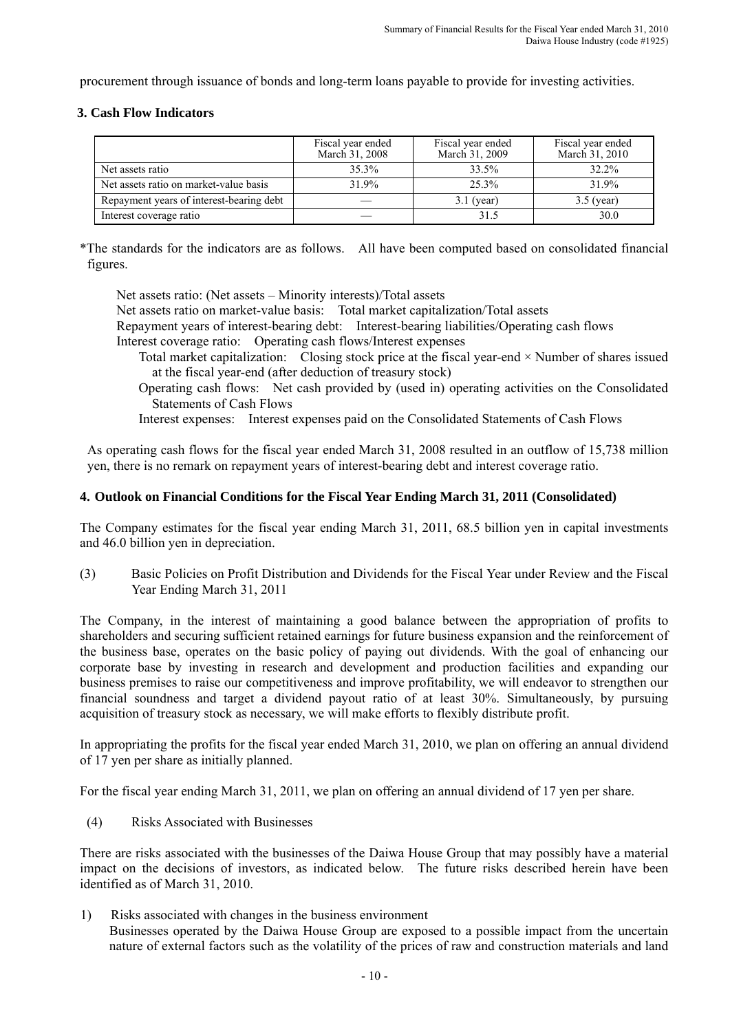procurement through issuance of bonds and long-term loans payable to provide for investing activities.

### **3. Cash Flow Indicators**

|                                          | Fiscal year ended<br>March 31, 2008 | Fiscal year ended<br>March 31, 2009 | Fiscal year ended<br>March 31, 2010 |
|------------------------------------------|-------------------------------------|-------------------------------------|-------------------------------------|
| Net assets ratio                         | $35.3\%$                            | 33.5%                               | 32.2%                               |
| Net assets ratio on market-value basis   | 31.9%                               | 25.3%                               | 31.9%                               |
| Repayment years of interest-bearing debt |                                     | $3.1$ (year)                        | $3.5$ (year)                        |
| Interest coverage ratio                  |                                     | 31.5                                | 30.0                                |

\*The standards for the indicators are as follows. All have been computed based on consolidated financial figures.

Net assets ratio: (Net assets – Minority interests)/Total assets Net assets ratio on market-value basis: Total market capitalization/Total assets Repayment years of interest-bearing debt: Interest-bearing liabilities/Operating cash flows Interest coverage ratio: Operating cash flows/Interest expenses

- Total market capitalization: Closing stock price at the fiscal year-end × Number of shares issued at the fiscal year-end (after deduction of treasury stock)
- Operating cash flows: Net cash provided by (used in) operating activities on the Consolidated Statements of Cash Flows

Interest expenses: Interest expenses paid on the Consolidated Statements of Cash Flows

As operating cash flows for the fiscal year ended March 31, 2008 resulted in an outflow of 15,738 million yen, there is no remark on repayment years of interest-bearing debt and interest coverage ratio.

## **4. Outlook on Financial Conditions for the Fiscal Year Ending March 31, 2011 (Consolidated)**

The Company estimates for the fiscal year ending March 31, 2011, 68.5 billion yen in capital investments and 46.0 billion yen in depreciation.

(3) Basic Policies on Profit Distribution and Dividends for the Fiscal Year under Review and the Fiscal Year Ending March 31, 2011

The Company, in the interest of maintaining a good balance between the appropriation of profits to shareholders and securing sufficient retained earnings for future business expansion and the reinforcement of the business base, operates on the basic policy of paying out dividends. With the goal of enhancing our corporate base by investing in research and development and production facilities and expanding our business premises to raise our competitiveness and improve profitability, we will endeavor to strengthen our financial soundness and target a dividend payout ratio of at least 30%. Simultaneously, by pursuing acquisition of treasury stock as necessary, we will make efforts to flexibly distribute profit.

In appropriating the profits for the fiscal year ended March 31, 2010, we plan on offering an annual dividend of 17 yen per share as initially planned.

For the fiscal year ending March 31, 2011, we plan on offering an annual dividend of 17 yen per share.

(4) Risks Associated with Businesses

There are risks associated with the businesses of the Daiwa House Group that may possibly have a material impact on the decisions of investors, as indicated below. The future risks described herein have been identified as of March 31, 2010.

1) Risks associated with changes in the business environment Businesses operated by the Daiwa House Group are exposed to a possible impact from the uncertain nature of external factors such as the volatility of the prices of raw and construction materials and land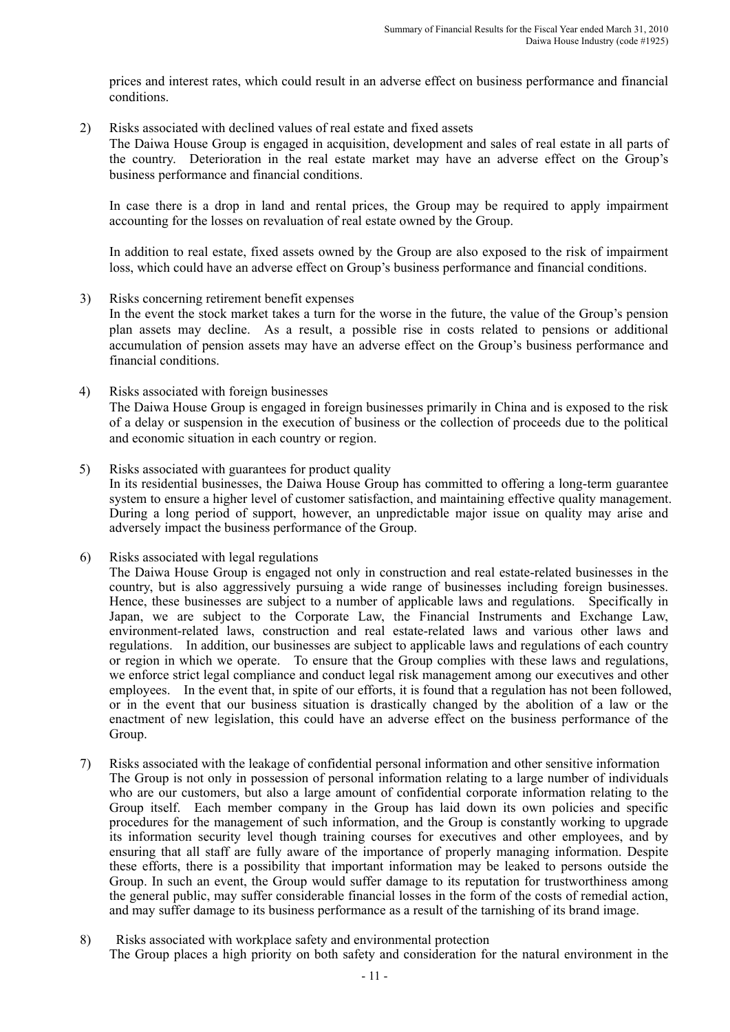prices and interest rates, which could result in an adverse effect on business performance and financial conditions.

2) Risks associated with declined values of real estate and fixed assets

The Daiwa House Group is engaged in acquisition, development and sales of real estate in all parts of the country. Deterioration in the real estate market may have an adverse effect on the Group's business performance and financial conditions.

In case there is a drop in land and rental prices, the Group may be required to apply impairment accounting for the losses on revaluation of real estate owned by the Group.

In addition to real estate, fixed assets owned by the Group are also exposed to the risk of impairment loss, which could have an adverse effect on Group's business performance and financial conditions.

3) Risks concerning retirement benefit expenses

In the event the stock market takes a turn for the worse in the future, the value of the Group's pension plan assets may decline. As a result, a possible rise in costs related to pensions or additional accumulation of pension assets may have an adverse effect on the Group's business performance and financial conditions.

- 4) Risks associated with foreign businesses The Daiwa House Group is engaged in foreign businesses primarily in China and is exposed to the risk of a delay or suspension in the execution of business or the collection of proceeds due to the political and economic situation in each country or region.
- 5) Risks associated with guarantees for product quality In its residential businesses, the Daiwa House Group has committed to offering a long-term guarantee system to ensure a higher level of customer satisfaction, and maintaining effective quality management. During a long period of support, however, an unpredictable major issue on quality may arise and adversely impact the business performance of the Group.
- 6) Risks associated with legal regulations

The Daiwa House Group is engaged not only in construction and real estate-related businesses in the country, but is also aggressively pursuing a wide range of businesses including foreign businesses. Hence, these businesses are subject to a number of applicable laws and regulations. Specifically in Japan, we are subject to the Corporate Law, the Financial Instruments and Exchange Law, environment-related laws, construction and real estate-related laws and various other laws and regulations. In addition, our businesses are subject to applicable laws and regulations of each country or region in which we operate. To ensure that the Group complies with these laws and regulations, we enforce strict legal compliance and conduct legal risk management among our executives and other employees. In the event that, in spite of our efforts, it is found that a regulation has not been followed, or in the event that our business situation is drastically changed by the abolition of a law or the enactment of new legislation, this could have an adverse effect on the business performance of the Group.

- 7) Risks associated with the leakage of confidential personal information and other sensitive information The Group is not only in possession of personal information relating to a large number of individuals who are our customers, but also a large amount of confidential corporate information relating to the Group itself. Each member company in the Group has laid down its own policies and specific procedures for the management of such information, and the Group is constantly working to upgrade its information security level though training courses for executives and other employees, and by ensuring that all staff are fully aware of the importance of properly managing information. Despite these efforts, there is a possibility that important information may be leaked to persons outside the Group. In such an event, the Group would suffer damage to its reputation for trustworthiness among the general public, may suffer considerable financial losses in the form of the costs of remedial action, and may suffer damage to its business performance as a result of the tarnishing of its brand image.
- 8) Risks associated with workplace safety and environmental protection The Group places a high priority on both safety and consideration for the natural environment in the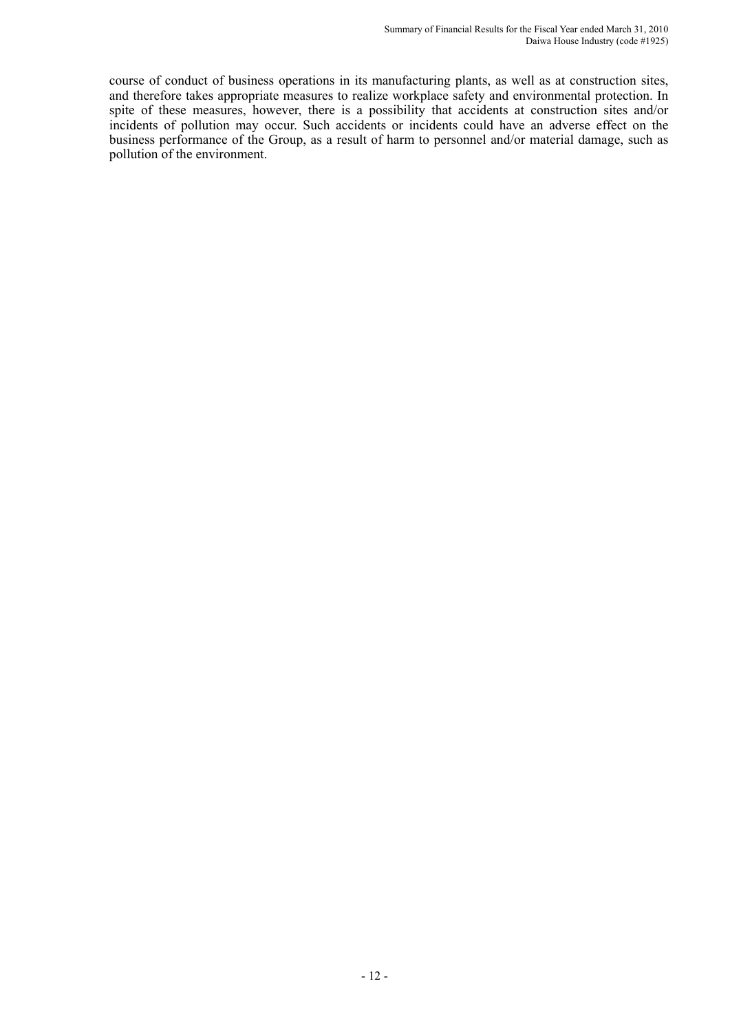course of conduct of business operations in its manufacturing plants, as well as at construction sites, and therefore takes appropriate measures to realize workplace safety and environmental protection. In spite of these measures, however, there is a possibility that accidents at construction sites and/or incidents of pollution may occur. Such accidents or incidents could have an adverse effect on the business performance of the Group, as a result of harm to personnel and/or material damage, such as pollution of the environment.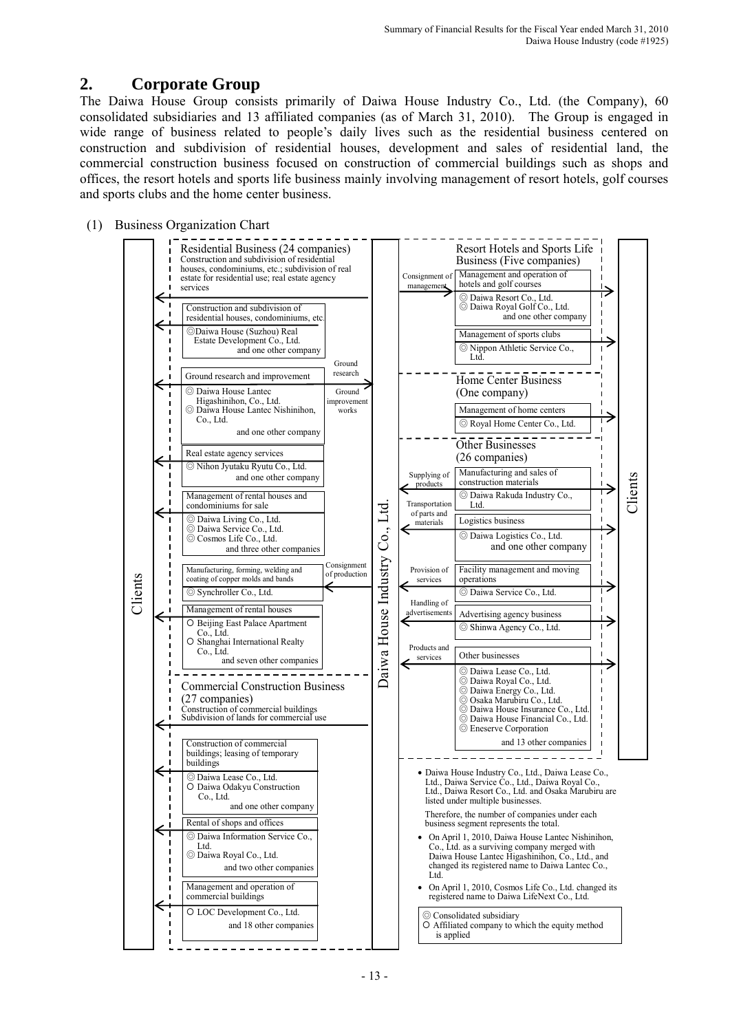# **2. Corporate Group**

The Daiwa House Group consists primarily of Daiwa House Industry Co., Ltd. (the Company), 60 consolidated subsidiaries and 13 affiliated companies (as of March 31, 2010). The Group is engaged in wide range of business related to people's daily lives such as the residential business centered on construction and subdivision of residential houses, development and sales of residential land, the commercial construction business focused on construction of commercial buildings such as shops and offices, the resort hotels and sports life business mainly involving management of resort hotels, golf courses and sports clubs and the home center business.

## (1) Business Organization Chart

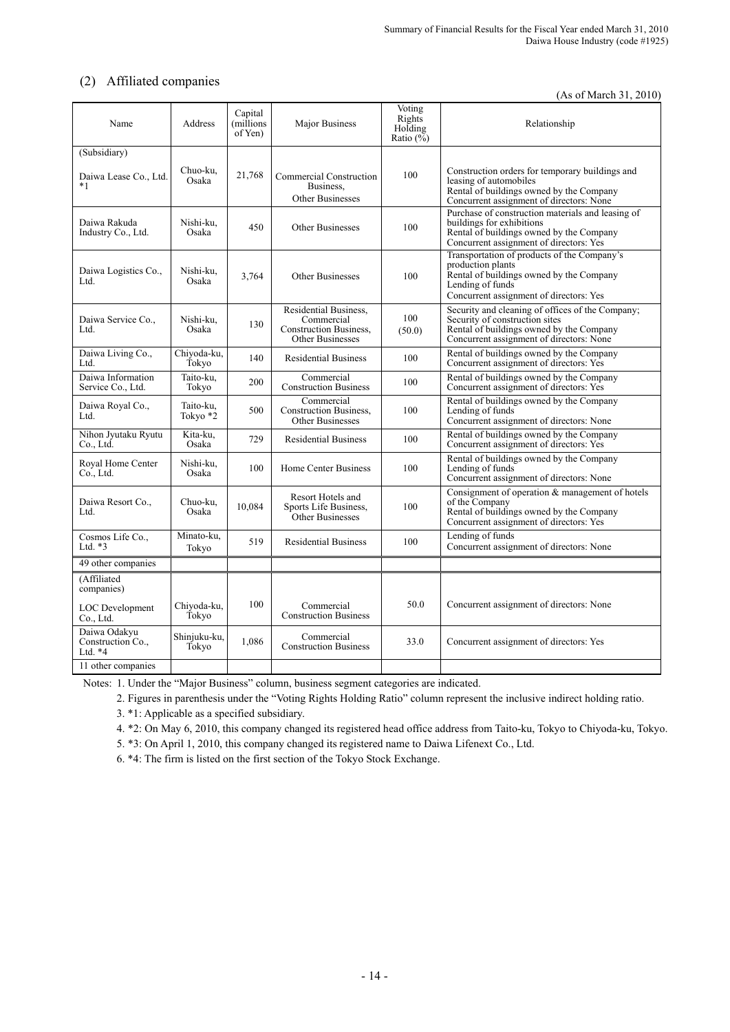# (2) Affiliated companies

(As of March 31, 2010)

| Name                                           | Address               | Capital<br>millions)<br>of Yen) | Major Business                                                                           | Voting<br>Rights<br>Holding<br>Ratio $(\%$ | Relationship                                                                                                                                                                |
|------------------------------------------------|-----------------------|---------------------------------|------------------------------------------------------------------------------------------|--------------------------------------------|-----------------------------------------------------------------------------------------------------------------------------------------------------------------------------|
| (Subsidiary)                                   |                       |                                 |                                                                                          |                                            |                                                                                                                                                                             |
| Daiwa Lease Co., Ltd.<br>$*1$                  | Chuo-ku,<br>Osaka     | 21,768                          | Commercial Construction<br>Business.<br>Other Businesses                                 | 100                                        | Construction orders for temporary buildings and<br>leasing of automobiles<br>Rental of buildings owned by the Company<br>Concurrent assignment of directors: None           |
| Daiwa Rakuda<br>Industry Co., Ltd.             | Nishi-ku,<br>Osaka    | 450                             | <b>Other Businesses</b>                                                                  | 100                                        | Purchase of construction materials and leasing of<br>buildings for exhibitions<br>Rental of buildings owned by the Company<br>Concurrent assignment of directors: Yes       |
| Daiwa Logistics Co.,<br>Ltd.                   | Nishi-ku.<br>Osaka    | 3,764                           | Other Businesses                                                                         | 100                                        | Transportation of products of the Company's<br>production plants<br>Rental of buildings owned by the Company<br>Lending of funds<br>Concurrent assignment of directors: Yes |
| Daiwa Service Co.,<br>Ltd.                     | Nishi-ku,<br>Osaka    | 130                             | Residential Business.<br>Commercial<br><b>Construction Business,</b><br>Other Businesses | 100<br>(50.0)                              | Security and cleaning of offices of the Company;<br>Security of construction sites<br>Rental of buildings owned by the Company<br>Concurrent assignment of directors: None  |
| Daiwa Living Co.,<br>Ltd.                      | Chiyoda-ku,<br>Tokyo  | 140                             | <b>Residential Business</b>                                                              | 100                                        | Rental of buildings owned by the Company<br>Concurrent assignment of directors: Yes                                                                                         |
| Daiwa Information<br>Service Co., Ltd.         | Taito-ku.<br>Tokyo    | 200                             | Commercial<br><b>Construction Business</b>                                               | 100                                        | Rental of buildings owned by the Company<br>Concurrent assignment of directors: Yes                                                                                         |
| Daiwa Royal Co.,<br>Ltd.                       | Taito-ku.<br>Tokyo *2 | 500                             | Commercial<br><b>Construction Business,</b><br><b>Other Businesses</b>                   | 100                                        | Rental of buildings owned by the Company<br>Lending of funds<br>Concurrent assignment of directors: None                                                                    |
| Nihon Jyutaku Ryutu<br>Co., Ltd.               | Kita-ku.<br>Osaka     | 729                             | <b>Residential Business</b>                                                              | 100                                        | Rental of buildings owned by the Company<br>Concurrent assignment of directors: Yes                                                                                         |
| Royal Home Center<br>Co., Ltd.                 | Nishi-ku,<br>Osaka    | 100                             | <b>Home Center Business</b>                                                              | 100                                        | Rental of buildings owned by the Company<br>Lending of funds<br>Concurrent assignment of directors: None                                                                    |
| Daiwa Resort Co.,<br>Ltd.                      | Chuo-ku,<br>Osaka     | 10,084                          | Resort Hotels and<br>Sports Life Business.<br>Other Businesses                           | 100                                        | Consignment of operation & management of hotels<br>of the Company<br>Rental of buildings owned by the Company<br>Concurrent assignment of directors: Yes                    |
| Cosmos Life Co.,<br>Ltd. $*3$                  | Minato-ku,<br>Tokyo   | 519                             | <b>Residential Business</b>                                                              | 100                                        | Lending of funds<br>Concurrent assignment of directors: None                                                                                                                |
| 49 other companies                             |                       |                                 |                                                                                          |                                            |                                                                                                                                                                             |
| (Affiliated<br>companies)                      |                       |                                 |                                                                                          |                                            |                                                                                                                                                                             |
| <b>LOC</b> Development<br>Co., Ltd.            | Chiyoda-ku,<br>Tokyo  | 100                             | Commercial<br><b>Construction Business</b>                                               | 50.0                                       | Concurrent assignment of directors: None                                                                                                                                    |
| Daiwa Odakyu<br>Construction Co.,<br>Ltd. $*4$ | Shinjuku-ku,<br>Tokyo | 1,086                           | Commercial<br><b>Construction Business</b>                                               | 33.0                                       | Concurrent assignment of directors: Yes                                                                                                                                     |
| 11 other companies                             |                       |                                 |                                                                                          |                                            |                                                                                                                                                                             |

Notes: 1. Under the "Major Business" column, business segment categories are indicated.

2. Figures in parenthesis under the "Voting Rights Holding Ratio" column represent the inclusive indirect holding ratio.

3. \*1: Applicable as a specified subsidiary.

4. \*2: On May 6, 2010, this company changed its registered head office address from Taito-ku, Tokyo to Chiyoda-ku, Tokyo.

5. \*3: On April 1, 2010, this company changed its registered name to Daiwa Lifenext Co., Ltd.

6. \*4: The firm is listed on the first section of the Tokyo Stock Exchange.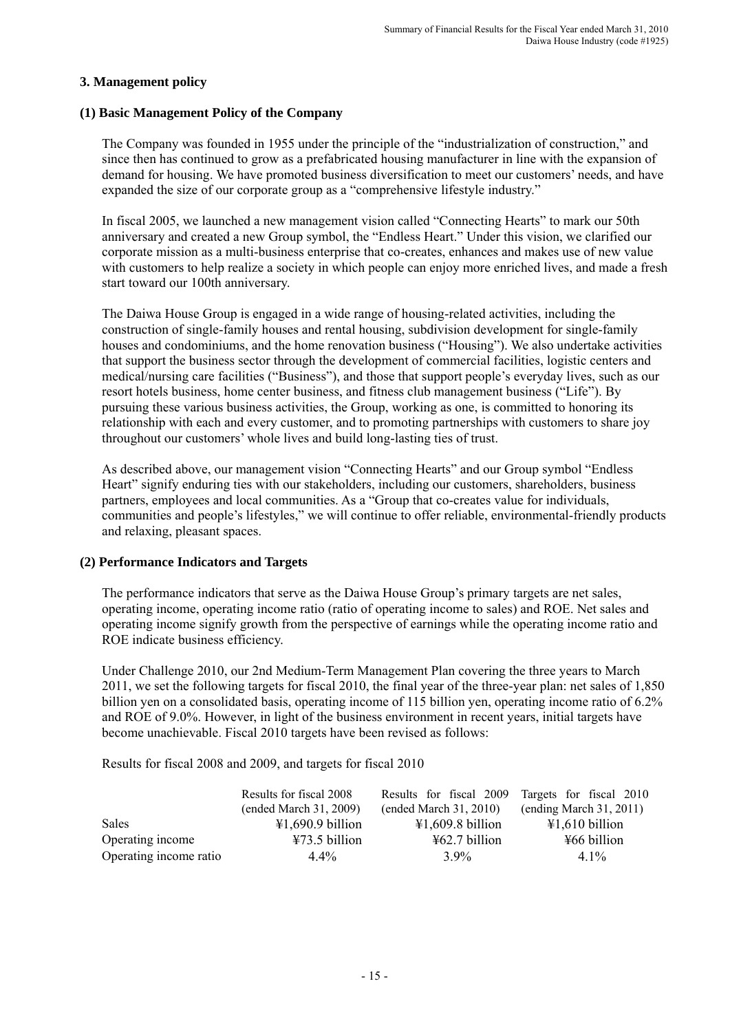## **3. Management policy**

### **(1) Basic Management Policy of the Company**

The Company was founded in 1955 under the principle of the "industrialization of construction," and since then has continued to grow as a prefabricated housing manufacturer in line with the expansion of demand for housing. We have promoted business diversification to meet our customers' needs, and have expanded the size of our corporate group as a "comprehensive lifestyle industry."

In fiscal 2005, we launched a new management vision called "Connecting Hearts" to mark our 50th anniversary and created a new Group symbol, the "Endless Heart." Under this vision, we clarified our corporate mission as a multi-business enterprise that co-creates, enhances and makes use of new value with customers to help realize a society in which people can enjoy more enriched lives, and made a fresh start toward our 100th anniversary.

The Daiwa House Group is engaged in a wide range of housing-related activities, including the construction of single-family houses and rental housing, subdivision development for single-family houses and condominiums, and the home renovation business ("Housing"). We also undertake activities that support the business sector through the development of commercial facilities, logistic centers and medical/nursing care facilities ("Business"), and those that support people's everyday lives, such as our resort hotels business, home center business, and fitness club management business ("Life"). By pursuing these various business activities, the Group, working as one, is committed to honoring its relationship with each and every customer, and to promoting partnerships with customers to share joy throughout our customers' whole lives and build long-lasting ties of trust.

As described above, our management vision "Connecting Hearts" and our Group symbol "Endless Heart" signify enduring ties with our stakeholders, including our customers, shareholders, business partners, employees and local communities. As a "Group that co-creates value for individuals, communities and people's lifestyles," we will continue to offer reliable, environmental-friendly products and relaxing, pleasant spaces.

## **(2) Performance Indicators and Targets**

The performance indicators that serve as the Daiwa House Group's primary targets are net sales, operating income, operating income ratio (ratio of operating income to sales) and ROE. Net sales and operating income signify growth from the perspective of earnings while the operating income ratio and ROE indicate business efficiency.

Under Challenge 2010, our 2nd Medium-Term Management Plan covering the three years to March 2011, we set the following targets for fiscal 2010, the final year of the three-year plan: net sales of 1,850 billion yen on a consolidated basis, operating income of 115 billion yen, operating income ratio of 6.2% and ROE of 9.0%. However, in light of the business environment in recent years, initial targets have become unachievable. Fiscal 2010 targets have been revised as follows:

Results for fiscal 2008 and 2009, and targets for fiscal 2010

|                        | Results for fiscal 2008<br>(ended March 31, 2009) | Results for fiscal 2009<br>$($ ended March 31, 2010) | Targets for fiscal 2010<br>(ending March 31, 2011) |
|------------------------|---------------------------------------------------|------------------------------------------------------|----------------------------------------------------|
| Sales                  | $\text{\#1,690.9}$ billion                        | $\text{\textsterling}1,609.8\text{ billion}$         | $\text{\textsterling}1,610$ billion                |
| Operating income       | $\text{\textsterling}73.5$ billion                | $\frac{1}{2}62.7$ billion                            | $\frac{1}{2}66$ billion                            |
| Operating income ratio | $4.4\%$                                           | $3.9\%$                                              | $41\%$                                             |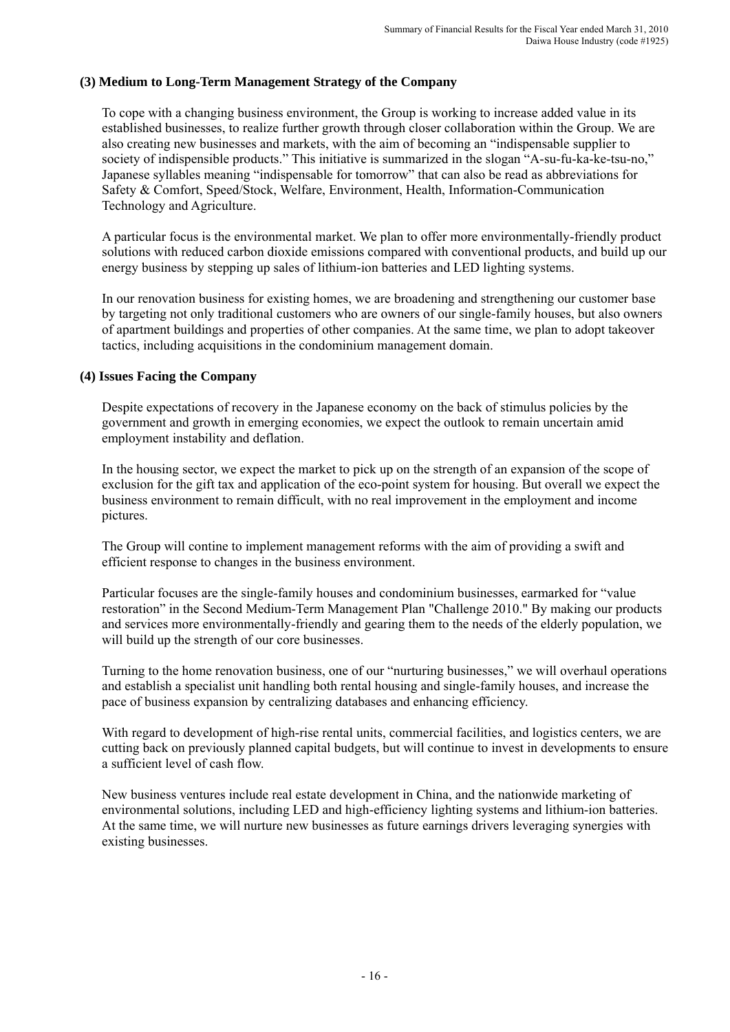# **(3) Medium to Long-Term Management Strategy of the Company**

To cope with a changing business environment, the Group is working to increase added value in its established businesses, to realize further growth through closer collaboration within the Group. We are also creating new businesses and markets, with the aim of becoming an "indispensable supplier to society of indispensible products." This initiative is summarized in the slogan "A-su-fu-ka-ke-tsu-no," Japanese syllables meaning "indispensable for tomorrow" that can also be read as abbreviations for Safety & Comfort, Speed/Stock, Welfare, Environment, Health, Information-Communication Technology and Agriculture.

A particular focus is the environmental market. We plan to offer more environmentally-friendly product solutions with reduced carbon dioxide emissions compared with conventional products, and build up our energy business by stepping up sales of lithium-ion batteries and LED lighting systems.

In our renovation business for existing homes, we are broadening and strengthening our customer base by targeting not only traditional customers who are owners of our single-family houses, but also owners of apartment buildings and properties of other companies. At the same time, we plan to adopt takeover tactics, including acquisitions in the condominium management domain.

## **(4) Issues Facing the Company**

Despite expectations of recovery in the Japanese economy on the back of stimulus policies by the government and growth in emerging economies, we expect the outlook to remain uncertain amid employment instability and deflation.

In the housing sector, we expect the market to pick up on the strength of an expansion of the scope of exclusion for the gift tax and application of the eco-point system for housing. But overall we expect the business environment to remain difficult, with no real improvement in the employment and income pictures.

The Group will contine to implement management reforms with the aim of providing a swift and efficient response to changes in the business environment.

Particular focuses are the single-family houses and condominium businesses, earmarked for "value restoration" in the Second Medium-Term Management Plan "Challenge 2010." By making our products and services more environmentally-friendly and gearing them to the needs of the elderly population, we will build up the strength of our core businesses.

Turning to the home renovation business, one of our "nurturing businesses," we will overhaul operations and establish a specialist unit handling both rental housing and single-family houses, and increase the pace of business expansion by centralizing databases and enhancing efficiency.

With regard to development of high-rise rental units, commercial facilities, and logistics centers, we are cutting back on previously planned capital budgets, but will continue to invest in developments to ensure a sufficient level of cash flow.

New business ventures include real estate development in China, and the nationwide marketing of environmental solutions, including LED and high-efficiency lighting systems and lithium-ion batteries. At the same time, we will nurture new businesses as future earnings drivers leveraging synergies with existing businesses.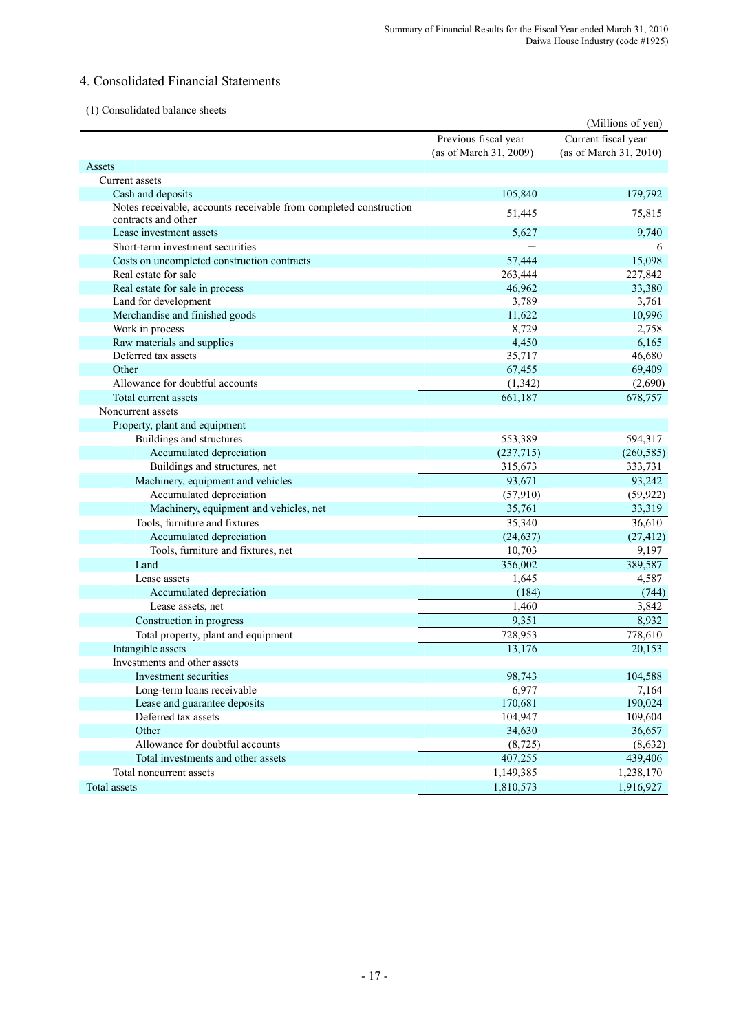# 4. Consolidated Financial Statements

#### (1) Consolidated balance sheets

|                                                                                          |                                                | (Millions of yen)                             |
|------------------------------------------------------------------------------------------|------------------------------------------------|-----------------------------------------------|
|                                                                                          | Previous fiscal year<br>(as of March 31, 2009) | Current fiscal year<br>(as of March 31, 2010) |
| Assets                                                                                   |                                                |                                               |
| Current assets                                                                           |                                                |                                               |
| Cash and deposits                                                                        | 105,840                                        | 179,792                                       |
| Notes receivable, accounts receivable from completed construction<br>contracts and other | 51,445                                         | 75,815                                        |
| Lease investment assets                                                                  | 5,627                                          | 9,740                                         |
| Short-term investment securities                                                         |                                                | 6                                             |
| Costs on uncompleted construction contracts                                              | 57,444                                         | 15,098                                        |
| Real estate for sale                                                                     | 263,444                                        | 227,842                                       |
| Real estate for sale in process                                                          | 46,962                                         | 33,380                                        |
| Land for development                                                                     | 3,789                                          | 3,761                                         |
| Merchandise and finished goods                                                           | 11,622                                         | 10,996                                        |
| Work in process                                                                          | 8,729                                          | 2,758                                         |
| Raw materials and supplies                                                               | 4,450                                          | 6,165                                         |
| Deferred tax assets                                                                      | 35,717                                         | 46,680                                        |
| Other                                                                                    | 67,455                                         | 69,409                                        |
| Allowance for doubtful accounts                                                          | (1, 342)                                       | (2,690)                                       |
| Total current assets                                                                     | 661,187                                        | 678,757                                       |
| Noncurrent assets                                                                        |                                                |                                               |
| Property, plant and equipment                                                            |                                                |                                               |
| Buildings and structures                                                                 | 553,389                                        | 594,317                                       |
| Accumulated depreciation                                                                 | (237,715)                                      | (260, 585)                                    |
| Buildings and structures, net                                                            | 315,673                                        | 333,731                                       |
| Machinery, equipment and vehicles                                                        | 93,671                                         | 93,242                                        |
| Accumulated depreciation                                                                 | (57, 910)                                      | (59, 922)                                     |
| Machinery, equipment and vehicles, net                                                   | 35,761                                         | 33,319                                        |
| Tools, furniture and fixtures                                                            | 35,340                                         | 36,610                                        |
| Accumulated depreciation                                                                 | (24, 637)                                      | (27, 412)                                     |
| Tools, furniture and fixtures, net                                                       | 10,703                                         | 9,197                                         |
| Land                                                                                     | 356,002                                        | 389,587                                       |
| Lease assets                                                                             | 1,645                                          | 4,587                                         |
| Accumulated depreciation                                                                 | (184)                                          | (744)                                         |
| Lease assets, net                                                                        | 1,460                                          | 3,842                                         |
| Construction in progress                                                                 | 9,351                                          | 8,932                                         |
| Total property, plant and equipment                                                      | 728,953                                        | 778,610                                       |
| Intangible assets                                                                        | 13,176                                         | 20,153                                        |
| Investments and other assets                                                             |                                                |                                               |
| Investment securities                                                                    | 98,743                                         | 104,588                                       |
| Long-term loans receivable                                                               | 6,977                                          | 7,164                                         |
| Lease and guarantee deposits                                                             | 170,681                                        | 190,024                                       |
| Deferred tax assets                                                                      | 104,947                                        | 109,604                                       |
| Other                                                                                    | 34,630                                         | 36,657                                        |
| Allowance for doubtful accounts                                                          | (8, 725)                                       | (8,632)                                       |
| Total investments and other assets                                                       | 407,255                                        | 439,406                                       |
| Total noncurrent assets                                                                  | 1,149,385                                      | 1,238,170                                     |
| Total assets                                                                             | 1,810,573                                      | 1,916,927                                     |
|                                                                                          |                                                |                                               |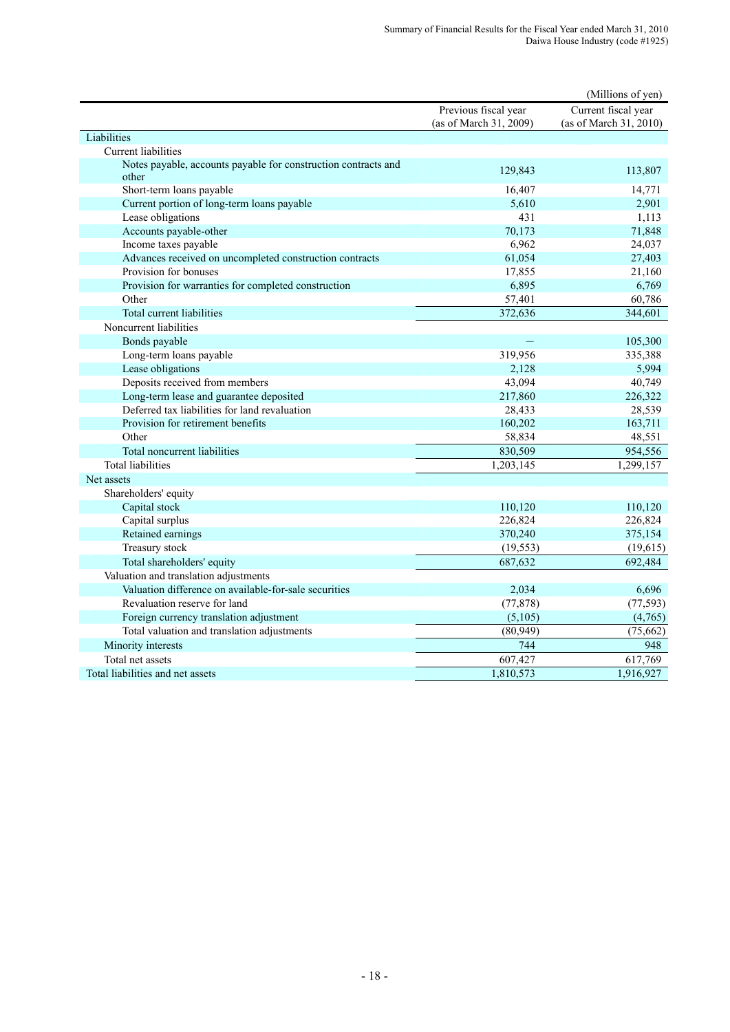|                                                                         |                        | (Millions of yen)      |
|-------------------------------------------------------------------------|------------------------|------------------------|
|                                                                         | Previous fiscal year   | Current fiscal year    |
|                                                                         | (as of March 31, 2009) | (as of March 31, 2010) |
| Liabilities                                                             |                        |                        |
| Current liabilities                                                     |                        |                        |
| Notes payable, accounts payable for construction contracts and<br>other | 129,843                | 113,807                |
| Short-term loans payable                                                | 16,407                 | 14,771                 |
| Current portion of long-term loans payable                              | 5,610                  | 2,901                  |
| Lease obligations                                                       | 431                    | 1,113                  |
| Accounts payable-other                                                  | 70,173                 | 71,848                 |
| Income taxes payable                                                    | 6,962                  | 24,037                 |
| Advances received on uncompleted construction contracts                 | 61,054                 | 27,403                 |
| Provision for bonuses                                                   | 17,855                 | 21,160                 |
| Provision for warranties for completed construction                     | 6,895                  | 6,769                  |
| Other                                                                   | 57,401                 | 60,786                 |
| Total current liabilities                                               | 372,636                | 344,601                |
| Noncurrent liabilities                                                  |                        |                        |
| Bonds payable                                                           |                        | 105,300                |
| Long-term loans payable                                                 | 319,956                | 335,388                |
| Lease obligations                                                       | 2,128                  | 5,994                  |
| Deposits received from members                                          | 43,094                 | 40,749                 |
| Long-term lease and guarantee deposited                                 | 217,860                | 226,322                |
| Deferred tax liabilities for land revaluation                           | 28,433                 | 28,539                 |
| Provision for retirement benefits                                       | 160,202                | 163,711                |
| Other                                                                   | 58,834                 | 48,551                 |
| Total noncurrent liabilities                                            | 830,509                | 954,556                |
| <b>Total liabilities</b>                                                | 1,203,145              | 1,299,157              |
| Net assets                                                              |                        |                        |
| Shareholders' equity                                                    |                        |                        |
| Capital stock                                                           | 110,120                | 110,120                |
| Capital surplus                                                         | 226,824                | 226,824                |
| Retained earnings                                                       | 370,240                | 375,154                |
| Treasury stock                                                          | (19, 553)              | (19,615)               |
| Total shareholders' equity                                              | 687,632                | 692,484                |
| Valuation and translation adjustments                                   |                        |                        |
| Valuation difference on available-for-sale securities                   | 2,034                  | 6,696                  |
| Revaluation reserve for land                                            | (77, 878)              | (77, 593)              |
| Foreign currency translation adjustment                                 | (5,105)                | (4,765)                |
| Total valuation and translation adjustments                             | (80, 949)              | (75, 662)              |
| Minority interests                                                      | 744                    | 948                    |
| Total net assets                                                        | 607,427                | 617,769                |
| Total liabilities and net assets                                        | 1,810,573              | 1,916,927              |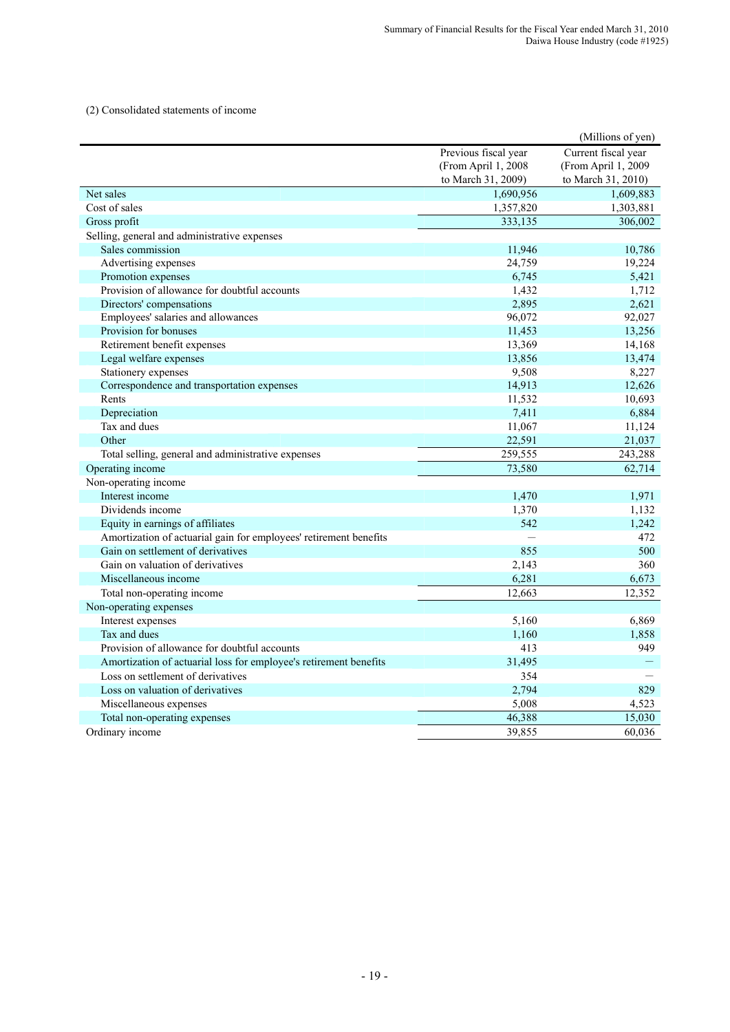(2) Consolidated statements of income

|                                                                   |                      | (Millions of yen)   |
|-------------------------------------------------------------------|----------------------|---------------------|
|                                                                   | Previous fiscal year | Current fiscal year |
|                                                                   | (From April 1, 2008) | (From April 1, 2009 |
|                                                                   | to March 31, 2009)   | to March 31, 2010)  |
| Net sales                                                         | 1,690,956            | 1,609,883           |
| Cost of sales                                                     | 1,357,820            | 1,303,881           |
| Gross profit                                                      | 333,135              | 306,002             |
| Selling, general and administrative expenses                      |                      |                     |
| Sales commission                                                  | 11,946               | 10,786              |
| Advertising expenses                                              | 24,759               | 19,224              |
| Promotion expenses                                                | 6,745                | 5,421               |
| Provision of allowance for doubtful accounts                      | 1,432                | 1,712               |
| Directors' compensations                                          | 2,895                | 2,621               |
| Employees' salaries and allowances                                | 96,072               | 92,027              |
| Provision for bonuses                                             | 11,453               | 13,256              |
| Retirement benefit expenses                                       | 13,369               | 14,168              |
| Legal welfare expenses                                            | 13,856               | 13,474              |
| Stationery expenses                                               | 9,508                | 8,227               |
| Correspondence and transportation expenses                        | 14,913               | 12,626              |
| Rents                                                             | 11,532               | 10,693              |
| Depreciation                                                      | 7,411                | 6,884               |
| Tax and dues                                                      | 11,067               | 11,124              |
| Other                                                             | 22,591               | 21,037              |
| Total selling, general and administrative expenses                | 259,555              | 243,288             |
| Operating income                                                  | 73,580               | 62,714              |
| Non-operating income                                              |                      |                     |
| Interest income                                                   | 1,470                | 1,971               |
| Dividends income                                                  | 1,370                | 1,132               |
| Equity in earnings of affiliates                                  | 542                  | 1,242               |
| Amortization of actuarial gain for employees' retirement benefits |                      | 472                 |
| Gain on settlement of derivatives                                 | 855                  | 500                 |
| Gain on valuation of derivatives                                  | 2,143                | 360                 |
| Miscellaneous income                                              | 6,281                | 6,673               |
| Total non-operating income                                        | 12.663               | 12,352              |
| Non-operating expenses                                            |                      |                     |
| Interest expenses                                                 | 5,160                | 6,869               |
| Tax and dues                                                      | 1,160                | 1,858               |
| Provision of allowance for doubtful accounts                      | 413                  | 949                 |
| Amortization of actuarial loss for employee's retirement benefits | 31,495               |                     |
| Loss on settlement of derivatives                                 | 354                  |                     |
| Loss on valuation of derivatives                                  | 2,794                | 829                 |
| Miscellaneous expenses                                            | 5,008                | 4,523               |
| Total non-operating expenses                                      | 46,388               | 15,030              |
| Ordinary income                                                   | 39,855               | 60.036              |
|                                                                   |                      |                     |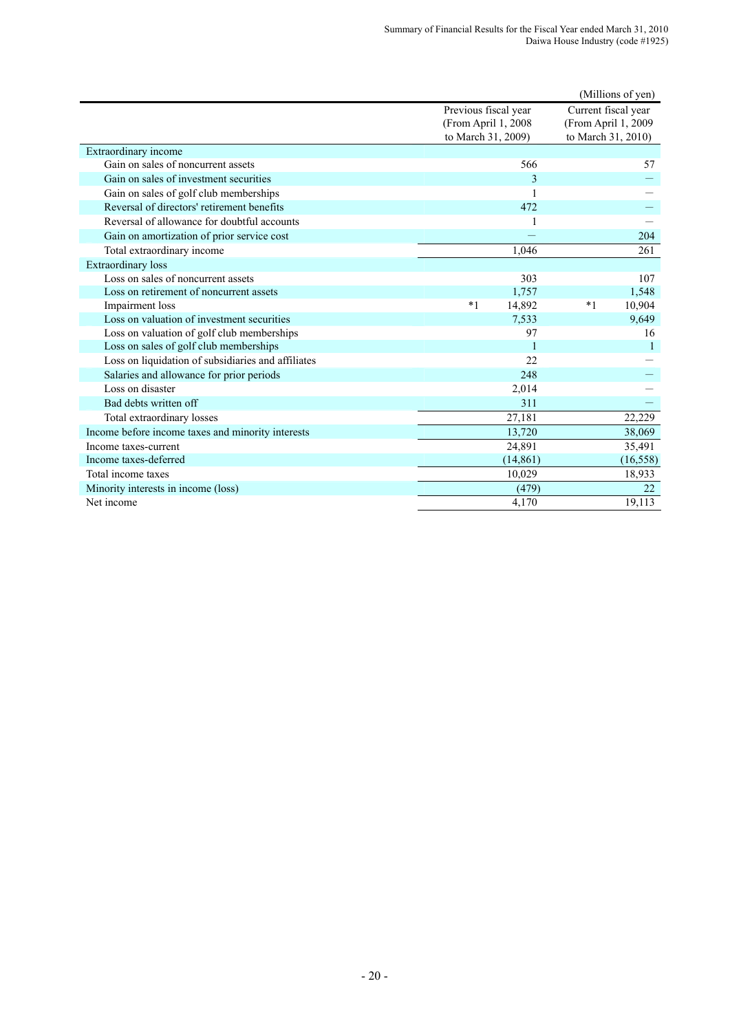|                                                    |                      |              |      | (Millions of yen)   |
|----------------------------------------------------|----------------------|--------------|------|---------------------|
|                                                    | Previous fiscal year |              |      | Current fiscal year |
|                                                    | (From April 1, 2008  |              |      | (From April 1, 2009 |
|                                                    | to March 31, 2009)   |              |      | to March 31, 2010)  |
| Extraordinary income                               |                      |              |      |                     |
| Gain on sales of noncurrent assets                 |                      | 566          |      | 57                  |
| Gain on sales of investment securities             |                      | 3            |      |                     |
| Gain on sales of golf club memberships             |                      | 1            |      |                     |
| Reversal of directors' retirement benefits         |                      | 472          |      |                     |
| Reversal of allowance for doubtful accounts        |                      |              |      |                     |
| Gain on amortization of prior service cost         |                      |              |      | 204                 |
| Total extraordinary income                         |                      | 1.046        |      | 261                 |
| <b>Extraordinary</b> loss                          |                      |              |      |                     |
| Loss on sales of noncurrent assets                 |                      | 303          |      | 107                 |
| Loss on retirement of noncurrent assets            |                      | 1,757        |      | 1,548               |
| Impairment loss                                    | $*1$                 | 14,892       | $*1$ | 10,904              |
| Loss on valuation of investment securities         |                      | 7,533        |      | 9,649               |
| Loss on valuation of golf club memberships         |                      | 97           |      | 16                  |
| Loss on sales of golf club memberships             |                      | $\mathbf{1}$ |      | $\mathbf{1}$        |
| Loss on liquidation of subsidiaries and affiliates |                      | 22           |      |                     |
| Salaries and allowance for prior periods           |                      | 248          |      |                     |
| Loss on disaster                                   |                      | 2,014        |      |                     |
| Bad debts written off                              |                      | 311          |      |                     |
| Total extraordinary losses                         |                      | 27,181       |      | 22,229              |
| Income before income taxes and minority interests  |                      | 13,720       |      | 38,069              |
| Income taxes-current                               |                      | 24,891       |      | 35,491              |
| Income taxes-deferred                              |                      | (14, 861)    |      | (16, 558)           |
| Total income taxes                                 |                      | 10,029       |      | 18,933              |
| Minority interests in income (loss)                |                      | (479)        |      | 22                  |
| Net income                                         |                      | 4,170        |      | 19,113              |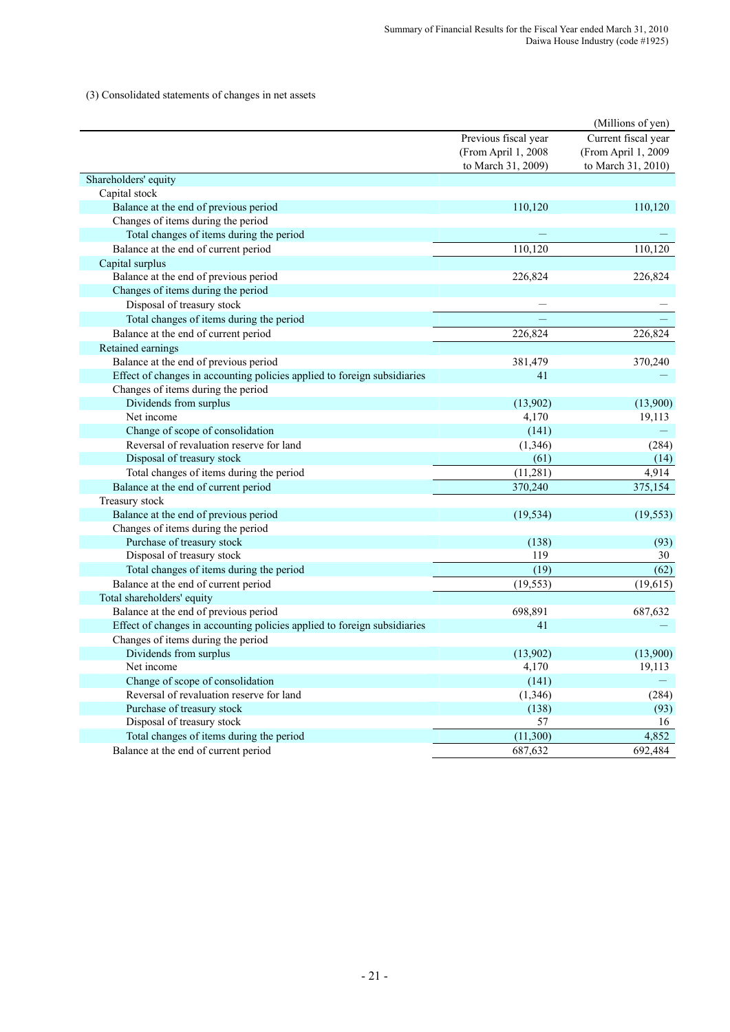(3) Consolidated statements of changes in net assets

|                                                                          |                      | (Millions of yen)   |
|--------------------------------------------------------------------------|----------------------|---------------------|
|                                                                          | Previous fiscal year | Current fiscal year |
|                                                                          | (From April 1, 2008  | (From April 1, 2009 |
|                                                                          | to March 31, 2009)   | to March 31, 2010)  |
| Shareholders' equity                                                     |                      |                     |
| Capital stock                                                            |                      |                     |
| Balance at the end of previous period                                    | 110,120              | 110,120             |
| Changes of items during the period                                       |                      |                     |
| Total changes of items during the period                                 |                      |                     |
| Balance at the end of current period                                     | 110,120              | 110,120             |
| Capital surplus                                                          |                      |                     |
| Balance at the end of previous period                                    | 226,824              | 226,824             |
| Changes of items during the period                                       |                      |                     |
| Disposal of treasury stock                                               |                      |                     |
| Total changes of items during the period                                 |                      |                     |
| Balance at the end of current period                                     | 226,824              | 226,824             |
| Retained earnings                                                        |                      |                     |
| Balance at the end of previous period                                    | 381,479              | 370,240             |
| Effect of changes in accounting policies applied to foreign subsidiaries | 41                   |                     |
| Changes of items during the period                                       |                      |                     |
| Dividends from surplus                                                   | (13,902)             | (13,900)            |
| Net income                                                               | 4,170                | 19,113              |
| Change of scope of consolidation                                         | (141)                |                     |
| Reversal of revaluation reserve for land                                 | (1,346)              | (284)               |
| Disposal of treasury stock                                               | (61)                 | (14)                |
| Total changes of items during the period                                 | (11, 281)            | 4,914               |
| Balance at the end of current period                                     | 370,240              | 375,154             |
| Treasury stock                                                           |                      |                     |
| Balance at the end of previous period                                    | (19, 534)            | (19, 553)           |
| Changes of items during the period                                       |                      |                     |
| Purchase of treasury stock                                               | (138)                | (93)                |
| Disposal of treasury stock                                               | 119                  | 30                  |
| Total changes of items during the period                                 | (19)                 | (62)                |
| Balance at the end of current period                                     | (19, 553)            | (19,615)            |
| Total shareholders' equity                                               |                      |                     |
| Balance at the end of previous period                                    | 698,891              | 687,632             |
| Effect of changes in accounting policies applied to foreign subsidiaries | 41                   |                     |
| Changes of items during the period                                       |                      |                     |
| Dividends from surplus                                                   | (13,902)             | (13,900)            |
| Net income                                                               | 4,170                | 19,113              |
| Change of scope of consolidation                                         | (141)                |                     |
| Reversal of revaluation reserve for land                                 | (1, 346)             | (284)               |
| Purchase of treasury stock                                               | (138)                | (93)                |
| Disposal of treasury stock                                               | 57                   | 16                  |
| Total changes of items during the period                                 | (11,300)             | 4,852               |
| Balance at the end of current period                                     | 687,632              | 692,484             |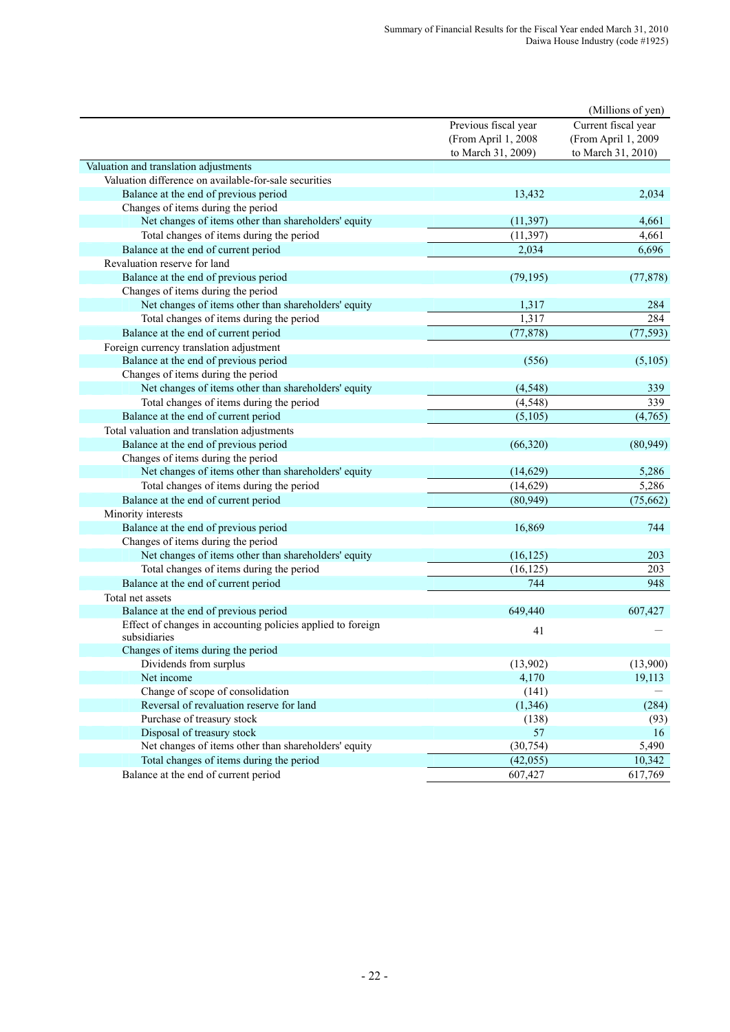|                                                                             |                                                                   | (Millions of yen)                                                |
|-----------------------------------------------------------------------------|-------------------------------------------------------------------|------------------------------------------------------------------|
|                                                                             | Previous fiscal year<br>(From April 1, 2008<br>to March 31, 2009) | Current fiscal year<br>(From April 1, 2009<br>to March 31, 2010) |
| Valuation and translation adjustments                                       |                                                                   |                                                                  |
| Valuation difference on available-for-sale securities                       |                                                                   |                                                                  |
| Balance at the end of previous period                                       | 13,432                                                            | 2,034                                                            |
| Changes of items during the period                                          |                                                                   |                                                                  |
| Net changes of items other than shareholders' equity                        | (11, 397)                                                         | 4,661                                                            |
| Total changes of items during the period                                    | (11, 397)                                                         | 4,661                                                            |
| Balance at the end of current period                                        | 2,034                                                             | 6,696                                                            |
| Revaluation reserve for land                                                |                                                                   |                                                                  |
| Balance at the end of previous period                                       | (79, 195)                                                         | (77, 878)                                                        |
| Changes of items during the period                                          |                                                                   |                                                                  |
| Net changes of items other than shareholders' equity                        | 1,317                                                             | 284                                                              |
| Total changes of items during the period                                    | 1,317                                                             | 284                                                              |
| Balance at the end of current period                                        | (77, 878)                                                         | (77, 593)                                                        |
| Foreign currency translation adjustment                                     |                                                                   |                                                                  |
| Balance at the end of previous period                                       | (556)                                                             | (5,105)                                                          |
| Changes of items during the period                                          |                                                                   |                                                                  |
| Net changes of items other than shareholders' equity                        | (4, 548)                                                          | 339                                                              |
| Total changes of items during the period                                    | (4, 548)                                                          | 339                                                              |
| Balance at the end of current period                                        | (5,105)                                                           | (4,765)                                                          |
| Total valuation and translation adjustments                                 |                                                                   |                                                                  |
| Balance at the end of previous period                                       | (66, 320)                                                         | (80, 949)                                                        |
| Changes of items during the period                                          |                                                                   |                                                                  |
| Net changes of items other than shareholders' equity                        | (14,629)                                                          | 5,286                                                            |
| Total changes of items during the period                                    | (14, 629)                                                         | 5,286                                                            |
| Balance at the end of current period                                        | (80, 949)                                                         | (75, 662)                                                        |
| Minority interests                                                          |                                                                   |                                                                  |
| Balance at the end of previous period                                       | 16,869                                                            | 744                                                              |
| Changes of items during the period                                          |                                                                   |                                                                  |
| Net changes of items other than shareholders' equity                        | (16, 125)                                                         | 203                                                              |
| Total changes of items during the period                                    | (16, 125)                                                         | 203                                                              |
| Balance at the end of current period                                        | 744                                                               | 948                                                              |
| Total net assets                                                            |                                                                   |                                                                  |
| Balance at the end of previous period                                       | 649,440                                                           | 607,427                                                          |
| Effect of changes in accounting policies applied to foreign<br>subsidiaries | 41                                                                |                                                                  |
| Changes of items during the period                                          |                                                                   |                                                                  |
| Dividends from surplus                                                      | (13,902)                                                          | (13,900)                                                         |
| Net income                                                                  | 4,170                                                             | 19,113                                                           |
| Change of scope of consolidation                                            | (141)                                                             |                                                                  |
| Reversal of revaluation reserve for land                                    | (1,346)                                                           | (284)                                                            |
| Purchase of treasury stock                                                  | (138)                                                             | (93)                                                             |
| Disposal of treasury stock                                                  | 57                                                                | 16                                                               |
| Net changes of items other than shareholders' equity                        | (30, 754)                                                         | 5,490                                                            |
| Total changes of items during the period                                    | (42, 055)                                                         | 10,342                                                           |
| Balance at the end of current period                                        | 607,427                                                           | 617,769                                                          |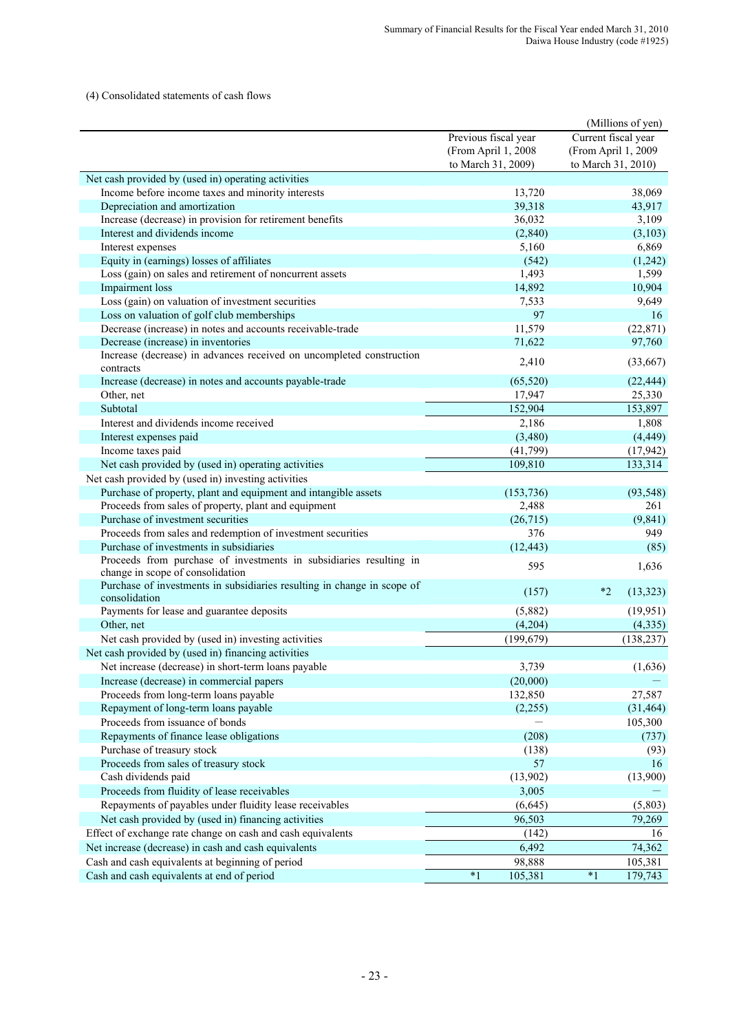#### (4) Consolidated statements of cash flows

|                                                                                          |                                             | (Millions of yen)                          |
|------------------------------------------------------------------------------------------|---------------------------------------------|--------------------------------------------|
|                                                                                          | Previous fiscal year<br>(From April 1, 2008 | Current fiscal year<br>(From April 1, 2009 |
|                                                                                          | to March 31, 2009)                          | to March 31, 2010)                         |
| Net cash provided by (used in) operating activities                                      |                                             |                                            |
| Income before income taxes and minority interests                                        | 13,720                                      | 38,069                                     |
| Depreciation and amortization                                                            | 39,318                                      | 43,917                                     |
| Increase (decrease) in provision for retirement benefits                                 | 36,032                                      | 3,109                                      |
| Interest and dividends income                                                            | (2, 840)                                    | (3,103)                                    |
| Interest expenses<br>Equity in (earnings) losses of affiliates                           | 5,160                                       | 6,869                                      |
| Loss (gain) on sales and retirement of noncurrent assets                                 | (542)<br>1,493                              | (1,242)<br>1,599                           |
| Impairment loss                                                                          | 14,892                                      | 10,904                                     |
| Loss (gain) on valuation of investment securities                                        |                                             | 9,649                                      |
| Loss on valuation of golf club memberships                                               | 7,533<br>97                                 | 16                                         |
| Decrease (increase) in notes and accounts receivable-trade                               | 11,579                                      | (22, 871)                                  |
| Decrease (increase) in inventories                                                       | 71,622                                      | 97,760                                     |
| Increase (decrease) in advances received on uncompleted construction                     |                                             |                                            |
| contracts                                                                                | 2,410                                       | (33, 667)                                  |
| Increase (decrease) in notes and accounts payable-trade                                  | (65, 520)                                   | (22, 444)                                  |
| Other, net                                                                               | 17,947                                      | 25,330                                     |
| Subtotal                                                                                 | 152,904                                     | 153,897                                    |
| Interest and dividends income received                                                   | 2,186                                       | 1,808                                      |
| Interest expenses paid                                                                   | (3,480)                                     | (4, 449)                                   |
| Income taxes paid                                                                        | (41,799)                                    | (17, 942)                                  |
| Net cash provided by (used in) operating activities                                      | 109,810                                     | 133,314                                    |
| Net cash provided by (used in) investing activities                                      |                                             |                                            |
| Purchase of property, plant and equipment and intangible assets                          | (153, 736)                                  | (93, 548)                                  |
| Proceeds from sales of property, plant and equipment                                     | 2,488                                       | 261                                        |
| Purchase of investment securities                                                        | (26, 715)                                   | (9, 841)                                   |
| Proceeds from sales and redemption of investment securities                              | 376                                         | 949                                        |
| Purchase of investments in subsidiaries                                                  | (12, 443)                                   | (85)                                       |
| Proceeds from purchase of investments in subsidiaries resulting in                       | 595                                         | 1,636                                      |
| change in scope of consolidation                                                         |                                             |                                            |
| Purchase of investments in subsidiaries resulting in change in scope of<br>consolidation | (157)                                       | $*2$<br>(13, 323)                          |
| Payments for lease and guarantee deposits                                                | (5,882)                                     | (19, 951)                                  |
| Other, net                                                                               | (4,204)                                     | (4, 335)                                   |
| Net cash provided by (used in) investing activities                                      | (199, 679)                                  | (138, 237)                                 |
| Net cash provided by (used in) financing activities                                      |                                             |                                            |
| Net increase (decrease) in short-term loans payable                                      | 3,739                                       | (1,636)                                    |
| Increase (decrease) in commercial papers                                                 | (20,000)                                    |                                            |
| Proceeds from long-term loans payable                                                    | 132,850                                     | 27,587                                     |
| Repayment of long-term loans payable                                                     | (2,255)                                     | (31, 464)                                  |
| Proceeds from issuance of bonds                                                          |                                             | 105,300                                    |
| Repayments of finance lease obligations                                                  | (208)                                       | (737)                                      |
| Purchase of treasury stock                                                               | (138)                                       | (93)                                       |
| Proceeds from sales of treasury stock                                                    | 57                                          | 16                                         |
| Cash dividends paid                                                                      | (13,902)                                    | (13,900)                                   |
| Proceeds from fluidity of lease receivables                                              | 3,005                                       |                                            |
| Repayments of payables under fluidity lease receivables                                  | (6,645)                                     | (5,803)                                    |
| Net cash provided by (used in) financing activities                                      | 96,503                                      | 79,269                                     |
|                                                                                          |                                             |                                            |
| Effect of exchange rate change on cash and cash equivalents                              | (142)                                       | 16                                         |
| Net increase (decrease) in cash and cash equivalents                                     | 6,492                                       | 74,362                                     |
| Cash and cash equivalents at beginning of period                                         | 98,888                                      | 105,381                                    |
| Cash and cash equivalents at end of period                                               | $*1$<br>105,381                             | $^\ast1$<br>179,743                        |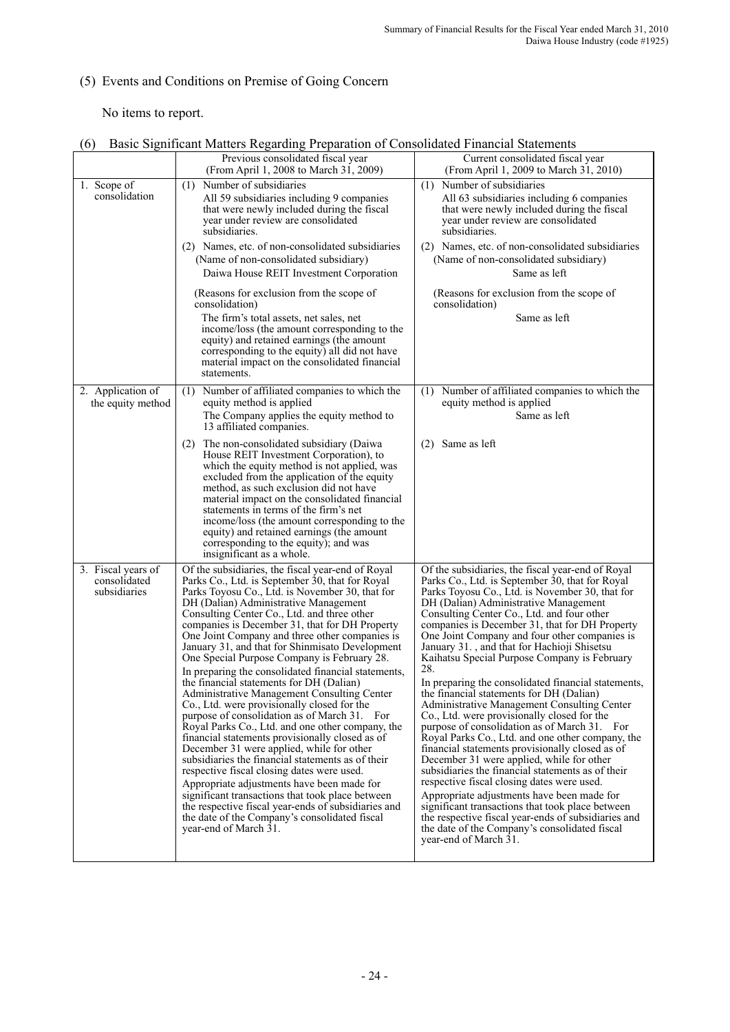# (5) Events and Conditions on Premise of Going Concern

No items to report.

|                                                    | Previous consolidated fiscal year<br>(From April 1, 2008 to March 31, 2009)                                                                                                                                                                                                                                                                                                                                                                                                                                                                                                                                                                                                                                                                                                                                                                                                                                                                                                                                                                                                                                                                                                                      | Current consolidated fiscal year<br>(From April 1, 2009 to March 31, 2010)                                                                                                                                                                                                                                                                                                                                                                                                                                                                                                                                                                                                                                                                                                                                                                                                                                                                                                                                                                                                                                                                                                                                |
|----------------------------------------------------|--------------------------------------------------------------------------------------------------------------------------------------------------------------------------------------------------------------------------------------------------------------------------------------------------------------------------------------------------------------------------------------------------------------------------------------------------------------------------------------------------------------------------------------------------------------------------------------------------------------------------------------------------------------------------------------------------------------------------------------------------------------------------------------------------------------------------------------------------------------------------------------------------------------------------------------------------------------------------------------------------------------------------------------------------------------------------------------------------------------------------------------------------------------------------------------------------|-----------------------------------------------------------------------------------------------------------------------------------------------------------------------------------------------------------------------------------------------------------------------------------------------------------------------------------------------------------------------------------------------------------------------------------------------------------------------------------------------------------------------------------------------------------------------------------------------------------------------------------------------------------------------------------------------------------------------------------------------------------------------------------------------------------------------------------------------------------------------------------------------------------------------------------------------------------------------------------------------------------------------------------------------------------------------------------------------------------------------------------------------------------------------------------------------------------|
| 1. Scope of<br>consolidation                       | (1) Number of subsidiaries<br>All 59 subsidiaries including 9 companies<br>that were newly included during the fiscal<br>year under review are consolidated<br>subsidiaries.<br>(2) Names, etc. of non-consolidated subsidiaries<br>(Name of non-consolidated subsidiary)<br>Daiwa House REIT Investment Corporation                                                                                                                                                                                                                                                                                                                                                                                                                                                                                                                                                                                                                                                                                                                                                                                                                                                                             | (1) Number of subsidiaries<br>All 63 subsidiaries including 6 companies<br>that were newly included during the fiscal<br>year under review are consolidated<br>subsidiaries.<br>(2) Names, etc. of non-consolidated subsidiaries<br>(Name of non-consolidated subsidiary)<br>Same as left                                                                                                                                                                                                                                                                                                                                                                                                                                                                                                                                                                                                                                                                                                                                                                                                                                                                                                                 |
|                                                    | (Reasons for exclusion from the scope of<br>consolidation)<br>The firm's total assets, net sales, net<br>income/loss (the amount corresponding to the<br>equity) and retained earnings (the amount<br>corresponding to the equity) all did not have<br>material impact on the consolidated financial<br>statements.                                                                                                                                                                                                                                                                                                                                                                                                                                                                                                                                                                                                                                                                                                                                                                                                                                                                              | (Reasons for exclusion from the scope of<br>consolidation)<br>Same as left                                                                                                                                                                                                                                                                                                                                                                                                                                                                                                                                                                                                                                                                                                                                                                                                                                                                                                                                                                                                                                                                                                                                |
| 2. Application of<br>the equity method             | (1) Number of affiliated companies to which the<br>equity method is applied<br>The Company applies the equity method to<br>13 affiliated companies.                                                                                                                                                                                                                                                                                                                                                                                                                                                                                                                                                                                                                                                                                                                                                                                                                                                                                                                                                                                                                                              | (1) Number of affiliated companies to which the<br>equity method is applied<br>Same as left                                                                                                                                                                                                                                                                                                                                                                                                                                                                                                                                                                                                                                                                                                                                                                                                                                                                                                                                                                                                                                                                                                               |
|                                                    | (2) The non-consolidated subsidiary (Daiwa<br>House REIT Investment Corporation), to<br>which the equity method is not applied, was<br>excluded from the application of the equity<br>method, as such exclusion did not have<br>material impact on the consolidated financial<br>statements in terms of the firm's net<br>income/loss (the amount corresponding to the<br>equity) and retained earnings (the amount<br>corresponding to the equity); and was<br>insignificant as a whole.                                                                                                                                                                                                                                                                                                                                                                                                                                                                                                                                                                                                                                                                                                        | (2) Same as left                                                                                                                                                                                                                                                                                                                                                                                                                                                                                                                                                                                                                                                                                                                                                                                                                                                                                                                                                                                                                                                                                                                                                                                          |
| 3. Fiscal years of<br>consolidated<br>subsidiaries | Of the subsidiaries, the fiscal year-end of Royal<br>Parks Co., Ltd. is September 30, that for Royal<br>Parks Toyosu Co., Ltd. is November 30, that for<br>DH (Dalian) Administrative Management<br>Consulting Center Co., Ltd. and three other<br>companies is December 31, that for DH Property<br>One Joint Company and three other companies is<br>January 31, and that for Shinmisato Development<br>One Special Purpose Company is February 28.<br>In preparing the consolidated financial statements,<br>the financial statements for DH (Dalian)<br>Administrative Management Consulting Center<br>Co., Ltd. were provisionally closed for the<br>purpose of consolidation as of March 31. For<br>Royal Parks Co., Ltd. and one other company, the<br>financial statements provisionally closed as of<br>December 31 were applied, while for other<br>subsidiaries the financial statements as of their<br>respective fiscal closing dates were used.<br>Appropriate adjustments have been made for<br>significant transactions that took place between<br>the respective fiscal year-ends of subsidiaries and<br>the date of the Company's consolidated fiscal<br>year-end of March 31. | Of the subsidiaries, the fiscal year-end of Royal<br>Parks Co., Ltd. is September 30, that for Royal<br>Parks Toyosu Co., Ltd. is November 30, that for<br>DH (Dalian) Administrative Management<br>Consulting Center Co., Ltd. and four other<br>companies is December 31, that for DH Property<br>One Joint Company and four other companies is<br>January 31., and that for Hachioji Shisetsu<br>Kaihatsu Special Purpose Company is February<br>28.<br>In preparing the consolidated financial statements,<br>the financial statements for DH (Dalian)<br><b>Administrative Management Consulting Center</b><br>Co., Ltd. were provisionally closed for the<br>purpose of consolidation as of March 31. For<br>Royal Parks Co., Ltd. and one other company, the<br>financial statements provisionally closed as of<br>December 31 were applied, while for other<br>subsidiaries the financial statements as of their<br>respective fiscal closing dates were used.<br>Appropriate adjustments have been made for<br>significant transactions that took place between<br>the respective fiscal year-ends of subsidiaries and<br>the date of the Company's consolidated fiscal<br>year-end of March 31. |

# (6) Basic Significant Matters Regarding Preparation of Consolidated Financial Statements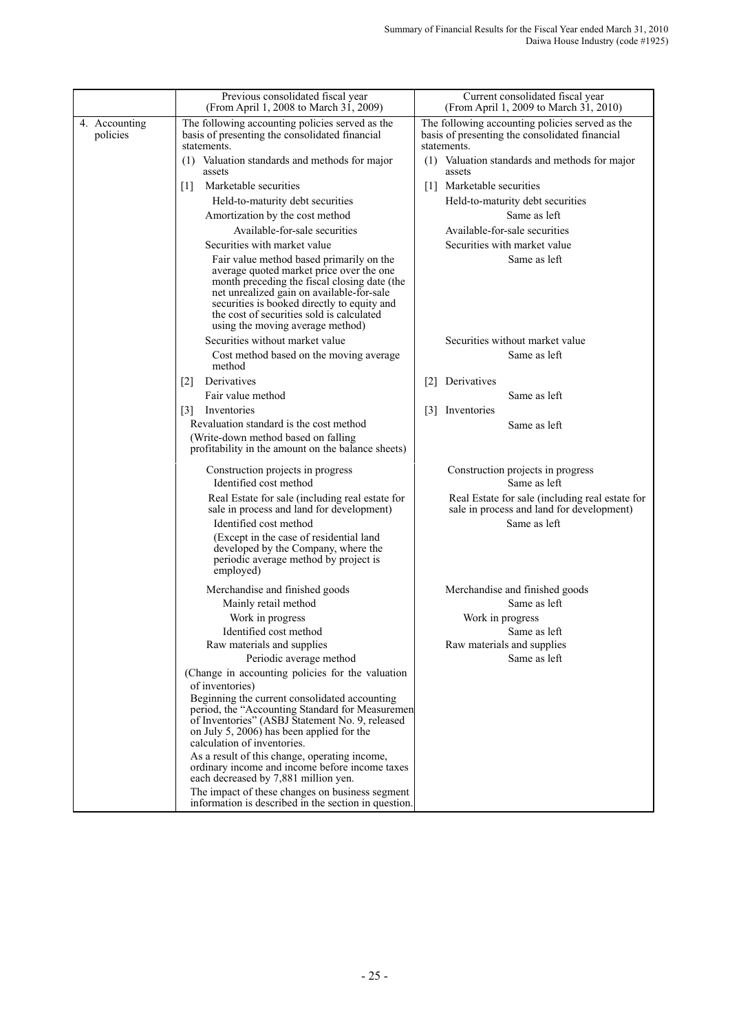|                           | Previous consolidated fiscal year<br>(From April 1, 2008 to March 31, 2009)                                                                                                                                                                                                                                       | Current consolidated fiscal year<br>(From April 1, 2009 to March 31, 2010)                                       |
|---------------------------|-------------------------------------------------------------------------------------------------------------------------------------------------------------------------------------------------------------------------------------------------------------------------------------------------------------------|------------------------------------------------------------------------------------------------------------------|
| 4. Accounting<br>policies | The following accounting policies served as the<br>basis of presenting the consolidated financial<br>statements.                                                                                                                                                                                                  | The following accounting policies served as the<br>basis of presenting the consolidated financial<br>statements. |
|                           | (1) Valuation standards and methods for major<br>assets                                                                                                                                                                                                                                                           | (1) Valuation standards and methods for major<br>assets                                                          |
|                           | Marketable securities<br>$\lceil 1 \rceil$                                                                                                                                                                                                                                                                        | Marketable securities<br>$\Box$                                                                                  |
|                           | Held-to-maturity debt securities                                                                                                                                                                                                                                                                                  | Held-to-maturity debt securities                                                                                 |
|                           | Amortization by the cost method                                                                                                                                                                                                                                                                                   | Same as left                                                                                                     |
|                           | Available-for-sale securities                                                                                                                                                                                                                                                                                     | Available-for-sale securities                                                                                    |
|                           | Securities with market value                                                                                                                                                                                                                                                                                      | Securities with market value                                                                                     |
|                           | Fair value method based primarily on the<br>average quoted market price over the one<br>month preceding the fiscal closing date (the<br>net unrealized gain on available-for-sale<br>securities is booked directly to equity and<br>the cost of securities sold is calculated<br>using the moving average method) | Same as left                                                                                                     |
|                           | Securities without market value                                                                                                                                                                                                                                                                                   | Securities without market value                                                                                  |
|                           | Cost method based on the moving average<br>method                                                                                                                                                                                                                                                                 | Same as left                                                                                                     |
|                           | Derivatives<br>$\lceil 2 \rceil$                                                                                                                                                                                                                                                                                  | Derivatives<br>$\lceil 2 \rceil$                                                                                 |
|                           | Fair value method                                                                                                                                                                                                                                                                                                 | Same as left                                                                                                     |
|                           | Inventories<br>$\lceil 3 \rceil$                                                                                                                                                                                                                                                                                  | Inventories<br>$\lceil 3 \rceil$                                                                                 |
|                           | Revaluation standard is the cost method<br>(Write-down method based on falling<br>profitability in the amount on the balance sheets)                                                                                                                                                                              | Same as left                                                                                                     |
|                           | Construction projects in progress                                                                                                                                                                                                                                                                                 | Construction projects in progress                                                                                |
|                           | Identified cost method                                                                                                                                                                                                                                                                                            | Same as left                                                                                                     |
|                           | Real Estate for sale (including real estate for<br>sale in process and land for development)                                                                                                                                                                                                                      | Real Estate for sale (including real estate for<br>sale in process and land for development)                     |
|                           | Identified cost method                                                                                                                                                                                                                                                                                            | Same as left                                                                                                     |
|                           | (Except in the case of residential land<br>developed by the Company, where the<br>periodic average method by project is<br>employed)                                                                                                                                                                              |                                                                                                                  |
|                           | Merchandise and finished goods                                                                                                                                                                                                                                                                                    | Merchandise and finished goods                                                                                   |
|                           | Mainly retail method                                                                                                                                                                                                                                                                                              | Same as left                                                                                                     |
|                           | Work in progress                                                                                                                                                                                                                                                                                                  | Work in progress                                                                                                 |
|                           | Identified cost method                                                                                                                                                                                                                                                                                            | Same as left                                                                                                     |
|                           | Raw materials and supplies<br>Periodic average method                                                                                                                                                                                                                                                             | Raw materials and supplies<br>Same as left                                                                       |
|                           | (Change in accounting policies for the valuation                                                                                                                                                                                                                                                                  |                                                                                                                  |
|                           | of inventories)                                                                                                                                                                                                                                                                                                   |                                                                                                                  |
|                           | Beginning the current consolidated accounting<br>period, the "Accounting Standard for Measuremen<br>of Inventories" (ASBJ Statement No. 9, released<br>on July 5, 2006) has been applied for the<br>calculation of inventories.                                                                                   |                                                                                                                  |
|                           | As a result of this change, operating income,<br>ordinary income and income before income taxes<br>each decreased by 7,881 million yen.                                                                                                                                                                           |                                                                                                                  |
|                           | The impact of these changes on business segment<br>information is described in the section in question.                                                                                                                                                                                                           |                                                                                                                  |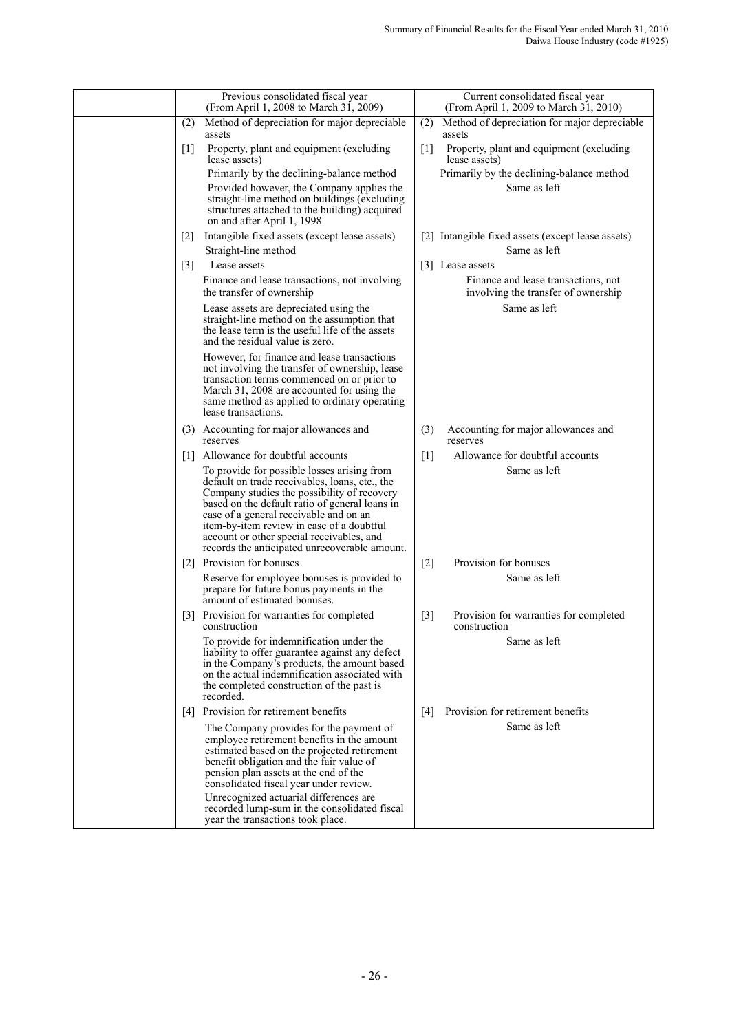|                   | Previous consolidated fiscal year<br>(From April 1, 2008 to March 31, 2009)                                                                                                                                                                                                                                                                                                         |                   | Current consolidated fiscal year<br>(From April 1, 2009 to March 31, 2010) |
|-------------------|-------------------------------------------------------------------------------------------------------------------------------------------------------------------------------------------------------------------------------------------------------------------------------------------------------------------------------------------------------------------------------------|-------------------|----------------------------------------------------------------------------|
| (2)               | Method of depreciation for major depreciable<br>assets                                                                                                                                                                                                                                                                                                                              | (2)               | Method of depreciation for major depreciable<br>assets                     |
| $[1]$             | Property, plant and equipment (excluding<br>lease assets)                                                                                                                                                                                                                                                                                                                           | $\lceil 1 \rceil$ | Property, plant and equipment (excluding<br>lease assets)                  |
|                   | Primarily by the declining-balance method                                                                                                                                                                                                                                                                                                                                           |                   | Primarily by the declining-balance method                                  |
|                   | Provided however, the Company applies the<br>straight-line method on buildings (excluding<br>structures attached to the building) acquired<br>on and after April 1, 1998.                                                                                                                                                                                                           |                   | Same as left                                                               |
| 2                 | Intangible fixed assets (except lease assets)                                                                                                                                                                                                                                                                                                                                       |                   | [2] Intangible fixed assets (except lease assets)                          |
|                   | Straight-line method                                                                                                                                                                                                                                                                                                                                                                |                   | Same as left                                                               |
| $\lceil 3 \rceil$ | Lease assets                                                                                                                                                                                                                                                                                                                                                                        |                   | [3] Lease assets                                                           |
|                   | Finance and lease transactions, not involving<br>the transfer of ownership                                                                                                                                                                                                                                                                                                          |                   | Finance and lease transactions, not<br>involving the transfer of ownership |
|                   | Lease assets are depreciated using the<br>straight-line method on the assumption that<br>the lease term is the useful life of the assets<br>and the residual value is zero.                                                                                                                                                                                                         |                   | Same as left                                                               |
|                   | However, for finance and lease transactions<br>not involving the transfer of ownership, lease<br>transaction terms commenced on or prior to<br>March 31, 2008 are accounted for using the<br>same method as applied to ordinary operating<br>lease transactions.                                                                                                                    |                   |                                                                            |
|                   | (3) Accounting for major allowances and<br>reserves                                                                                                                                                                                                                                                                                                                                 | (3)               | Accounting for major allowances and<br>reserves                            |
|                   | [1] Allowance for doubtful accounts                                                                                                                                                                                                                                                                                                                                                 | $\lceil 1 \rceil$ | Allowance for doubtful accounts                                            |
|                   | To provide for possible losses arising from<br>default on trade receivables, loans, etc., the<br>Company studies the possibility of recovery<br>based on the default ratio of general loans in<br>case of a general receivable and on an<br>item-by-item review in case of a doubtful<br>account or other special receivables, and<br>records the anticipated unrecoverable amount. |                   | Same as left                                                               |
|                   | [2] Provision for bonuses                                                                                                                                                                                                                                                                                                                                                           | $[2]$             | Provision for bonuses                                                      |
|                   | Reserve for employee bonuses is provided to<br>prepare for future bonus payments in the<br>amount of estimated bonuses.                                                                                                                                                                                                                                                             |                   | Same as left                                                               |
|                   | [3] Provision for warranties for completed<br>construction                                                                                                                                                                                                                                                                                                                          | $[3]$             | Provision for warranties for completed<br>construction                     |
|                   | To provide for indemnification under the<br>liability to offer guarantee against any defect<br>in the Company's products, the amount based<br>on the actual indemnification associated with<br>the completed construction of the past is<br>recorded.                                                                                                                               |                   | Same as left                                                               |
| [4]               | Provision for retirement benefits                                                                                                                                                                                                                                                                                                                                                   | $\lceil 4 \rceil$ | Provision for retirement benefits                                          |
|                   | The Company provides for the payment of<br>employee retirement benefits in the amount<br>estimated based on the projected retirement<br>benefit obligation and the fair value of<br>pension plan assets at the end of the<br>consolidated fiscal year under review.                                                                                                                 |                   | Same as left                                                               |
|                   | Unrecognized actuarial differences are<br>recorded lump-sum in the consolidated fiscal<br>year the transactions took place.                                                                                                                                                                                                                                                         |                   |                                                                            |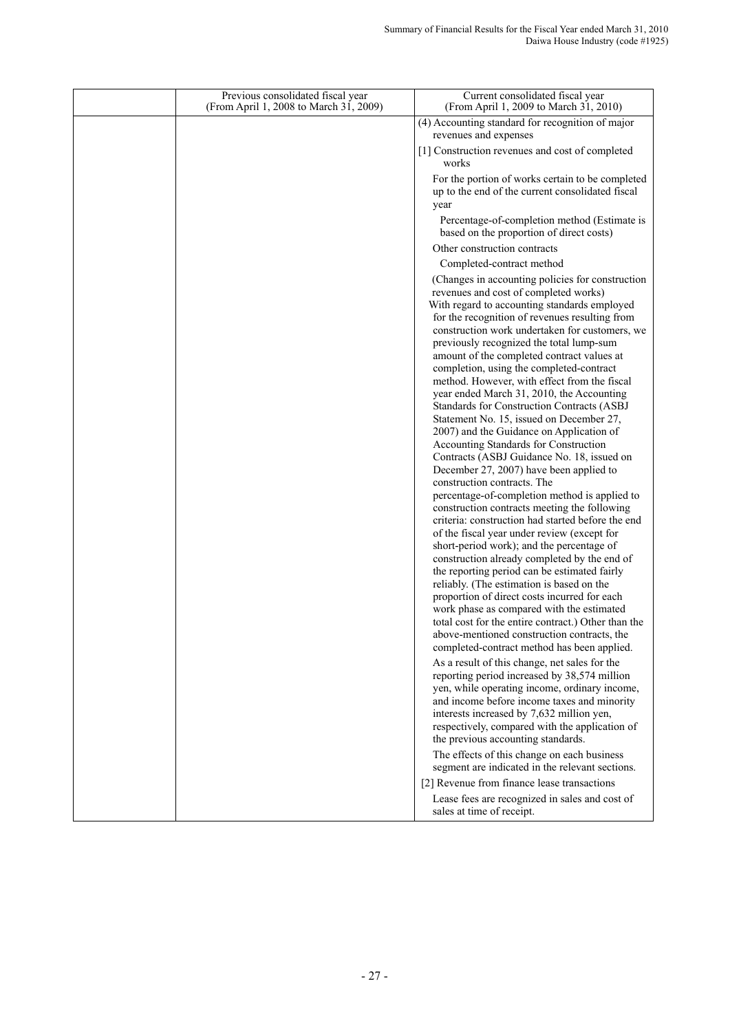| Previous consolidated fiscal year<br>(From April 1, 2008 to March 31, 2009) | Current consolidated fiscal year<br>(From April 1, 2009 to March 31, 2010)                                                                                                                                                                                                                                                                                                                                                                                                                                                                                                                                                                                                                                                                                                                                                                                                                                                                                                                                                                                                                                                                                                                                                                                                                                                                                                                                                                                                                                                                                                                                                                                                                                                                                                                                                     |
|-----------------------------------------------------------------------------|--------------------------------------------------------------------------------------------------------------------------------------------------------------------------------------------------------------------------------------------------------------------------------------------------------------------------------------------------------------------------------------------------------------------------------------------------------------------------------------------------------------------------------------------------------------------------------------------------------------------------------------------------------------------------------------------------------------------------------------------------------------------------------------------------------------------------------------------------------------------------------------------------------------------------------------------------------------------------------------------------------------------------------------------------------------------------------------------------------------------------------------------------------------------------------------------------------------------------------------------------------------------------------------------------------------------------------------------------------------------------------------------------------------------------------------------------------------------------------------------------------------------------------------------------------------------------------------------------------------------------------------------------------------------------------------------------------------------------------------------------------------------------------------------------------------------------------|
|                                                                             | (4) Accounting standard for recognition of major<br>revenues and expenses                                                                                                                                                                                                                                                                                                                                                                                                                                                                                                                                                                                                                                                                                                                                                                                                                                                                                                                                                                                                                                                                                                                                                                                                                                                                                                                                                                                                                                                                                                                                                                                                                                                                                                                                                      |
|                                                                             | [1] Construction revenues and cost of completed<br>works                                                                                                                                                                                                                                                                                                                                                                                                                                                                                                                                                                                                                                                                                                                                                                                                                                                                                                                                                                                                                                                                                                                                                                                                                                                                                                                                                                                                                                                                                                                                                                                                                                                                                                                                                                       |
|                                                                             | For the portion of works certain to be completed<br>up to the end of the current consolidated fiscal<br>year                                                                                                                                                                                                                                                                                                                                                                                                                                                                                                                                                                                                                                                                                                                                                                                                                                                                                                                                                                                                                                                                                                                                                                                                                                                                                                                                                                                                                                                                                                                                                                                                                                                                                                                   |
|                                                                             | Percentage-of-completion method (Estimate is<br>based on the proportion of direct costs)                                                                                                                                                                                                                                                                                                                                                                                                                                                                                                                                                                                                                                                                                                                                                                                                                                                                                                                                                                                                                                                                                                                                                                                                                                                                                                                                                                                                                                                                                                                                                                                                                                                                                                                                       |
|                                                                             | Other construction contracts                                                                                                                                                                                                                                                                                                                                                                                                                                                                                                                                                                                                                                                                                                                                                                                                                                                                                                                                                                                                                                                                                                                                                                                                                                                                                                                                                                                                                                                                                                                                                                                                                                                                                                                                                                                                   |
|                                                                             | Completed-contract method                                                                                                                                                                                                                                                                                                                                                                                                                                                                                                                                                                                                                                                                                                                                                                                                                                                                                                                                                                                                                                                                                                                                                                                                                                                                                                                                                                                                                                                                                                                                                                                                                                                                                                                                                                                                      |
|                                                                             | (Changes in accounting policies for construction)<br>revenues and cost of completed works)<br>With regard to accounting standards employed<br>for the recognition of revenues resulting from<br>construction work undertaken for customers, we<br>previously recognized the total lump-sum<br>amount of the completed contract values at<br>completion, using the completed-contract<br>method. However, with effect from the fiscal<br>year ended March 31, 2010, the Accounting<br>Standards for Construction Contracts (ASBJ<br>Statement No. 15, issued on December 27,<br>2007) and the Guidance on Application of<br>Accounting Standards for Construction<br>Contracts (ASBJ Guidance No. 18, issued on<br>December 27, 2007) have been applied to<br>construction contracts. The<br>percentage-of-completion method is applied to<br>construction contracts meeting the following<br>criteria: construction had started before the end<br>of the fiscal year under review (except for<br>short-period work); and the percentage of<br>construction already completed by the end of<br>the reporting period can be estimated fairly<br>reliably. (The estimation is based on the<br>proportion of direct costs incurred for each<br>work phase as compared with the estimated<br>total cost for the entire contract.) Other than the<br>above-mentioned construction contracts, the<br>completed-contract method has been applied.<br>As a result of this change, net sales for the<br>reporting period increased by 38,574 million<br>yen, while operating income, ordinary income,<br>and income before income taxes and minority<br>interests increased by 7,632 million yen,<br>respectively, compared with the application of<br>the previous accounting standards.<br>The effects of this change on each business |
|                                                                             | segment are indicated in the relevant sections.                                                                                                                                                                                                                                                                                                                                                                                                                                                                                                                                                                                                                                                                                                                                                                                                                                                                                                                                                                                                                                                                                                                                                                                                                                                                                                                                                                                                                                                                                                                                                                                                                                                                                                                                                                                |
|                                                                             | [2] Revenue from finance lease transactions                                                                                                                                                                                                                                                                                                                                                                                                                                                                                                                                                                                                                                                                                                                                                                                                                                                                                                                                                                                                                                                                                                                                                                                                                                                                                                                                                                                                                                                                                                                                                                                                                                                                                                                                                                                    |
|                                                                             | Lease fees are recognized in sales and cost of<br>sales at time of receipt.                                                                                                                                                                                                                                                                                                                                                                                                                                                                                                                                                                                                                                                                                                                                                                                                                                                                                                                                                                                                                                                                                                                                                                                                                                                                                                                                                                                                                                                                                                                                                                                                                                                                                                                                                    |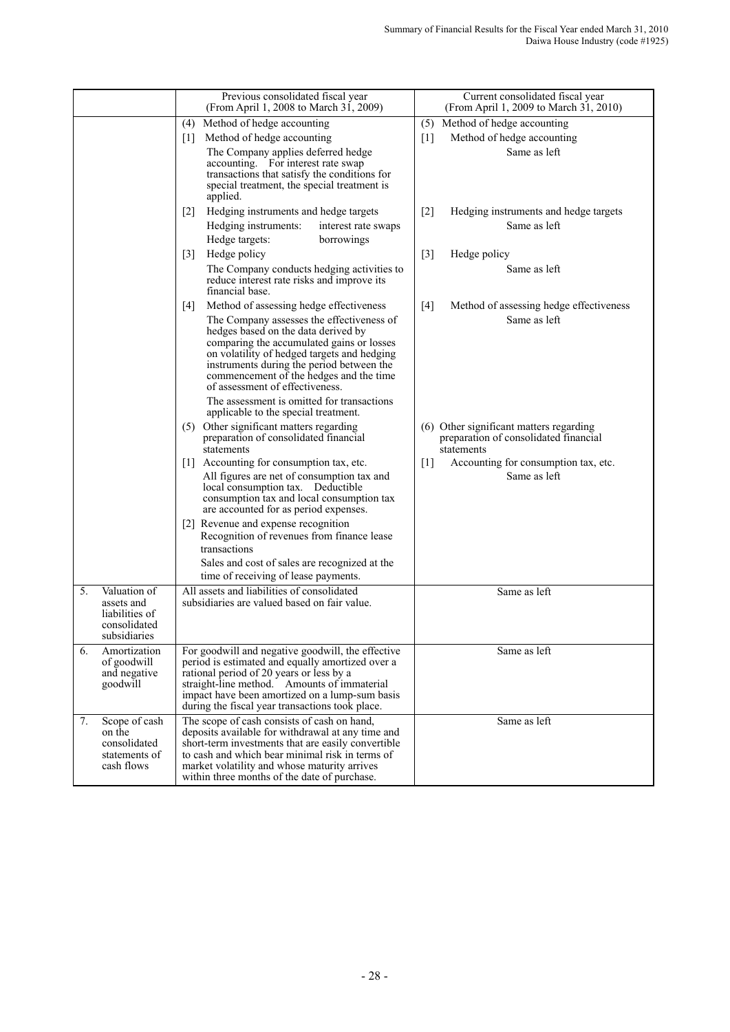|    |                                                                              | Previous consolidated fiscal year<br>(From April 1, 2008 to March 31, 2009)                                                                                                                                                                                                                                                                                                                                                                       | Current consolidated fiscal year<br>(From April 1, 2009 to March 31, 2010)                     |
|----|------------------------------------------------------------------------------|---------------------------------------------------------------------------------------------------------------------------------------------------------------------------------------------------------------------------------------------------------------------------------------------------------------------------------------------------------------------------------------------------------------------------------------------------|------------------------------------------------------------------------------------------------|
|    |                                                                              | Method of hedge accounting<br>(4)                                                                                                                                                                                                                                                                                                                                                                                                                 | (5) Method of hedge accounting                                                                 |
|    |                                                                              | Method of hedge accounting<br>$\lceil 1 \rceil$                                                                                                                                                                                                                                                                                                                                                                                                   | Method of hedge accounting<br>$\lceil 1 \rceil$                                                |
|    |                                                                              | The Company applies deferred hedge<br>accounting. For interest rate swap<br>transactions that satisfy the conditions for<br>special treatment, the special treatment is<br>applied.                                                                                                                                                                                                                                                               | Same as left                                                                                   |
|    |                                                                              | Hedging instruments and hedge targets<br>$\lceil 2 \rceil$                                                                                                                                                                                                                                                                                                                                                                                        | $\lceil 2 \rceil$<br>Hedging instruments and hedge targets                                     |
|    |                                                                              | Hedging instruments:<br>interest rate swaps<br>Hedge targets:<br>borrowings                                                                                                                                                                                                                                                                                                                                                                       | Same as left                                                                                   |
|    |                                                                              | Hedge policy<br>$\lceil 3 \rceil$                                                                                                                                                                                                                                                                                                                                                                                                                 | $[3]$<br>Hedge policy                                                                          |
|    |                                                                              | The Company conducts hedging activities to<br>reduce interest rate risks and improve its<br>financial base.                                                                                                                                                                                                                                                                                                                                       | Same as left                                                                                   |
|    |                                                                              | Method of assessing hedge effectiveness<br>$[4]$<br>The Company assesses the effectiveness of<br>hedges based on the data derived by<br>comparing the accumulated gains or losses<br>on volatility of hedged targets and hedging<br>instruments during the period between the<br>commencement of the hedges and the time<br>of assessment of effectiveness.<br>The assessment is omitted for transactions<br>applicable to the special treatment. | [4]<br>Method of assessing hedge effectiveness<br>Same as left                                 |
|    |                                                                              | (5) Other significant matters regarding<br>preparation of consolidated financial<br>statements                                                                                                                                                                                                                                                                                                                                                    | (6) Other significant matters regarding<br>preparation of consolidated financial<br>statements |
|    |                                                                              | [1] Accounting for consumption tax, etc.<br>All figures are net of consumption tax and<br>local consumption tax. Deductible<br>consumption tax and local consumption tax<br>are accounted for as period expenses.                                                                                                                                                                                                                                 | Accounting for consumption tax, etc.<br>$[1]$<br>Same as left                                  |
|    |                                                                              | [2] Revenue and expense recognition<br>Recognition of revenues from finance lease<br>transactions                                                                                                                                                                                                                                                                                                                                                 |                                                                                                |
|    |                                                                              | Sales and cost of sales are recognized at the<br>time of receiving of lease payments.                                                                                                                                                                                                                                                                                                                                                             |                                                                                                |
| 5. | Valuation of<br>assets and<br>liabilities of<br>consolidated<br>subsidiaries | All assets and liabilities of consolidated<br>subsidiaries are valued based on fair value.                                                                                                                                                                                                                                                                                                                                                        | Same as left                                                                                   |
| 6. | Amortization<br>of goodwill<br>and negative<br>goodwill                      | For goodwill and negative goodwill, the effective<br>period is estimated and equally amortized over a<br>rational period of 20 years or less by a<br>straight-line method. Amounts of immaterial<br>impact have been amortized on a lump-sum basis<br>during the fiscal year transactions took place.                                                                                                                                             | Same as left                                                                                   |
| 7. | Scope of cash<br>on the<br>consolidated<br>statements of<br>cash flows       | The scope of cash consists of cash on hand,<br>deposits available for withdrawal at any time and<br>short-term investments that are easily convertible<br>to cash and which bear minimal risk in terms of<br>market volatility and whose maturity arrives<br>within three months of the date of purchase.                                                                                                                                         | Same as left                                                                                   |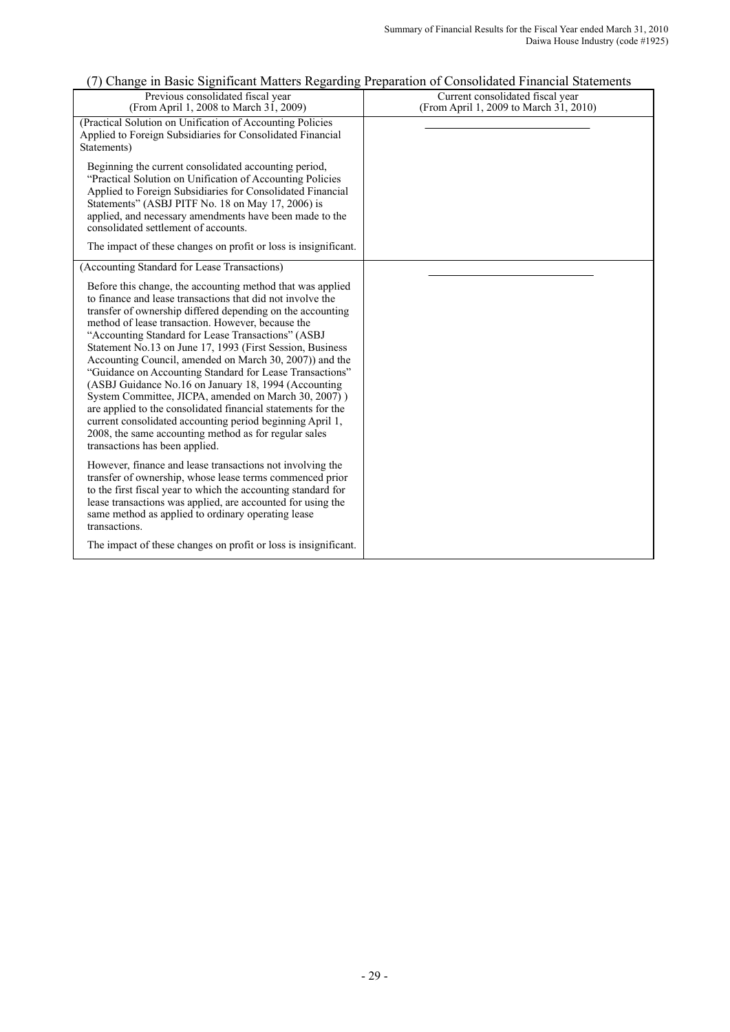# (7) Change in Basic Significant Matters Regarding Preparation of Consolidated Financial Statements

| Previous consolidated fiscal year<br>(From April 1, 2008 to March 31, 2009)                                                                                                                                                                                                                                                                                                                                                                                                                                                                                                                                                                                                                                                                                   | Current consolidated fiscal year<br>(From April 1, 2009 to March 31, 2010) |
|---------------------------------------------------------------------------------------------------------------------------------------------------------------------------------------------------------------------------------------------------------------------------------------------------------------------------------------------------------------------------------------------------------------------------------------------------------------------------------------------------------------------------------------------------------------------------------------------------------------------------------------------------------------------------------------------------------------------------------------------------------------|----------------------------------------------------------------------------|
| (Practical Solution on Unification of Accounting Policies<br>Applied to Foreign Subsidiaries for Consolidated Financial<br>Statements)                                                                                                                                                                                                                                                                                                                                                                                                                                                                                                                                                                                                                        |                                                                            |
| Beginning the current consolidated accounting period,<br>"Practical Solution on Unification of Accounting Policies"<br>Applied to Foreign Subsidiaries for Consolidated Financial<br>Statements" (ASBJ PITF No. 18 on May 17, 2006) is<br>applied, and necessary amendments have been made to the<br>consolidated settlement of accounts.                                                                                                                                                                                                                                                                                                                                                                                                                     |                                                                            |
| The impact of these changes on profit or loss is insignificant.                                                                                                                                                                                                                                                                                                                                                                                                                                                                                                                                                                                                                                                                                               |                                                                            |
| (Accounting Standard for Lease Transactions)<br>Before this change, the accounting method that was applied                                                                                                                                                                                                                                                                                                                                                                                                                                                                                                                                                                                                                                                    |                                                                            |
| to finance and lease transactions that did not involve the<br>transfer of ownership differed depending on the accounting<br>method of lease transaction. However, because the<br>"Accounting Standard for Lease Transactions" (ASBJ<br>Statement No.13 on June 17, 1993 (First Session, Business<br>Accounting Council, amended on March 30, 2007) and the<br>"Guidance on Accounting Standard for Lease Transactions"<br>(ASBJ Guidance No.16 on January 18, 1994 (Accounting<br>System Committee, JICPA, amended on March 30, 2007)<br>are applied to the consolidated financial statements for the<br>current consolidated accounting period beginning April 1,<br>2008, the same accounting method as for regular sales<br>transactions has been applied. |                                                                            |
| However, finance and lease transactions not involving the<br>transfer of ownership, whose lease terms commenced prior<br>to the first fiscal year to which the accounting standard for<br>lease transactions was applied, are accounted for using the<br>same method as applied to ordinary operating lease<br>transactions.                                                                                                                                                                                                                                                                                                                                                                                                                                  |                                                                            |
| The impact of these changes on profit or loss is insignificant.                                                                                                                                                                                                                                                                                                                                                                                                                                                                                                                                                                                                                                                                                               |                                                                            |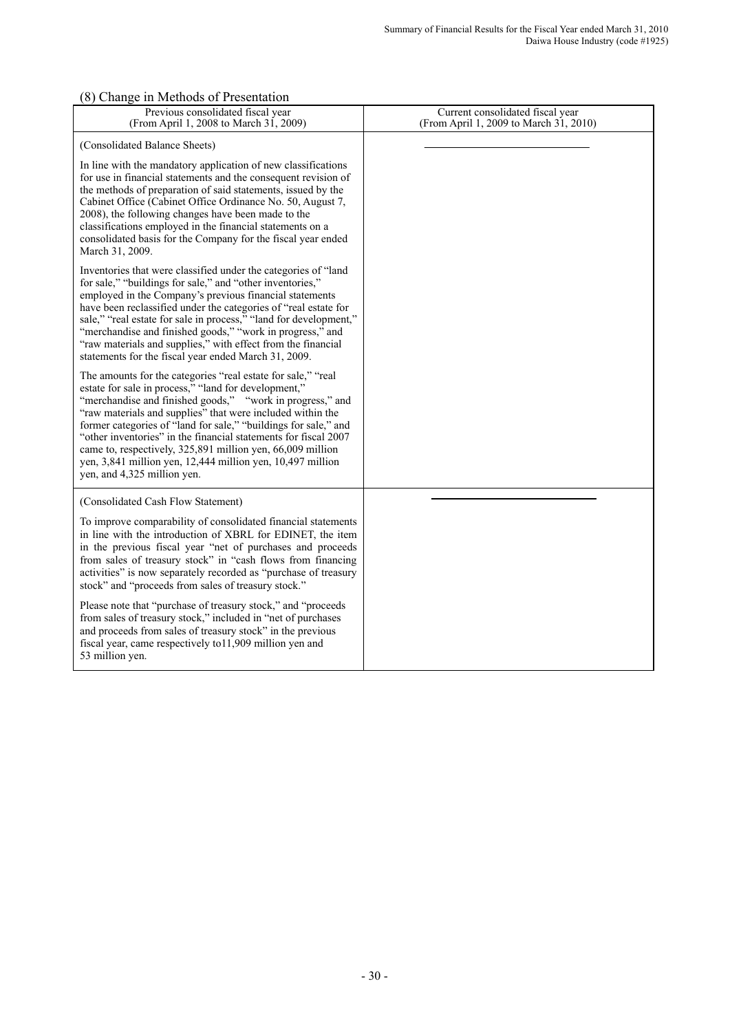### (8) Change in Methods of Presentation

| Previous consolidated fiscal year<br>(From April 1, 2008 to March 31, 2009)                                                                                                                                                                                                                                                                                                                                                                                                                                                                      | Current consolidated fiscal year<br>(From April 1, 2009 to March 31, 2010) |
|--------------------------------------------------------------------------------------------------------------------------------------------------------------------------------------------------------------------------------------------------------------------------------------------------------------------------------------------------------------------------------------------------------------------------------------------------------------------------------------------------------------------------------------------------|----------------------------------------------------------------------------|
| (Consolidated Balance Sheets)                                                                                                                                                                                                                                                                                                                                                                                                                                                                                                                    |                                                                            |
| In line with the mandatory application of new classifications<br>for use in financial statements and the consequent revision of<br>the methods of preparation of said statements, issued by the<br>Cabinet Office (Cabinet Office Ordinance No. 50, August 7,<br>2008), the following changes have been made to the<br>classifications employed in the financial statements on a<br>consolidated basis for the Company for the fiscal year ended<br>March 31, 2009.                                                                              |                                                                            |
| Inventories that were classified under the categories of "land<br>for sale," "buildings for sale," and "other inventories,"<br>employed in the Company's previous financial statements<br>have been reclassified under the categories of "real estate for<br>sale," "real estate for sale in process," "land for development,"<br>"merchandise and finished goods," "work in progress," and<br>"raw materials and supplies," with effect from the financial<br>statements for the fiscal year ended March 31, 2009.                              |                                                                            |
| The amounts for the categories "real estate for sale," "real<br>estate for sale in process," "land for development,"<br>"merchandise and finished goods," "work in progress," and<br>"raw materials and supplies" that were included within the<br>former categories of "land for sale," "buildings for sale," and<br>"other inventories" in the financial statements for fiscal 2007<br>came to, respectively, 325,891 million yen, 66,009 million<br>yen, 3,841 million yen, 12,444 million yen, 10,497 million<br>yen, and 4,325 million yen. |                                                                            |
| (Consolidated Cash Flow Statement)                                                                                                                                                                                                                                                                                                                                                                                                                                                                                                               |                                                                            |
| To improve comparability of consolidated financial statements<br>in line with the introduction of XBRL for EDINET, the item<br>in the previous fiscal year "net of purchases and proceeds<br>from sales of treasury stock" in "cash flows from financing<br>activities" is now separately recorded as "purchase of treasury<br>stock" and "proceeds from sales of treasury stock."                                                                                                                                                               |                                                                            |
| Please note that "purchase of treasury stock," and "proceeds"<br>from sales of treasury stock," included in "net of purchases<br>and proceeds from sales of treasury stock" in the previous<br>fiscal year, came respectively to 11,909 million yen and<br>53 million yen.                                                                                                                                                                                                                                                                       |                                                                            |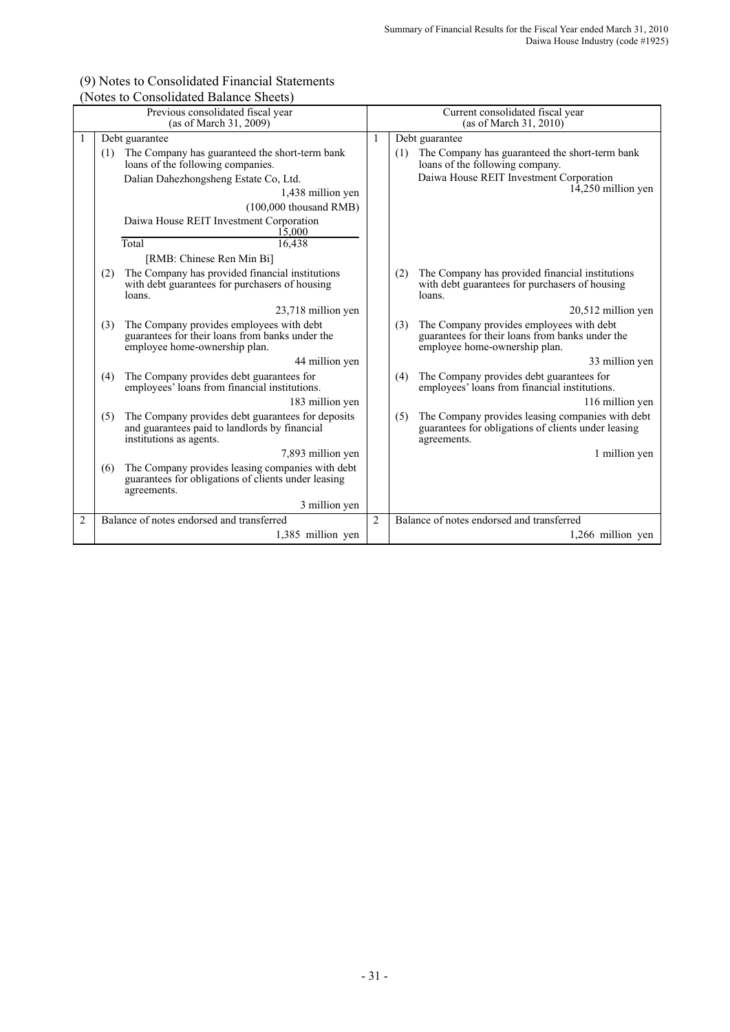#### (9) Notes to Consolidated Financial Statements (Notes to Consolidated Balance Sheets)

|                |     | Previous consolidated fiscal year<br>(as of March 31, 2009)                                                                   |                | Current consolidated fiscal year<br>(as of March 31, 2010) |                                                                                                                              |  |
|----------------|-----|-------------------------------------------------------------------------------------------------------------------------------|----------------|------------------------------------------------------------|------------------------------------------------------------------------------------------------------------------------------|--|
|                |     | Debt guarantee                                                                                                                | 1              |                                                            | Debt guarantee                                                                                                               |  |
|                | (1) | The Company has guaranteed the short-term bank<br>loans of the following companies.                                           |                | (1)                                                        | The Company has guaranteed the short-term bank<br>loans of the following company.                                            |  |
|                |     | Dalian Dahezhongsheng Estate Co, Ltd.<br>1,438 million yen                                                                    |                |                                                            | Daiwa House REIT Investment Corporation<br>$14,250$ million yen                                                              |  |
|                |     | $(100,000)$ thousand RMB)                                                                                                     |                |                                                            |                                                                                                                              |  |
|                |     | Daiwa House REIT Investment Corporation<br>15.000                                                                             |                |                                                            |                                                                                                                              |  |
|                |     | Total<br>16,438                                                                                                               |                |                                                            |                                                                                                                              |  |
|                |     | [RMB: Chinese Ren Min Bi]                                                                                                     |                |                                                            |                                                                                                                              |  |
|                | (2) | The Company has provided financial institutions<br>with debt guarantees for purchasers of housing<br>loans.                   |                | (2)                                                        | The Company has provided financial institutions<br>with debt guarantees for purchasers of housing<br>loans.                  |  |
|                |     | 23,718 million yen                                                                                                            |                |                                                            | 20,512 million yen                                                                                                           |  |
|                | (3) | The Company provides employees with debt<br>guarantees for their loans from banks under the<br>employee home-ownership plan.  |                | (3)                                                        | The Company provides employees with debt<br>guarantees for their loans from banks under the<br>employee home-ownership plan. |  |
|                |     | 44 million yen                                                                                                                |                |                                                            | 33 million yen                                                                                                               |  |
|                | (4) | The Company provides debt guarantees for<br>employees' loans from financial institutions.                                     |                | (4)                                                        | The Company provides debt guarantees for<br>employees' loans from financial institutions.                                    |  |
|                |     | 183 million yen                                                                                                               |                |                                                            | 116 million yen                                                                                                              |  |
|                | (5) | The Company provides debt guarantees for deposits<br>and guarantees paid to landlords by financial<br>institutions as agents. |                | (5)                                                        | The Company provides leasing companies with debt<br>guarantees for obligations of clients under leasing<br>agreements.       |  |
|                |     | 7,893 million yen                                                                                                             |                |                                                            | 1 million yen                                                                                                                |  |
|                | (6) | The Company provides leasing companies with debt<br>guarantees for obligations of clients under leasing<br>agreements.        |                |                                                            |                                                                                                                              |  |
|                |     | 3 million yen                                                                                                                 |                |                                                            |                                                                                                                              |  |
| $\overline{2}$ |     | Balance of notes endorsed and transferred                                                                                     | $\overline{2}$ |                                                            | Balance of notes endorsed and transferred                                                                                    |  |
|                |     | 1,385 million yen                                                                                                             |                |                                                            | 1,266 million yen                                                                                                            |  |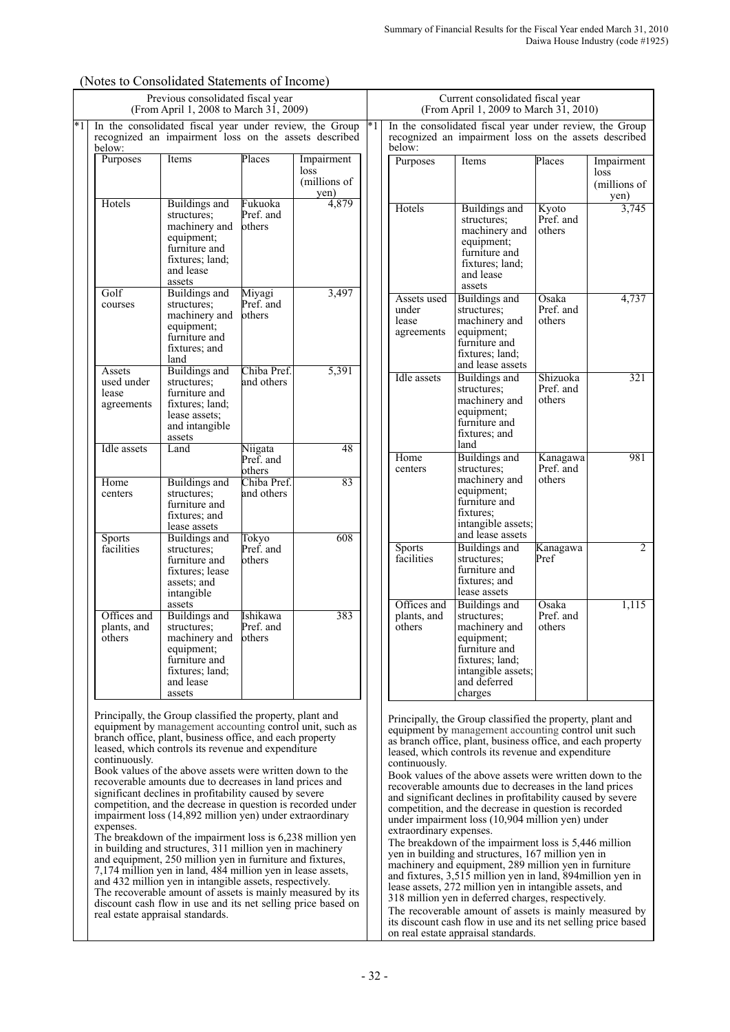|      |                                             | Previous consolidated fiscal year<br>(From April 1, 2008 to March 31, 2009)                                                                                                                                                                                                                                                                                                                                                                                                                                                                                                                                                                                                                                                                                                                                                                                                                                                                                                                                                           |                                 |                                            |      |                                             | Current consolidated fiscal year<br>(From April 1, 2009 to March 31, 2010)                                                                                                                                                                                                                                                                                                                                                                                                                                                                                                                                                                                                                                                                                                                                                                                                                                                                                                                                                                                         |                                 |                                            |
|------|---------------------------------------------|---------------------------------------------------------------------------------------------------------------------------------------------------------------------------------------------------------------------------------------------------------------------------------------------------------------------------------------------------------------------------------------------------------------------------------------------------------------------------------------------------------------------------------------------------------------------------------------------------------------------------------------------------------------------------------------------------------------------------------------------------------------------------------------------------------------------------------------------------------------------------------------------------------------------------------------------------------------------------------------------------------------------------------------|---------------------------------|--------------------------------------------|------|---------------------------------------------|--------------------------------------------------------------------------------------------------------------------------------------------------------------------------------------------------------------------------------------------------------------------------------------------------------------------------------------------------------------------------------------------------------------------------------------------------------------------------------------------------------------------------------------------------------------------------------------------------------------------------------------------------------------------------------------------------------------------------------------------------------------------------------------------------------------------------------------------------------------------------------------------------------------------------------------------------------------------------------------------------------------------------------------------------------------------|---------------------------------|--------------------------------------------|
| $*1$ | below:                                      | In the consolidated fiscal year under review, the Group<br>recognized an impairment loss on the assets described                                                                                                                                                                                                                                                                                                                                                                                                                                                                                                                                                                                                                                                                                                                                                                                                                                                                                                                      |                                 |                                            | $*1$ | below:                                      | In the consolidated fiscal year under review, the Group<br>recognized an impairment loss on the assets described                                                                                                                                                                                                                                                                                                                                                                                                                                                                                                                                                                                                                                                                                                                                                                                                                                                                                                                                                   |                                 |                                            |
|      | Purposes                                    | Items                                                                                                                                                                                                                                                                                                                                                                                                                                                                                                                                                                                                                                                                                                                                                                                                                                                                                                                                                                                                                                 | Places                          | Impairment<br>loss<br>(millions of<br>yen) |      | Purposes                                    | Items                                                                                                                                                                                                                                                                                                                                                                                                                                                                                                                                                                                                                                                                                                                                                                                                                                                                                                                                                                                                                                                              | Places                          | Impairment<br>loss<br>(millions of<br>yen) |
|      | Hotels                                      | <b>Buildings</b> and<br>structures;<br>machinery and<br>equipment;<br>furniture and<br>fixtures; land;<br>and lease<br>assets                                                                                                                                                                                                                                                                                                                                                                                                                                                                                                                                                                                                                                                                                                                                                                                                                                                                                                         | Fukuoka<br>Pref. and<br>others  | 4,879                                      |      | Hotels                                      | <b>Buildings</b> and<br>structures;<br>machinery and<br>equipment;<br>furniture and<br>fixtures; land;<br>and lease<br>assets                                                                                                                                                                                                                                                                                                                                                                                                                                                                                                                                                                                                                                                                                                                                                                                                                                                                                                                                      | Kyoto<br>Pref. and<br>others    | 3,745                                      |
|      | Golf<br>courses                             | <b>Buildings</b> and<br>structures;<br>machinery and<br>equipment;<br>furniture and<br>fixtures; and<br>land                                                                                                                                                                                                                                                                                                                                                                                                                                                                                                                                                                                                                                                                                                                                                                                                                                                                                                                          | Miyagi<br>Pref. and<br>others   | 3,497                                      |      | Assets used<br>under<br>lease<br>agreements | <b>Buildings</b> and<br>structures;<br>machinery and<br>equipment;<br>furniture and<br>fixtures; land;<br>and lease assets                                                                                                                                                                                                                                                                                                                                                                                                                                                                                                                                                                                                                                                                                                                                                                                                                                                                                                                                         | Osaka<br>Pref. and<br>others    | 4,737                                      |
|      | Assets<br>used under<br>lease<br>agreements | <b>Buildings</b> and<br>structures;<br>furniture and<br>fixtures; land;<br>lease assets:<br>and intangible<br>assets                                                                                                                                                                                                                                                                                                                                                                                                                                                                                                                                                                                                                                                                                                                                                                                                                                                                                                                  | Chiba Pref.<br>and others       | 5,391                                      |      | <b>Idle</b> assets                          | <b>Buildings</b> and<br>structures;<br>machinery and<br>equipment:<br>furniture and<br>fixtures; and<br>land                                                                                                                                                                                                                                                                                                                                                                                                                                                                                                                                                                                                                                                                                                                                                                                                                                                                                                                                                       | Shizuoka<br>Pref. and<br>others | 321                                        |
|      | <b>Idle</b> assets                          | Land                                                                                                                                                                                                                                                                                                                                                                                                                                                                                                                                                                                                                                                                                                                                                                                                                                                                                                                                                                                                                                  | Niigata<br>Pref. and<br>others  | 48                                         |      | Home<br>centers                             | Buildings and<br>structures:                                                                                                                                                                                                                                                                                                                                                                                                                                                                                                                                                                                                                                                                                                                                                                                                                                                                                                                                                                                                                                       | Kanagawa<br>Pref. and           | 981                                        |
|      | Home<br>centers                             | <b>Buildings</b> and<br>structures;<br>furniture and<br>fixtures; and<br>lease assets                                                                                                                                                                                                                                                                                                                                                                                                                                                                                                                                                                                                                                                                                                                                                                                                                                                                                                                                                 | Chiba Pref.<br>and others       | 83                                         |      |                                             | machinery and<br>equipment;<br>furniture and<br>fixtures:<br>intangible assets;<br>and lease assets                                                                                                                                                                                                                                                                                                                                                                                                                                                                                                                                                                                                                                                                                                                                                                                                                                                                                                                                                                | others                          |                                            |
|      | <b>Sports</b><br>facilities                 | <b>Buildings</b> and<br>structures:<br>furniture and<br>fixtures; lease<br>assets; and<br>intangible<br>assets                                                                                                                                                                                                                                                                                                                                                                                                                                                                                                                                                                                                                                                                                                                                                                                                                                                                                                                        | Tokyo<br>Pref. and<br>others    | 608                                        |      | <b>Sports</b><br>facilities<br>Offices and  | <b>Buildings</b> and<br>structures;<br>furniture and<br>fixtures; and<br>lease assets<br>Buildings and                                                                                                                                                                                                                                                                                                                                                                                                                                                                                                                                                                                                                                                                                                                                                                                                                                                                                                                                                             | Kanagawa<br>Pref<br>Osaka       | $\overline{c}$<br>1,115                    |
|      | Offices and<br>plants, and<br>others        | <b>Buildings</b> and<br>structures;<br>machinery and<br>equipment;<br>furniture and<br>fixtures; land;<br>and lease<br>assets                                                                                                                                                                                                                                                                                                                                                                                                                                                                                                                                                                                                                                                                                                                                                                                                                                                                                                         | Ishikawa<br>Pref. and<br>others | 383                                        |      | plants, and<br>others                       | structures;<br>machinery and<br>equipment;<br>furniture and<br>fixtures; land;<br>intangible assets;<br>and deferred<br>charges                                                                                                                                                                                                                                                                                                                                                                                                                                                                                                                                                                                                                                                                                                                                                                                                                                                                                                                                    | Pref. and<br>others             |                                            |
|      | continuously.<br>expenses.                  | Principally, the Group classified the property, plant and<br>equipment by management accounting control unit, such as<br>branch office, plant, business office, and each property<br>leased, which controls its revenue and expenditure<br>Book values of the above assets were written down to the<br>recoverable amounts due to decreases in land prices and<br>significant declines in profitability caused by severe<br>competition, and the decrease in question is recorded under<br>impairment loss (14,892 million yen) under extraordinary<br>The breakdown of the impairment loss is 6,238 million yen<br>in building and structures, 311 million yen in machinery<br>and equipment, 250 million yen in furniture and fixtures,<br>7,174 million yen in land, 484 million yen in lease assets,<br>and 432 million yen in intangible assets, respectively.<br>The recoverable amount of assets is mainly measured by its<br>discount cash flow in use and its net selling price based on<br>real estate appraisal standards. |                                 |                                            |      | continuously.<br>extraordinary expenses.    | Principally, the Group classified the property, plant and<br>equipment by management accounting control unit such<br>as branch office, plant, business office, and each property<br>leased, which controls its revenue and expenditure<br>Book values of the above assets were written down to the<br>recoverable amounts due to decreases in the land prices<br>and significant declines in profitability caused by severe<br>competition, and the decrease in question is recorded<br>under impairment loss (10,904 million yen) under<br>The breakdown of the impairment loss is 5,446 million<br>yen in building and structures, 167 million yen in<br>machinery and equipment, 289 million yen in furniture<br>and fixtures, 3,515 million yen in land, 894 million yen in<br>lease assets, 272 million yen in intangible assets, and<br>318 million yen in deferred charges, respectively.<br>The recoverable amount of assets is mainly measured by<br>its discount cash flow in use and its net selling price based<br>on real estate appraisal standards. |                                 |                                            |

# (Notes to Consolidated Statements of Income)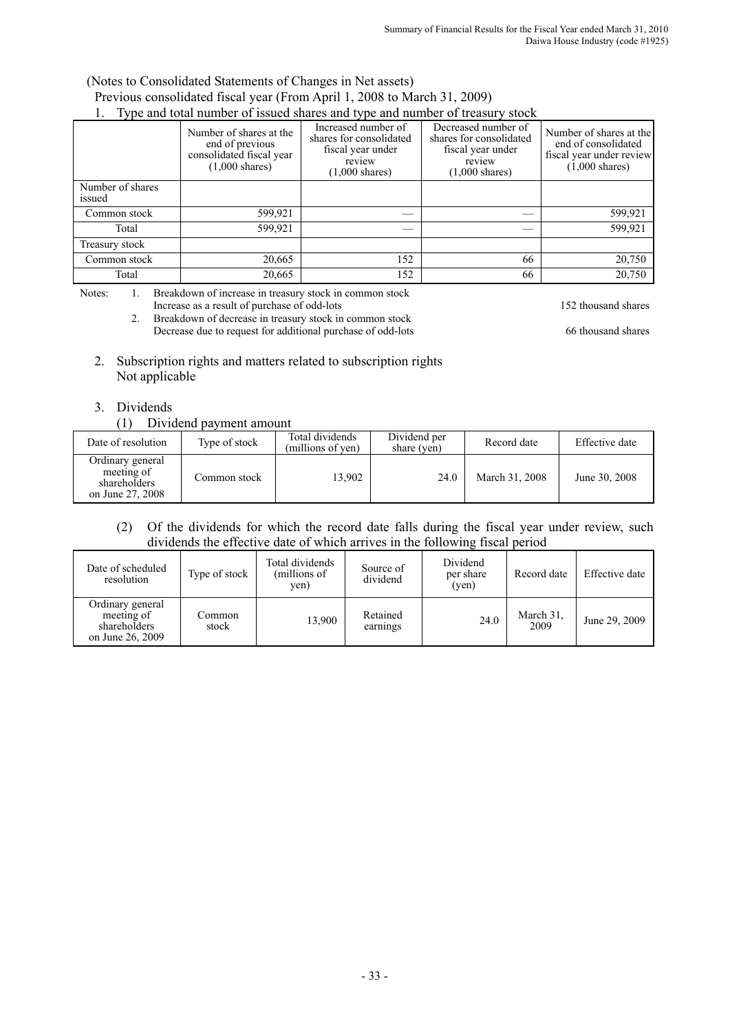#### (Notes to Consolidated Statements of Changes in Net assets) Previous consolidated fiscal year (From April 1, 2008 to March 31, 2009) 1. Type and total number of issued shares and type and number of treasury stock

| 1. Type and total hamoer of issued shares and type and hamoer of treasury<br><b>DLUVIL</b> |                                                                                                    |                                                                                                           |                                                                                                           |                                                                                                        |  |  |  |
|--------------------------------------------------------------------------------------------|----------------------------------------------------------------------------------------------------|-----------------------------------------------------------------------------------------------------------|-----------------------------------------------------------------------------------------------------------|--------------------------------------------------------------------------------------------------------|--|--|--|
|                                                                                            | Number of shares at the<br>end of previous<br>consolidated fiscal year<br>$(1,000 \text{ shares})$ | Increased number of<br>shares for consolidated<br>fiscal year under<br>review<br>$(1,000 \text{ shares})$ | Decreased number of<br>shares for consolidated<br>fiscal year under<br>review<br>$(1,000 \text{ shares})$ | Number of shares at the<br>end of consolidated<br>fiscal year under review<br>$(1,000 \text{ shares})$ |  |  |  |
| Number of shares<br>issued                                                                 |                                                                                                    |                                                                                                           |                                                                                                           |                                                                                                        |  |  |  |
| Common stock                                                                               | 599,921                                                                                            |                                                                                                           |                                                                                                           | 599,921                                                                                                |  |  |  |
| Total                                                                                      | 599,921                                                                                            |                                                                                                           |                                                                                                           | 599,921                                                                                                |  |  |  |
| Treasury stock                                                                             |                                                                                                    |                                                                                                           |                                                                                                           |                                                                                                        |  |  |  |
| Common stock                                                                               | 20,665                                                                                             | 152                                                                                                       | 66                                                                                                        | 20,750                                                                                                 |  |  |  |
| Total                                                                                      | 20,665                                                                                             | 152                                                                                                       | 66                                                                                                        | 20,750                                                                                                 |  |  |  |

Notes: 1. Breakdown of increase in treasury stock in common stock Increase as a result of purchase of odd-lots 152 thousand shares

2. Breakdown of decrease in treasury stock in common stock Decrease due to request for additional purchase of odd-lots 66 thousand shares

- 2. Subscription rights and matters related to subscription rights Not applicable
- 3. Dividends

### (1) Dividend payment amount

| Date of resolution                                                 | Type of stock | Total dividends<br>(millions of yen) | Dividend per<br>share (yen) | Record date    | Effective date |
|--------------------------------------------------------------------|---------------|--------------------------------------|-----------------------------|----------------|----------------|
| Ordinary general<br>meeting of<br>shareholders<br>on June 27, 2008 | Common stock  | 13.902                               | 24.0                        | March 31, 2008 | June 30, 2008  |

## (2) Of the dividends for which the record date falls during the fiscal year under review, such dividends the effective date of which arrives in the following fiscal period

| Date of scheduled<br>resolution                                    | Type of stock   | Total dividends<br>(millions of<br>yen) | Source of<br>dividend | Dividend<br>per share<br>(ven) | Record date       | Effective date |
|--------------------------------------------------------------------|-----------------|-----------------------------------------|-----------------------|--------------------------------|-------------------|----------------|
| Ordinary general<br>meeting of<br>shareholders<br>on June 26, 2009 | Common<br>stock | 13,900                                  | Retained<br>earnings  | 24.0                           | March 31,<br>2009 | June 29, 2009  |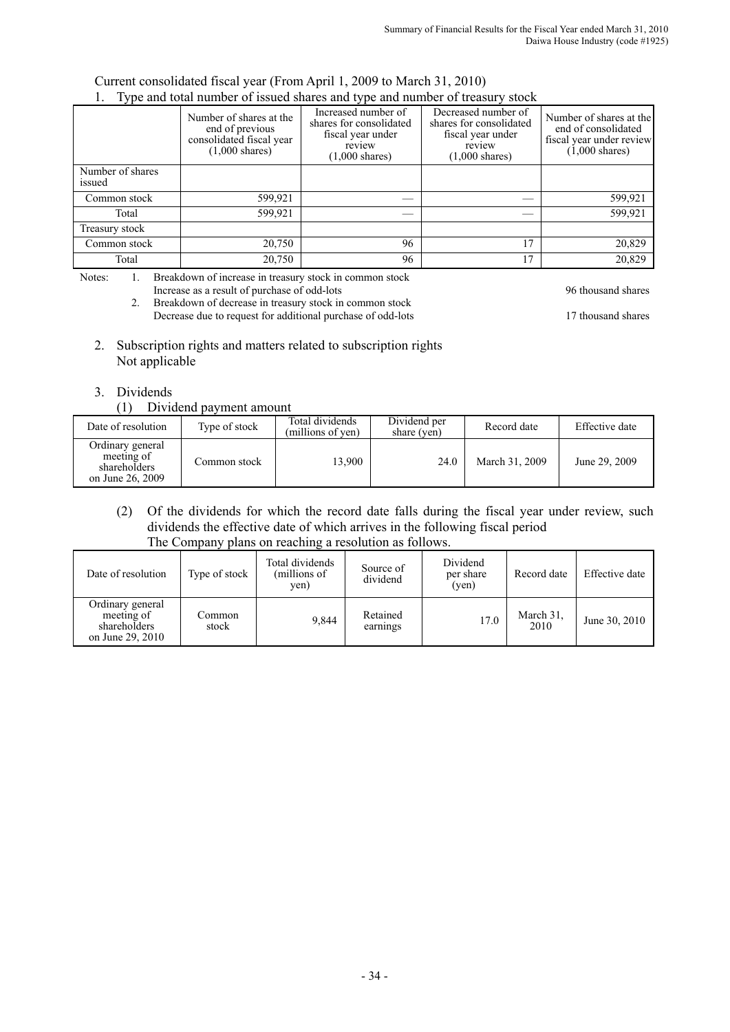#### Current consolidated fiscal year (From April 1, 2009 to March 31, 2010) 1. Type and total number of issued shares and type and number of treasury stock

|                            | 1. Type and total hannocle of issued shares and type and hannocle of treasury stock<br>Number of shares at the<br>end of previous<br>consolidated fiscal year<br>$(1,000 \text{ shares})$ | Increased number of<br>shares for consolidated<br>fiscal year under<br>review<br>$(1,000 \text{ shares})$ | Decreased number of<br>shares for consolidated<br>fiscal year under<br>review<br>$(1,000 \text{ shares})$ | Number of shares at the<br>end of consolidated<br>fiscal year under review<br>$(1,000 \text{ shares})$ |
|----------------------------|-------------------------------------------------------------------------------------------------------------------------------------------------------------------------------------------|-----------------------------------------------------------------------------------------------------------|-----------------------------------------------------------------------------------------------------------|--------------------------------------------------------------------------------------------------------|
| Number of shares<br>issued |                                                                                                                                                                                           |                                                                                                           |                                                                                                           |                                                                                                        |
| Common stock               | 599,921                                                                                                                                                                                   |                                                                                                           |                                                                                                           | 599,921                                                                                                |
| Total                      | 599,921                                                                                                                                                                                   |                                                                                                           |                                                                                                           | 599,921                                                                                                |
| Treasury stock             |                                                                                                                                                                                           |                                                                                                           |                                                                                                           |                                                                                                        |
| Common stock               | 20,750                                                                                                                                                                                    | 96                                                                                                        | 17                                                                                                        | 20,829                                                                                                 |
| Total                      | 20,750                                                                                                                                                                                    | 96                                                                                                        | 17                                                                                                        | 20,829                                                                                                 |

Notes: 1. Breakdown of increase in treasury stock in common stock Increase as a result of purchase of odd-lots 96 thousand shares 96 thousand shares

2. Breakdown of decrease in treasury stock in common stock Decrease due to request for additional purchase of odd-lots 17 thousand shares

2. Subscription rights and matters related to subscription rights Not applicable

# 3. Dividends

(1) Dividend payment amount

| Date of resolution                                                 | Type of stock | Total dividends<br>(millions of yen) | Dividend per<br>share (yen) | Record date    | Effective date |
|--------------------------------------------------------------------|---------------|--------------------------------------|-----------------------------|----------------|----------------|
| Ordinary general<br>meeting of<br>shareholders<br>on June 26, 2009 | Common stock  | 13.900                               | 24.0                        | March 31, 2009 | June 29, 2009  |

(2) Of the dividends for which the record date falls during the fiscal year under review, such dividends the effective date of which arrives in the following fiscal period The Company plans on reaching a resolution as follows.

| Date of resolution                                                 | Type of stock   | Total dividends<br>(millions of<br>yen) | Source of<br>dividend | Dividend<br>per share<br>(ven) | Record date       | Effective date |
|--------------------------------------------------------------------|-----------------|-----------------------------------------|-----------------------|--------------------------------|-------------------|----------------|
| Ordinary general<br>meeting of<br>shareholders<br>on June 29, 2010 | Common<br>stock | 9.844                                   | Retained<br>earnings  | 17.0                           | March 31.<br>2010 | June 30, 2010  |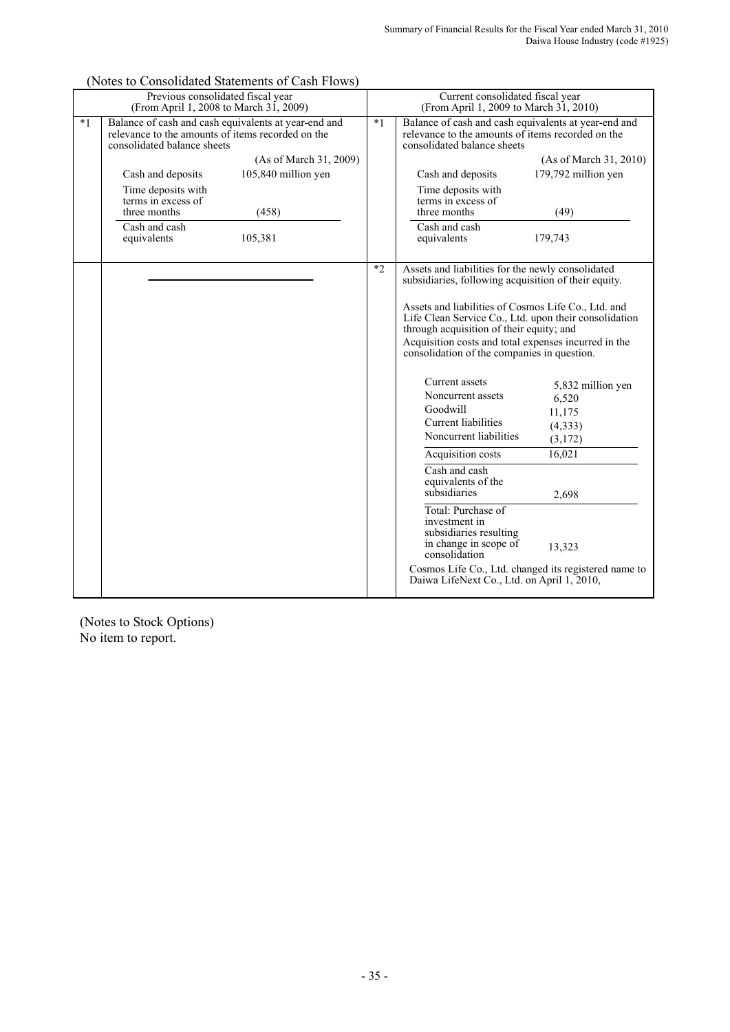|      | Previous consolidated fiscal year<br>(From April 1, 2008 to March 31, 2009)                                                              |      | Current consolidated fiscal year<br>(From April 1, 2009 to March 31, 2010)                                                                               |
|------|------------------------------------------------------------------------------------------------------------------------------------------|------|----------------------------------------------------------------------------------------------------------------------------------------------------------|
| $*1$ | Balance of cash and cash equivalents at year-end and<br>relevance to the amounts of items recorded on the<br>consolidated balance sheets | $*1$ | Balance of cash and cash equivalents at year-end and<br>relevance to the amounts of items recorded on the<br>consolidated balance sheets                 |
|      | (As of March 31, 2009)                                                                                                                   |      | (As of March 31, 2010)                                                                                                                                   |
|      | 105,840 million yen<br>Cash and deposits                                                                                                 |      | 179,792 million yen<br>Cash and deposits                                                                                                                 |
|      | Time deposits with<br>terms in excess of<br>three months<br>(458)                                                                        |      | Time deposits with<br>terms in excess of<br>three months<br>(49)                                                                                         |
|      | Cash and cash<br>105,381<br>equivalents                                                                                                  |      | Cash and cash<br>179,743<br>equivalents                                                                                                                  |
|      |                                                                                                                                          | $*2$ | Assets and liabilities for the newly consolidated<br>subsidiaries, following acquisition of their equity.                                                |
|      |                                                                                                                                          |      | Assets and liabilities of Cosmos Life Co., Ltd. and<br>Life Clean Service Co., Ltd. upon their consolidation<br>through acquisition of their equity; and |
|      |                                                                                                                                          |      | Acquisition costs and total expenses incurred in the<br>consolidation of the companies in question.                                                      |
|      |                                                                                                                                          |      | Current assets<br>5,832 million yen<br>Noncurrent assets<br>6,520<br>Goodwill                                                                            |
|      |                                                                                                                                          |      | 11,175<br><b>Current</b> liabilities<br>(4, 333)                                                                                                         |
|      |                                                                                                                                          |      | Noncurrent liabilities<br>(3,172)                                                                                                                        |
|      |                                                                                                                                          |      | 16,021<br>Acquisition costs                                                                                                                              |
|      |                                                                                                                                          |      | $\overline{\text{Cash}}$ and cash<br>equivalents of the<br>subsidiaries<br>2,698                                                                         |
|      |                                                                                                                                          |      | Total: Purchase of<br>investment in<br>subsidiaries resulting<br>in change in scope of<br>13,323<br>consolidation                                        |
|      |                                                                                                                                          |      | Cosmos Life Co., Ltd. changed its registered name to<br>Daiwa LifeNext Co., Ltd. on April 1, 2010,                                                       |

(Notes to Consolidated Statements of Cash Flows)

(Notes to Stock Options) No item to report.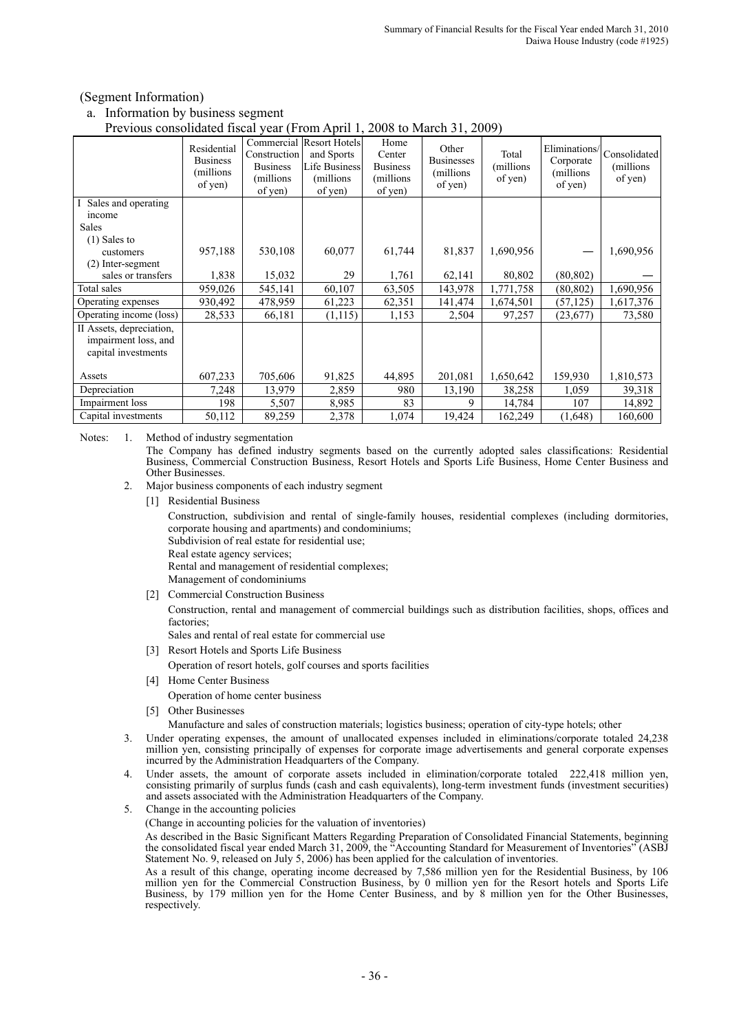#### (Segment Information)

#### a. Information by business segment

#### Previous consolidated fiscal year (From April 1, 2008 to March 31, 2009)

|                                                                         | 110,1000 COMBONGULOU MOU<br>$, \, \text{cm}$ (110.111 ip 111 i,<br>$20000$ to match $31, 2007$ |                                                          |                                                                                         |                                                           |                                                     |                               |                                                     |                                       |  |
|-------------------------------------------------------------------------|------------------------------------------------------------------------------------------------|----------------------------------------------------------|-----------------------------------------------------------------------------------------|-----------------------------------------------------------|-----------------------------------------------------|-------------------------------|-----------------------------------------------------|---------------------------------------|--|
|                                                                         | Residential<br><b>Business</b><br>(millions)<br>of yen)                                        | Construction<br><b>Business</b><br>(millions)<br>of yen) | Commercial Resort Hotels<br>and Sports<br><b>Life Business</b><br>(millions)<br>of yen) | Home<br>Center<br><b>Business</b><br>(millions<br>of yen) | Other<br><b>Businesses</b><br>(millions)<br>of yen) | Total<br>(millions<br>of yen) | Eliminations/<br>Corporate<br>(millions)<br>of yen) | Consolidated<br>(millions)<br>of yen) |  |
| Sales and operating                                                     |                                                                                                |                                                          |                                                                                         |                                                           |                                                     |                               |                                                     |                                       |  |
| income                                                                  |                                                                                                |                                                          |                                                                                         |                                                           |                                                     |                               |                                                     |                                       |  |
| Sales                                                                   |                                                                                                |                                                          |                                                                                         |                                                           |                                                     |                               |                                                     |                                       |  |
| $(1)$ Sales to                                                          |                                                                                                |                                                          |                                                                                         |                                                           |                                                     |                               |                                                     |                                       |  |
| customers                                                               | 957,188                                                                                        | 530,108                                                  | 60,077                                                                                  | 61,744                                                    | 81,837                                              | 1,690,956                     |                                                     | 1,690,956                             |  |
| (2) Inter-segment                                                       |                                                                                                |                                                          |                                                                                         |                                                           |                                                     |                               |                                                     |                                       |  |
| sales or transfers                                                      | 1,838                                                                                          | 15,032                                                   | 29                                                                                      | 1,761                                                     | 62,141                                              | 80,802                        | (80, 802)                                           |                                       |  |
| Total sales                                                             | 959.026                                                                                        | 545,141                                                  | 60,107                                                                                  | 63,505                                                    | 143,978                                             | 1,771,758                     | (80, 802)                                           | 1,690,956                             |  |
| Operating expenses                                                      | 930,492                                                                                        | 478,959                                                  | 61,223                                                                                  | 62,351                                                    | 141,474                                             | 1,674,501                     | (57, 125)                                           | 1,617,376                             |  |
| Operating income (loss)                                                 | 28,533                                                                                         | 66,181                                                   | (1, 115)                                                                                | 1,153                                                     | 2,504                                               | 97,257                        | (23,677)                                            | 73,580                                |  |
| II Assets, depreciation,<br>impairment loss, and<br>capital investments |                                                                                                |                                                          |                                                                                         |                                                           |                                                     |                               |                                                     |                                       |  |
| Assets                                                                  | 607,233                                                                                        | 705,606                                                  | 91,825                                                                                  | 44,895                                                    | 201,081                                             | 1,650,642                     | 159,930                                             | 1,810,573                             |  |
| Depreciation                                                            | 7,248                                                                                          | 13,979                                                   | 2,859                                                                                   | 980                                                       | 13,190                                              | 38,258                        | 1,059                                               | 39,318                                |  |
| Impairment loss                                                         | 198                                                                                            | 5,507                                                    | 8,985                                                                                   | 83                                                        | 9                                                   | 14,784                        | 107                                                 | 14,892                                |  |
| Capital investments                                                     | 50,112                                                                                         | 89,259                                                   | 2,378                                                                                   | 1,074                                                     | 19,424                                              | 162,249                       | (1,648)                                             | 160,600                               |  |

Notes: 1. Method of industry segmentation

The Company has defined industry segments based on the currently adopted sales classifications: Residential Business, Commercial Construction Business, Resort Hotels and Sports Life Business, Home Center Business and Other Businesses.

- 2. Major business components of each industry segment
	- [1] Residential Business

Construction, subdivision and rental of single-family houses, residential complexes (including dormitories, corporate housing and apartments) and condominiums;

Subdivision of real estate for residential use;

Real estate agency services;

Rental and management of residential complexes;

- Management of condominiums
- [2] Commercial Construction Business

Construction, rental and management of commercial buildings such as distribution facilities, shops, offices and factories;

Sales and rental of real estate for commercial use

- [3] Resort Hotels and Sports Life Business
	- Operation of resort hotels, golf courses and sports facilities
- [4] Home Center Business

Operation of home center business

[5] Other Businesses

Manufacture and sales of construction materials; logistics business; operation of city-type hotels; other

- 3. Under operating expenses, the amount of unallocated expenses included in eliminations/corporate totaled 24,238 million yen, consisting principally of expenses for corporate image advertisements and general corporate expenses incurred by the Administration Headquarters of the Company.
- 4. Under assets, the amount of corporate assets included in elimination/corporate totaled 222,418 million yen, consisting primarily of surplus funds (cash and cash equivalents), long-term investment funds (investment securities) and assets associated with the Administration Headquarters of the Company.
- 5. Change in the accounting policies
	- (Change in accounting policies for the valuation of inventories)

As described in the Basic Significant Matters Regarding Preparation of Consolidated Financial Statements, beginning the consolidated fiscal year ended March 31, 2009, the "Accounting Standard for Measurement of Inventories" (ASB) Statement No. 9, released on July 5, 2006) has been applied for the calculation of inventories.

As a result of this change, operating income decreased by 7,586 million yen for the Residential Business, by 106 million yen for the Commercial Construction Business, by 0 million yen for the Resort hotels and Sports Life Business, by 179 million yen for the Home Center Business, and by 8 million yen for the Other Businesses, respectively.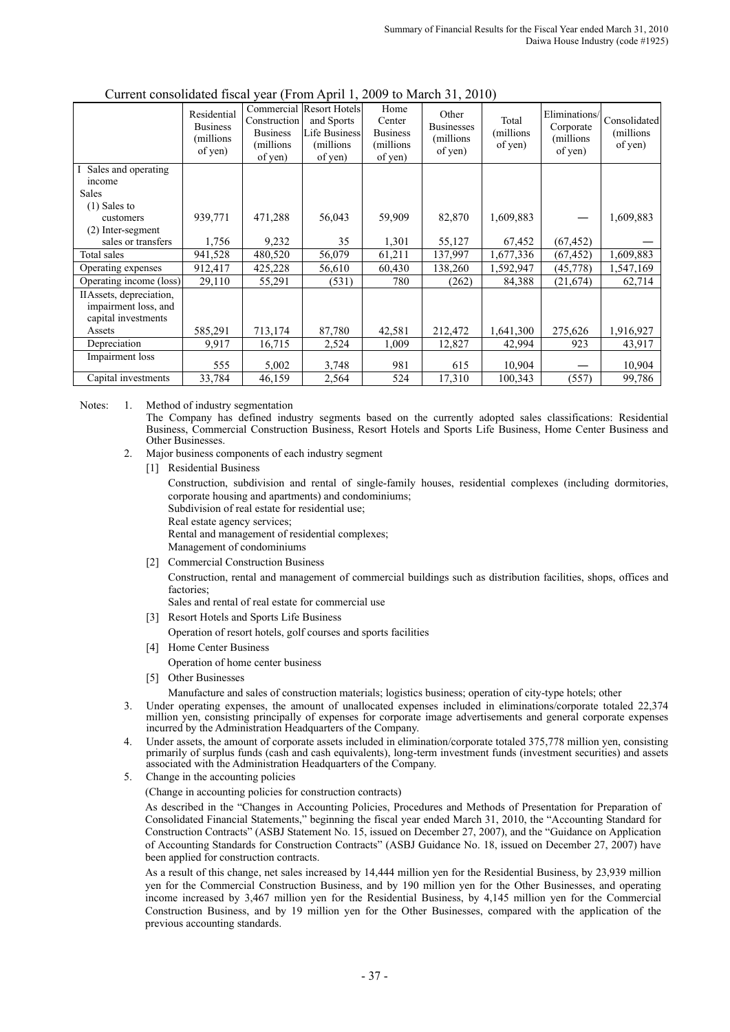|                                           | Residential<br><b>Business</b><br>(millions)<br>of yen) | Construction<br><b>Business</b><br>(millions)<br>of yen) | Commercial Resort Hotels<br>and Sports<br><b>Life Business</b><br>(millions)<br>of yen) | Home<br>Center<br><b>Business</b><br>(millions)<br>of yen) | Other<br><b>Businesses</b><br>(millions)<br>of yen) | Total<br>(millions)<br>of yen) | Eliminations/<br>Corporate<br>(millions)<br>of yen) | Consolidated<br>(millions)<br>of yen) |
|-------------------------------------------|---------------------------------------------------------|----------------------------------------------------------|-----------------------------------------------------------------------------------------|------------------------------------------------------------|-----------------------------------------------------|--------------------------------|-----------------------------------------------------|---------------------------------------|
| Sales and operating                       |                                                         |                                                          |                                                                                         |                                                            |                                                     |                                |                                                     |                                       |
| income                                    |                                                         |                                                          |                                                                                         |                                                            |                                                     |                                |                                                     |                                       |
| <b>Sales</b>                              |                                                         |                                                          |                                                                                         |                                                            |                                                     |                                |                                                     |                                       |
| $(1)$ Sales to                            |                                                         |                                                          |                                                                                         |                                                            |                                                     |                                |                                                     |                                       |
| customers                                 | 939,771                                                 | 471,288                                                  | 56,043                                                                                  | 59,909                                                     | 82,870                                              | 1,609,883                      |                                                     | 1,609,883                             |
| $(2)$ Inter-segment<br>sales or transfers | 1,756                                                   | 9,232                                                    | 35                                                                                      | 1,301                                                      | 55,127                                              | 67,452                         | (67, 452)                                           |                                       |
| Total sales                               |                                                         |                                                          |                                                                                         |                                                            |                                                     |                                |                                                     |                                       |
|                                           | 941,528                                                 | 480,520                                                  | 56,079                                                                                  | 61,211                                                     | 137,997                                             | 1,677,336                      | (67, 452)                                           | 1,609,883                             |
| Operating expenses                        | 912,417                                                 | 425,228                                                  | 56,610                                                                                  | 60,430                                                     | 138,260                                             | 1,592,947                      | (45, 778)                                           | 1,547,169                             |
| Operating income (loss)                   | 29,110                                                  | 55,291                                                   | (531)                                                                                   | 780                                                        | (262)                                               | 84,388                         | (21, 674)                                           | 62,714                                |
| IIAssets, depreciation,                   |                                                         |                                                          |                                                                                         |                                                            |                                                     |                                |                                                     |                                       |
| impairment loss, and                      |                                                         |                                                          |                                                                                         |                                                            |                                                     |                                |                                                     |                                       |
| capital investments                       |                                                         |                                                          |                                                                                         |                                                            |                                                     |                                |                                                     |                                       |
| Assets                                    | 585,291                                                 | 713,174                                                  | 87,780                                                                                  | 42,581                                                     | 212,472                                             | 1,641,300                      | 275,626                                             | 1,916,927                             |
| Depreciation                              | 9,917                                                   | 16,715                                                   | 2,524                                                                                   | 1,009                                                      | 12,827                                              | 42,994                         | 923                                                 | 43,917                                |
| Impairment loss                           | 555                                                     | 5,002                                                    | 3,748                                                                                   | 981                                                        | 615                                                 | 10,904                         |                                                     | 10,904                                |
| Capital investments                       | 33,784                                                  | 46,159                                                   | 2,564                                                                                   | 524                                                        | 17,310                                              | 100,343                        | (557)                                               | 99,786                                |

#### Current consolidated fiscal year (From April 1, 2009 to March 31, 2010)

Notes: 1. Method of industry segmentation

The Company has defined industry segments based on the currently adopted sales classifications: Residential Business, Commercial Construction Business, Resort Hotels and Sports Life Business, Home Center Business and Other Businesses.

- 2. Major business components of each industry segment
	- [1] Residential Business

Construction, subdivision and rental of single-family houses, residential complexes (including dormitories, corporate housing and apartments) and condominiums;

Subdivision of real estate for residential use;

Real estate agency services;

Rental and management of residential complexes;

Management of condominiums

[2] Commercial Construction Business

Construction, rental and management of commercial buildings such as distribution facilities, shops, offices and **factories** 

Sales and rental of real estate for commercial use

[3] Resort Hotels and Sports Life Business

Operation of resort hotels, golf courses and sports facilities

- [4] Home Center Business
	- Operation of home center business
- [5] Other Businesses

Manufacture and sales of construction materials; logistics business; operation of city-type hotels; other

- 3. Under operating expenses, the amount of unallocated expenses included in eliminations/corporate totaled 22,374 million yen, consisting principally of expenses for corporate image advertisements and general corporate expenses incurred by the Administration Headquarters of the Company.
- 4. Under assets, the amount of corporate assets included in elimination/corporate totaled 375,778 million yen, consisting primarily of surplus funds (cash and cash equivalents), long-term investment funds (investment securities) and assets associated with the Administration Headquarters of the Company.
- 5. Change in the accounting policies

(Change in accounting policies for construction contracts)

As described in the "Changes in Accounting Policies, Procedures and Methods of Presentation for Preparation of Consolidated Financial Statements," beginning the fiscal year ended March 31, 2010, the "Accounting Standard for Construction Contracts" (ASBJ Statement No. 15, issued on December 27, 2007), and the "Guidance on Application of Accounting Standards for Construction Contracts" (ASBJ Guidance No. 18, issued on December 27, 2007) have been applied for construction contracts.

As a result of this change, net sales increased by 14,444 million yen for the Residential Business, by 23,939 million yen for the Commercial Construction Business, and by 190 million yen for the Other Businesses, and operating income increased by 3,467 million yen for the Residential Business, by 4,145 million yen for the Commercial Construction Business, and by 19 million yen for the Other Businesses, compared with the application of the previous accounting standards.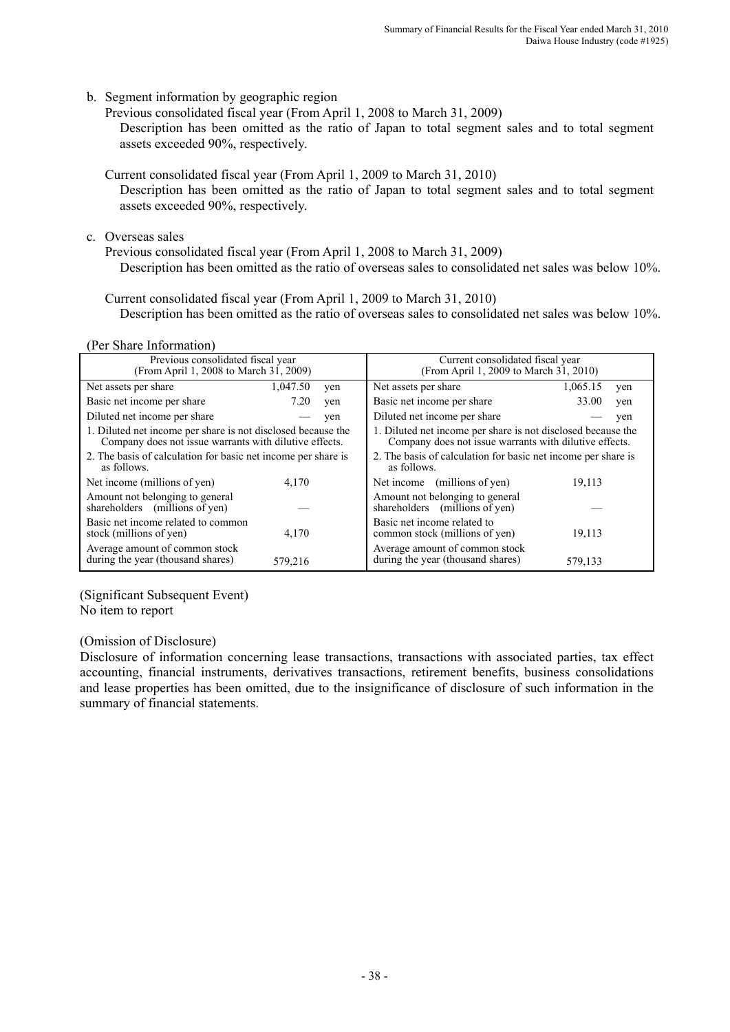b. Segment information by geographic region

Previous consolidated fiscal year (From April 1, 2008 to March 31, 2009) Description has been omitted as the ratio of Japan to total segment sales and to total segment assets exceeded 90%, respectively.

Current consolidated fiscal year (From April 1, 2009 to March 31, 2010) Description has been omitted as the ratio of Japan to total segment sales and to total segment assets exceeded 90%, respectively.

c. Overseas sales

Previous consolidated fiscal year (From April 1, 2008 to March 31, 2009) Description has been omitted as the ratio of overseas sales to consolidated net sales was below 10%.

Current consolidated fiscal year (From April 1, 2009 to March 31, 2010) Description has been omitted as the ratio of overseas sales to consolidated net sales was below 10%.

(Per Share Information)

| Previous consolidated fiscal year<br>(From April 1, 2008 to March 31, 2009)                                            |          |     | Current consolidated fiscal year<br>(From April 1, 2009 to March 31, 2010)                                             |                 |  |  |  |
|------------------------------------------------------------------------------------------------------------------------|----------|-----|------------------------------------------------------------------------------------------------------------------------|-----------------|--|--|--|
| Net assets per share                                                                                                   | 1,047.50 | yen | Net assets per share                                                                                                   | 1,065.15<br>yen |  |  |  |
| Basic net income per share                                                                                             | 7.20     | yen | Basic net income per share                                                                                             | 33.00<br>yen    |  |  |  |
| Diluted net income per share                                                                                           |          | yen | Diluted net income per share                                                                                           | yen             |  |  |  |
| 1. Diluted net income per share is not disclosed because the<br>Company does not issue warrants with dilutive effects. |          |     | 1. Diluted net income per share is not disclosed because the<br>Company does not issue warrants with dilutive effects. |                 |  |  |  |
| 2. The basis of calculation for basic net income per share is<br>as follows.                                           |          |     | 2. The basis of calculation for basic net income per share is<br>as follows.                                           |                 |  |  |  |
| Net income (millions of yen)                                                                                           | 4,170    |     | Net income (millions of yen)                                                                                           | 19,113          |  |  |  |
| Amount not belonging to general<br>shareholders (millions of yen)                                                      |          |     | Amount not belonging to general<br>shareholders (millions of yen)                                                      |                 |  |  |  |
| Basic net income related to common<br>stock (millions of yen)                                                          | 4,170    |     | Basic net income related to<br>common stock (millions of yen)                                                          | 19,113          |  |  |  |
| Average amount of common stock<br>during the year (thousand shares)                                                    | 579.216  |     | Average amount of common stock<br>during the year (thousand shares)                                                    | 579.133         |  |  |  |

(Significant Subsequent Event)

No item to report

# (Omission of Disclosure)

Disclosure of information concerning lease transactions, transactions with associated parties, tax effect accounting, financial instruments, derivatives transactions, retirement benefits, business consolidations and lease properties has been omitted, due to the insignificance of disclosure of such information in the summary of financial statements.